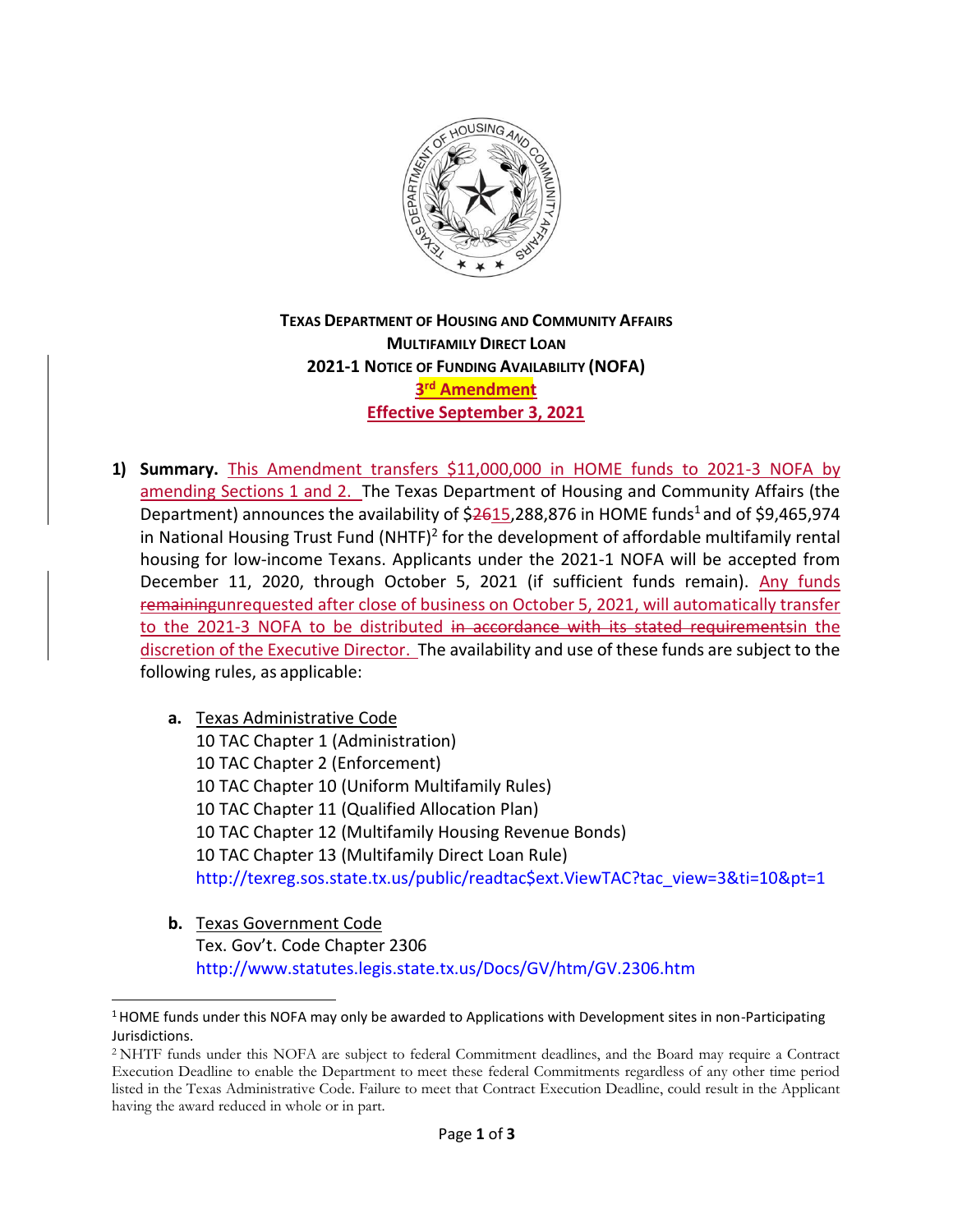

# **TEXAS DEPARTMENT OF HOUSING AND COMMUNITY AFFAIRS MULTIFAMILY DIRECT LOAN 2021-1 NOTICE OF FUNDING AVAILABILITY (NOFA) 3 rd Amendment Effective September 3, 2021**

**1) Summary.** This Amendment transfers \$11,000,000 in HOME funds to 2021-3 NOFA by amending Sections 1 and 2. The Texas Department of Housing and Community Affairs (the Department) announces the availability of  $$2615,288,876$  $$2615,288,876$  $$2615,288,876$  in HOME funds<sup>1</sup> and of  $$9,465,974$ in National Housing Trust Fund (NHTF)<sup>[2](#page-0-1)</sup> for the development of affordable multifamily rental housing for low-income Texans. Applicants under the 2021-1 NOFA will be accepted from December 11, 2020, through October 5, 2021 (if sufficient funds remain). Any funds remainingunrequested after close of business on October 5, 2021, will automatically transfer to the 2021-3 NOFA to be distributed in accordance with its stated requirementsin the discretion of the Executive Director. The availability and use of these funds are subject to the following rules, as applicable:

**a.** Texas Administrative Code

10 TAC Chapter 1 (Administration) 10 TAC Chapter 2 (Enforcement) 10 TAC Chapter 10 (Uniform Multifamily Rules) 10 TAC Chapter 11 (Qualified Allocation Plan) 10 TAC Chapter 12 (Multifamily Housing Revenue Bonds) 10 TAC Chapter 13 (Multifamily Direct Loan Rule) [http://texreg.sos.state.tx.us/public/readtac\\$ext.ViewTAC?tac\\_view=3&ti=10&pt=1](http://texreg.sos.state.tx.us/public/readtac%24ext.ViewTAC?tac_view=3&ti=10&pt=1)

**b.** Texas Government Code Tex. Gov't. Code Chapter 2306 <http://www.statutes.legis.state.tx.us/Docs/GV/htm/GV.2306.htm>

<span id="page-0-0"></span> $<sup>1</sup>$  HOME funds under this NOFA may only be awarded to Applications with Development sites in non-Participating</sup> Jurisdictions.

<span id="page-0-1"></span><sup>2</sup>NHTF funds under this NOFA are subject to federal Commitment deadlines, and the Board may require a Contract Execution Deadline to enable the Department to meet these federal Commitments regardless of any other time period listed in the Texas Administrative Code. Failure to meet that Contract Execution Deadline, could result in the Applicant having the award reduced in whole or in part.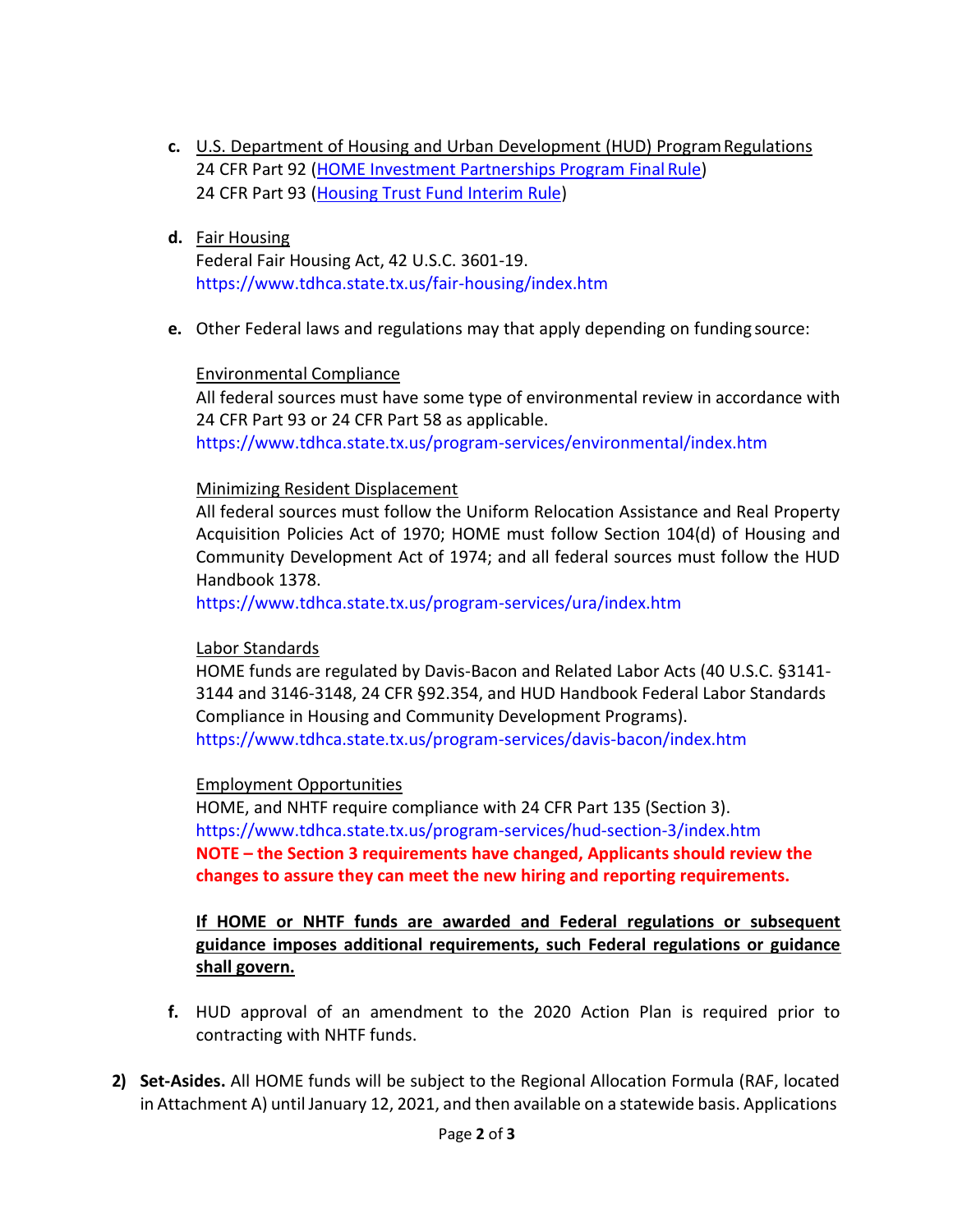**c.** U.S. Department of Housing and Urban Development (HUD) ProgramRegulations 24 CFR Part 92 (HOME Investment Partnerships Program Final Rule) 24 CFR Part 93 (Housing Trust Fund Interim Rule)

# **d.** Fair Housing

Federal Fair Housing Act, 42 U.S.C. 3601-19. <https://www.tdhca.state.tx.us/fair-housing/index.htm>

**e.** Other Federal laws and regulations may that apply depending on funding source:

# Environmental Compliance

All federal sources must have some type of environmental review in accordance with 24 CFR Part 93 or 24 CFR Part 58 as applicable. <https://www.tdhca.state.tx.us/program-services/environmental/index.htm>

# Minimizing Resident Displacement

All federal sources must follow the Uniform Relocation Assistance and Real Property Acquisition Policies Act of 1970; HOME must follow Section 104(d) of Housing and Community Development Act of 1974; and all federal sources must follow the HUD Handbook 1378.

<https://www.tdhca.state.tx.us/program-services/ura/index.htm>

# Labor Standards

HOME funds are regulated by Davis-Bacon and Related Labor Acts (40 U.S.C. §3141- 3144 and 3146-3148, 24 CFR §92.354, and HUD Handbook Federal Labor Standards Compliance in Housing and Community Development Programs). <https://www.tdhca.state.tx.us/program-services/davis-bacon/index.htm>

# Employment Opportunities

HOME, and NHTF require compliance with 24 CFR Part 135 (Section 3). <https://www.tdhca.state.tx.us/program-services/hud-section-3/index.htm> **NOTE – the Section 3 requirements have changed, Applicants should review the changes to assure they can meet the new hiring and reporting requirements.**

# **If HOME or NHTF funds are awarded and Federal regulations or subsequent guidance imposes additional requirements, such Federal regulations or guidance shall govern.**

- **f.** HUD approval of an amendment to the 2020 Action Plan is required prior to contracting with NHTF funds.
- **2) Set-Asides.** All HOME funds will be subject to the Regional Allocation Formula (RAF, located in Attachment A) until January 12, 2021, and then available on a statewide basis. Applications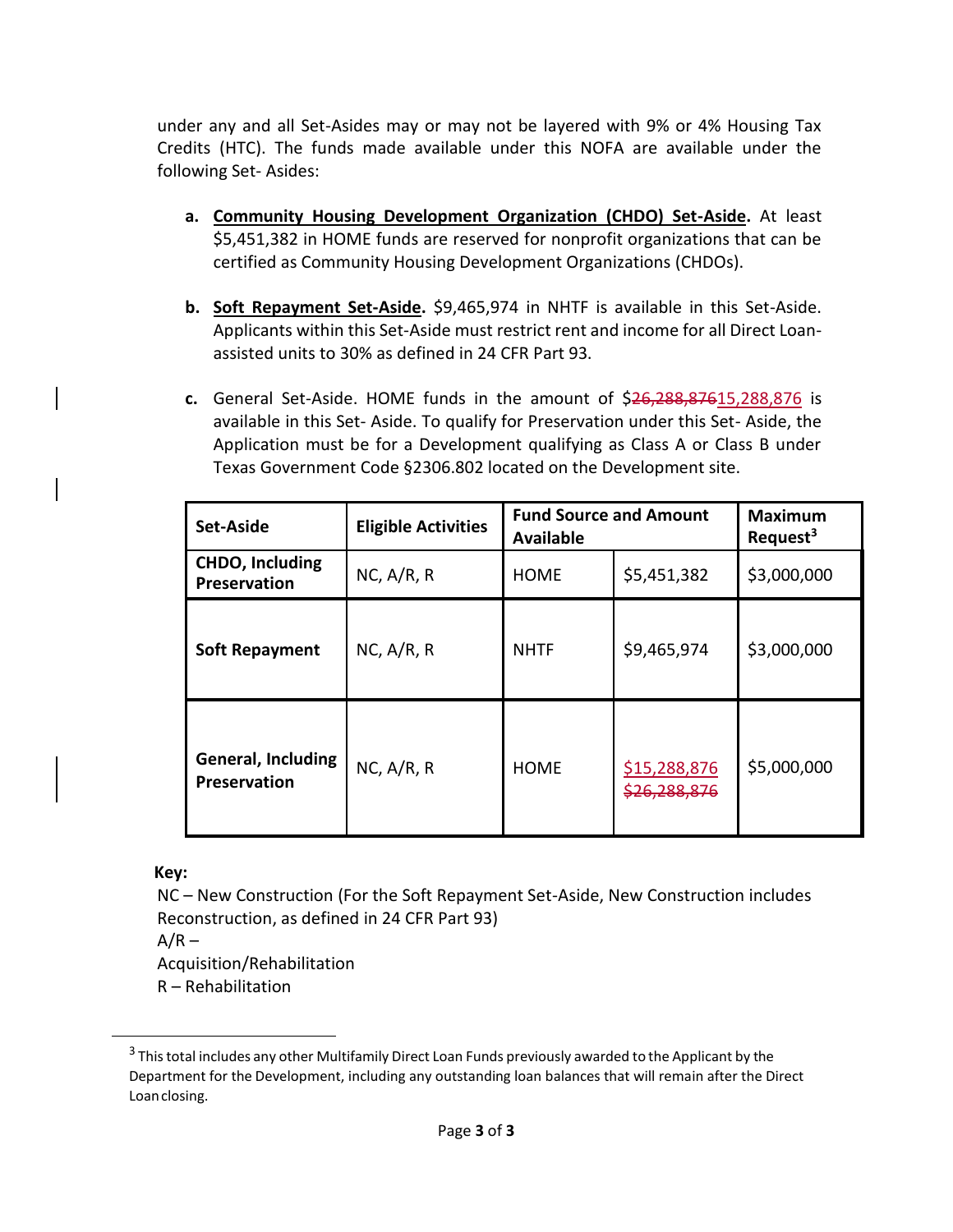under any and all Set-Asides may or may not be layered with 9% or 4% Housing Tax Credits (HTC). The funds made available under this NOFA are available under the following Set- Asides:

- **a. Community Housing Development Organization (CHDO) Set-Aside.** At least \$5,451,382 in HOME funds are reserved for nonprofit organizations that can be certified as Community Housing Development Organizations (CHDOs).
- **b. Soft Repayment Set-Aside.** \$9,465,974 in NHTF is available in this Set-Aside. Applicants within this Set-Aside must restrict rent and income for all Direct Loanassisted units to 30% as defined in 24 CFR Part 93.
- **c.** General Set-Aside. HOME funds in the amount of \$26,288,87615,288,876 is available in this Set- Aside. To qualify for Preservation under this Set- Aside, the Application must be for a Development qualifying as Class A or Class B under Texas Government Code §2306.802 located on the Development site.

| <b>Set-Aside</b>                          | <b>Eligible Activities</b> | <b>Fund Source and Amount</b><br><b>Available</b> |                                     | Maximum<br>Request <sup>3</sup> |
|-------------------------------------------|----------------------------|---------------------------------------------------|-------------------------------------|---------------------------------|
| <b>CHDO, Including</b><br>Preservation    | NC, A/R, R                 | <b>HOME</b>                                       | \$5,451,382                         | \$3,000,000                     |
| <b>Soft Repayment</b>                     | NC, A/R, R                 | <b>NHTF</b>                                       | \$9,465,974                         | \$3,000,000                     |
| <b>General, Including</b><br>Preservation | NC, A/R, R                 | <b>HOME</b>                                       | \$15,288,876<br><u>\$26,288,876</u> | \$5,000,000                     |

**Key:**

NC – New Construction (For the Soft Repayment Set-Aside, New Construction includes Reconstruction, as defined in 24 CFR Part 93)

 $A/R -$ 

Acquisition/Rehabilitation

R – Rehabilitation

<span id="page-2-0"></span><sup>&</sup>lt;sup>3</sup> This total includes any other Multifamily Direct Loan Funds previously awarded to the Applicant by the Department for the Development, including any outstanding loan balances that will remain after the Direct Loanclosing.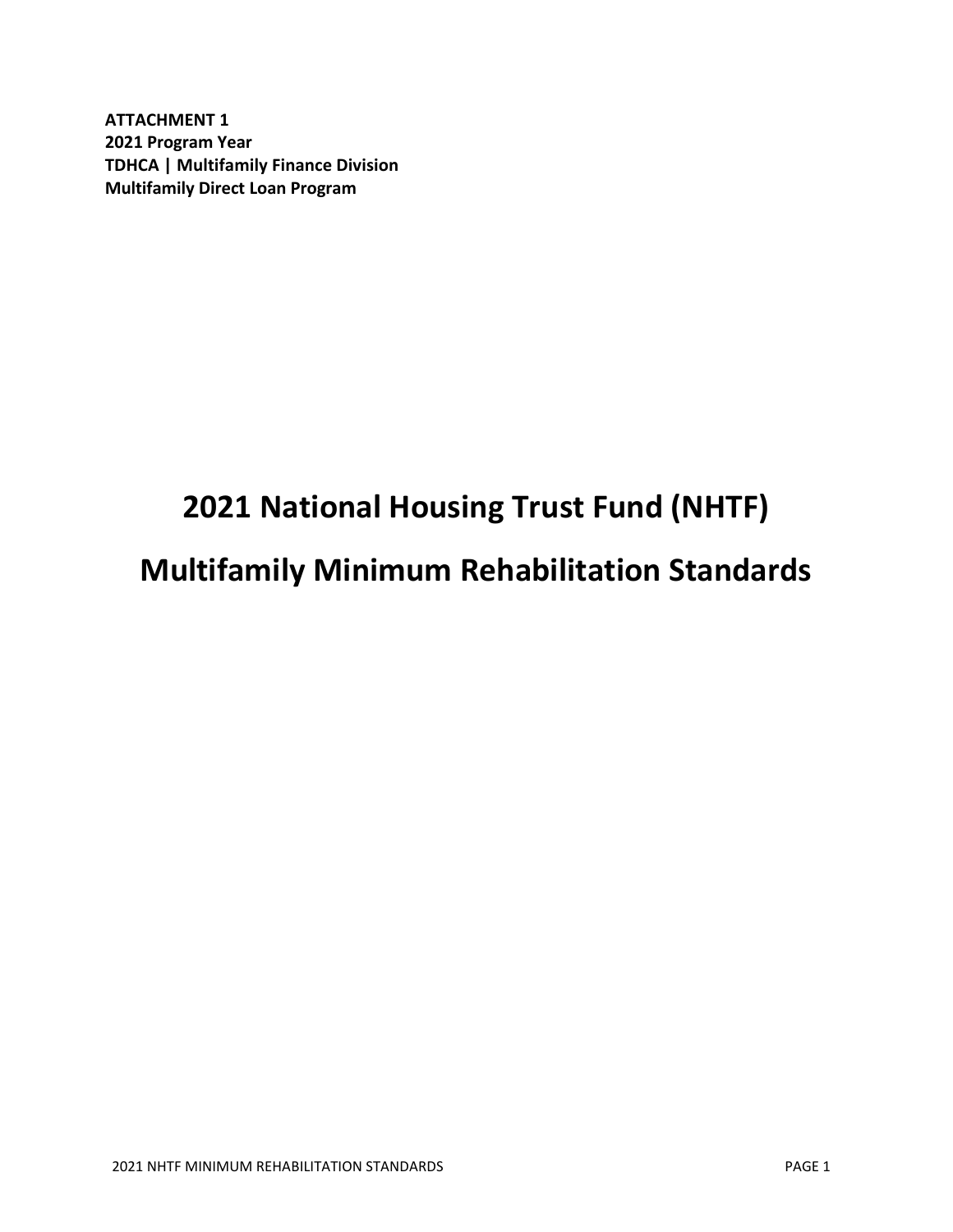**ATTACHMENT 1 2021 Program Year TDHCA | Multifamily Finance Division Multifamily Direct Loan Program** 

# **2021 National Housing Trust Fund (NHTF)**

# **Multifamily Minimum Rehabilitation Standards**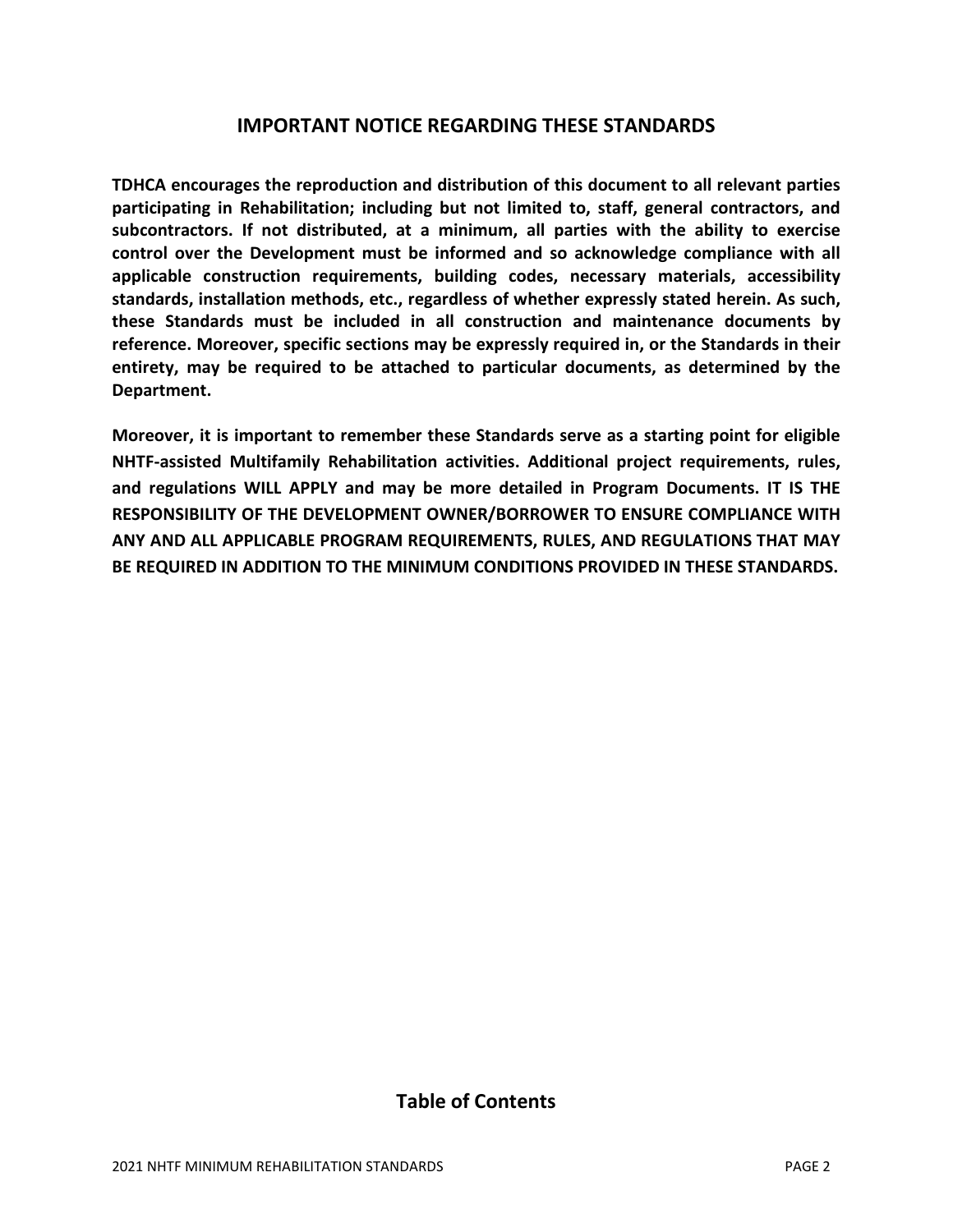# **IMPORTANT NOTICE REGARDING THESE STANDARDS**

**TDHCA encourages the reproduction and distribution of this document to all relevant parties participating in Rehabilitation; including but not limited to, staff, general contractors, and subcontractors. If not distributed, at a minimum, all parties with the ability to exercise control over the Development must be informed and so acknowledge compliance with all applicable construction requirements, building codes, necessary materials, accessibility standards, installation methods, etc., regardless of whether expressly stated herein. As such, these Standards must be included in all construction and maintenance documents by reference. Moreover, specific sections may be expressly required in, or the Standards in their entirety, may be required to be attached to particular documents, as determined by the Department.**

**Moreover, it is important to remember these Standards serve as a starting point for eligible NHTF-assisted Multifamily Rehabilitation activities. Additional project requirements, rules, and regulations WILL APPLY and may be more detailed in Program Documents. IT IS THE RESPONSIBILITY OF THE DEVELOPMENT OWNER/BORROWER TO ENSURE COMPLIANCE WITH ANY AND ALL APPLICABLE PROGRAM REQUIREMENTS, RULES, AND REGULATIONS THAT MAY BE REQUIRED IN ADDITION TO THE MINIMUM CONDITIONS PROVIDED IN THESE STANDARDS.** 

# **Table of Contents**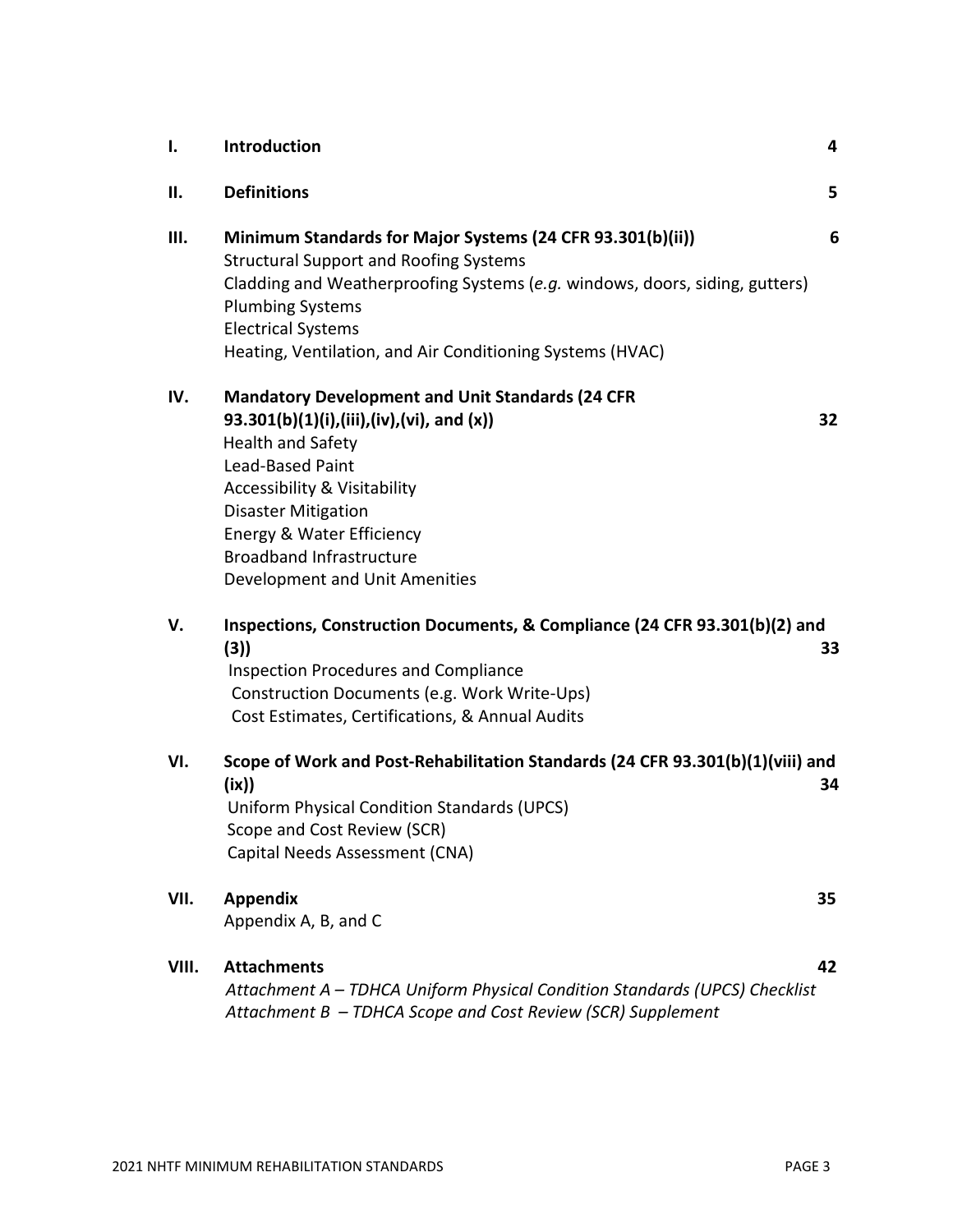| ı.    | Introduction                                                                                                                                                                                                                                                                                                                    | 4  |
|-------|---------------------------------------------------------------------------------------------------------------------------------------------------------------------------------------------------------------------------------------------------------------------------------------------------------------------------------|----|
| П.    | <b>Definitions</b>                                                                                                                                                                                                                                                                                                              | 5  |
| Ш.    | Minimum Standards for Major Systems (24 CFR 93.301(b)(ii))<br><b>Structural Support and Roofing Systems</b><br>Cladding and Weatherproofing Systems (e.g. windows, doors, siding, gutters)<br><b>Plumbing Systems</b><br><b>Electrical Systems</b><br>Heating, Ventilation, and Air Conditioning Systems (HVAC)                 | 6  |
| IV.   | <b>Mandatory Development and Unit Standards (24 CFR</b><br>93.301(b)(1)(i),(iii),(iv),(vi), and (x))<br><b>Health and Safety</b><br>Lead-Based Paint<br><b>Accessibility &amp; Visitability</b><br><b>Disaster Mitigation</b><br>Energy & Water Efficiency<br><b>Broadband Infrastructure</b><br>Development and Unit Amenities | 32 |
| V.    | Inspections, Construction Documents, & Compliance (24 CFR 93.301(b)(2) and<br>(3)<br><b>Inspection Procedures and Compliance</b><br>Construction Documents (e.g. Work Write-Ups)<br>Cost Estimates, Certifications, & Annual Audits                                                                                             | 33 |
| VI.   | Scope of Work and Post-Rehabilitation Standards (24 CFR 93.301(b)(1)(viii) and<br>(ix))<br>Uniform Physical Condition Standards (UPCS)<br>Scope and Cost Review (SCR)<br>Capital Needs Assessment (CNA)                                                                                                                         | 34 |
| VII.  | <b>Appendix</b><br>Appendix A, B, and C                                                                                                                                                                                                                                                                                         | 35 |
| VIII. | <b>Attachments</b><br>Attachment A - TDHCA Uniform Physical Condition Standards (UPCS) Checklist<br>Attachment B - TDHCA Scope and Cost Review (SCR) Supplement                                                                                                                                                                 | 42 |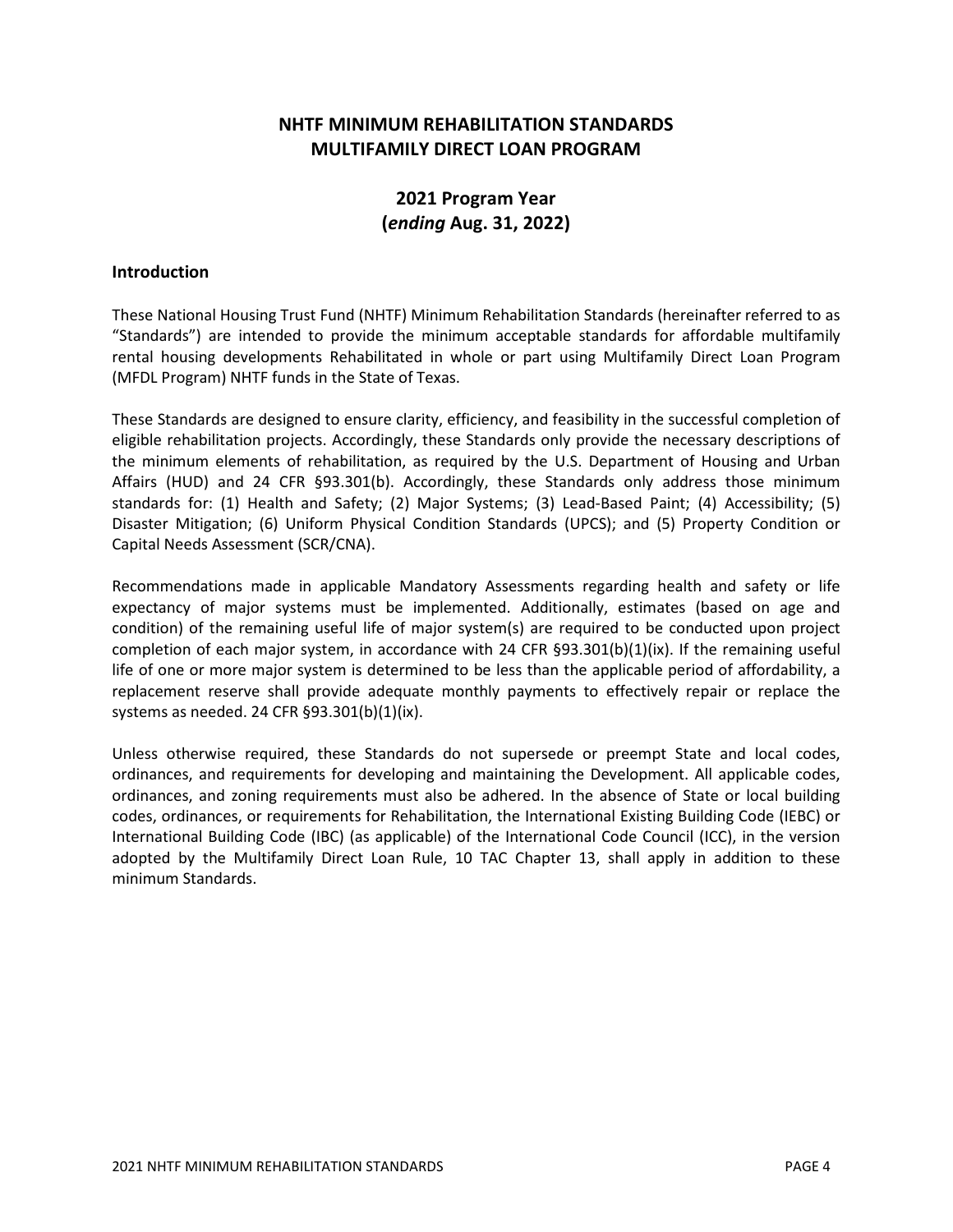# **NHTF MINIMUM REHABILITATION STANDARDS MULTIFAMILY DIRECT LOAN PROGRAM**

# **2021 Program Year (***ending* **Aug. 31, 2022)**

## **Introduction**

These National Housing Trust Fund (NHTF) Minimum Rehabilitation Standards (hereinafter referred to as "Standards") are intended to provide the minimum acceptable standards for affordable multifamily rental housing developments Rehabilitated in whole or part using Multifamily Direct Loan Program (MFDL Program) NHTF funds in the State of Texas.

These Standards are designed to ensure clarity, efficiency, and feasibility in the successful completion of eligible rehabilitation projects. Accordingly, these Standards only provide the necessary descriptions of the minimum elements of rehabilitation, as required by the U.S. Department of Housing and Urban Affairs (HUD) and 24 CFR §93.301(b). Accordingly, these Standards only address those minimum standards for: (1) Health and Safety; (2) Major Systems; (3) Lead-Based Paint; (4) Accessibility; (5) Disaster Mitigation; (6) Uniform Physical Condition Standards (UPCS); and (5) Property Condition or Capital Needs Assessment (SCR/CNA).

Recommendations made in applicable Mandatory Assessments regarding health and safety or life expectancy of major systems must be implemented. Additionally, estimates (based on age and condition) of the remaining useful life of major system(s) are required to be conducted upon project completion of each major system, in accordance with 24 CFR §93.301(b)(1)(ix). If the remaining useful life of one or more major system is determined to be less than the applicable period of affordability, a replacement reserve shall provide adequate monthly payments to effectively repair or replace the systems as needed. 24 CFR §93.301(b)(1)(ix).

<span id="page-6-0"></span>Unless otherwise required, these Standards do not supersede or preempt State and local codes, ordinances, and requirements for developing and maintaining the Development. All applicable codes, ordinances, and zoning requirements must also be adhered. In the absence of State or local building codes, ordinances, or requirements for Rehabilitation, the International Existing Building Code (IEBC) or International Building Code (IBC) (as applicable) of the International Code Council (ICC), in the version adopted by the Multifamily Direct Loan Rule, 10 TAC Chapter 13, shall apply in addition to these minimum Standards.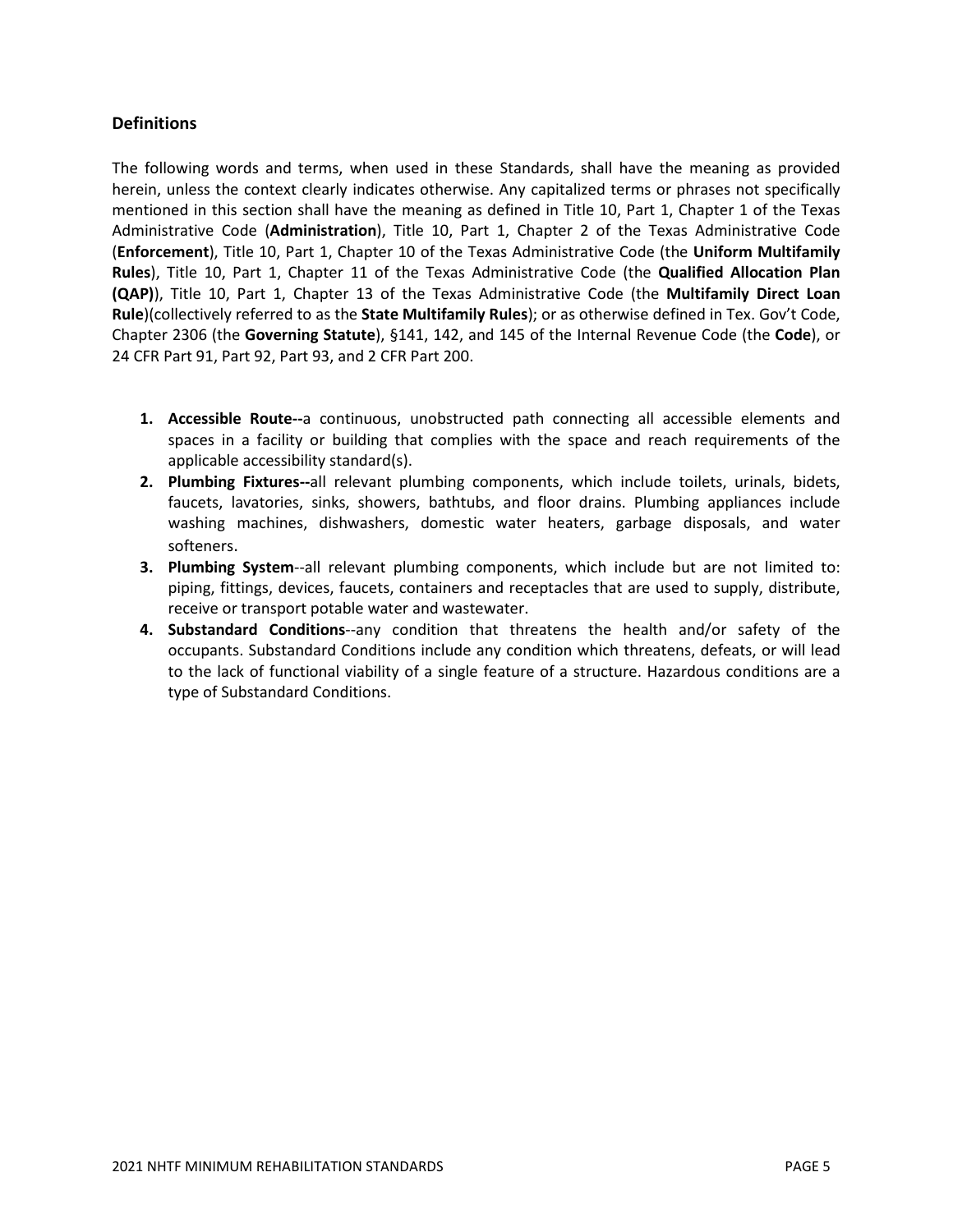# **Definitions**

The following words and terms, when used in these Standards, shall have the meaning as provided herein, unless the context clearly indicates otherwise. Any capitalized terms or phrases not specifically mentioned in this section shall have the meaning as defined in Title 10, Part 1, Chapter 1 of the Texas Administrative Code (**Administration**), Title 10, Part 1, Chapter 2 of the Texas Administrative Code (**Enforcement**), Title 10, Part 1, Chapter 10 of the Texas Administrative Code (the **Uniform Multifamily Rules**), Title 10, Part 1, Chapter 11 of the Texas Administrative Code (the **Qualified Allocation Plan (QAP)**), Title 10, Part 1, Chapter 13 of the Texas Administrative Code (the **Multifamily Direct Loan Rule**)(collectively referred to as the **State Multifamily Rules**); or as otherwise defined in Tex. Gov't Code, Chapter 2306 (the **Governing Statute**), §141, 142, and 145 of the Internal Revenue Code (the **Code**), or 24 CFR Part 91, Part 92, Part 93, and 2 CFR Part 200.

- **1. Accessible Route--**a continuous, unobstructed path connecting all accessible elements and spaces in a facility or building that complies with the space and reach requirements of the applicable accessibility standard(s).
- **2. Plumbing Fixtures--**all relevant plumbing components, which include toilets, urinals, bidets, faucets, lavatories, sinks, showers, bathtubs, and floor drains. Plumbing appliances include washing machines, dishwashers, domestic water heaters, garbage disposals, and water softeners.
- **3. Plumbing System**--all relevant plumbing components, which include but are not limited to: piping, fittings, devices, faucets, containers and receptacles that are used to supply, distribute, receive or transport potable water and wastewater.
- **4. Substandard Conditions**--any condition that threatens the health and/or safety of the occupants. Substandard Conditions include any condition which threatens, defeats, or will lead to the lack of functional viability of a single feature of a structure. Hazardous conditions are a type of Substandard Conditions.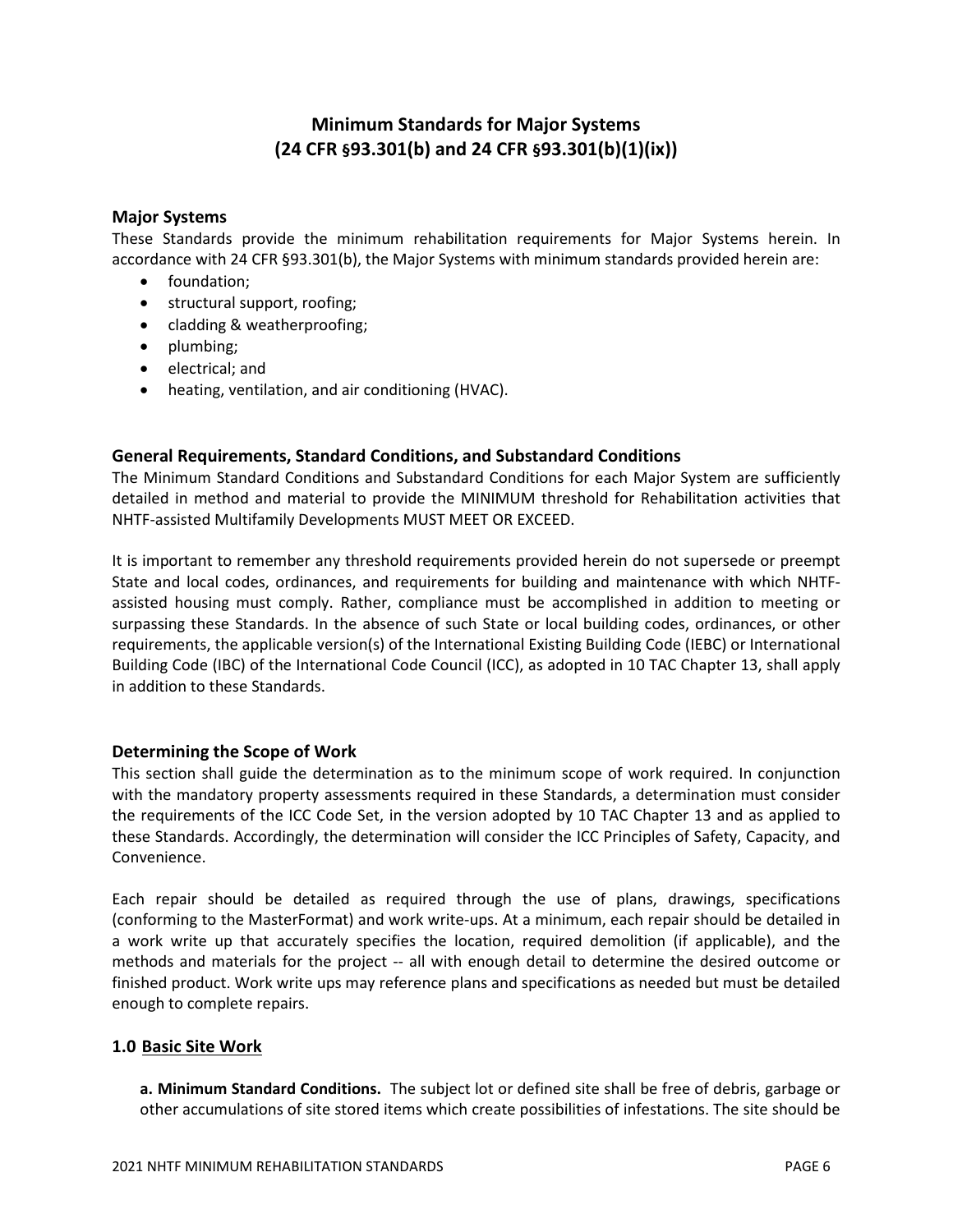# **Minimum Standards for Major Systems (24 CFR §93.301(b) and 24 CFR §93.301(b)(1)(ix))**

# **Major Systems**

These Standards provide the minimum rehabilitation requirements for Major Systems herein. In accordance with 24 CFR §93.301(b), the Major Systems with minimum standards provided herein are:

- foundation;
- structural support, roofing;
- cladding & weatherproofing;
- plumbing;
- electrical; and
- heating, ventilation, and air conditioning (HVAC).

# **General Requirements, Standard Conditions, and Substandard Conditions**

The Minimum Standard Conditions and Substandard Conditions for each Major System are sufficiently detailed in method and material to provide the MINIMUM threshold for Rehabilitation activities that NHTF-assisted Multifamily Developments MUST MEET OR EXCEED.

It is important to remember any threshold requirements provided herein do not supersede or preempt State and local codes, ordinances, and requirements for building and maintenance with which NHTFassisted housing must comply. Rather, compliance must be accomplished in addition to meeting or surpassing these Standards. In the absence of such State or local building codes, ordinances, or other requirements, the applicable version(s) of the International Existing Building Code (IEBC) or International Building Code (IBC) of the International Code Council (ICC), as adopted in 10 TAC Chapter 13, shall apply in addition to these Standards.

# **Determining the Scope of Work**

This section shall guide the determination as to the minimum scope of work required. In conjunction with the mandatory property assessments required in these Standards, a determination must consider the requirements of the ICC Code Set, in the version adopted by 10 TAC Chapter 13 and as applied to these Standards. Accordingly, the determination will consider the ICC Principles of Safety, Capacity, and Convenience.

Each repair should be detailed as required through the use of plans, drawings, specifications (conforming to the MasterFormat) and work write-ups. At a minimum, each repair should be detailed in a work write up that accurately specifies the location, required demolition (if applicable), and the methods and materials for the project -- all with enough detail to determine the desired outcome or finished product. Work write ups may reference plans and specifications as needed but must be detailed enough to complete repairs.

# **1.0 Basic Site Work**

**a. Minimum Standard Conditions.** The subject lot or defined site shall be free of debris, garbage or other accumulations of site stored items which create possibilities of infestations. The site should be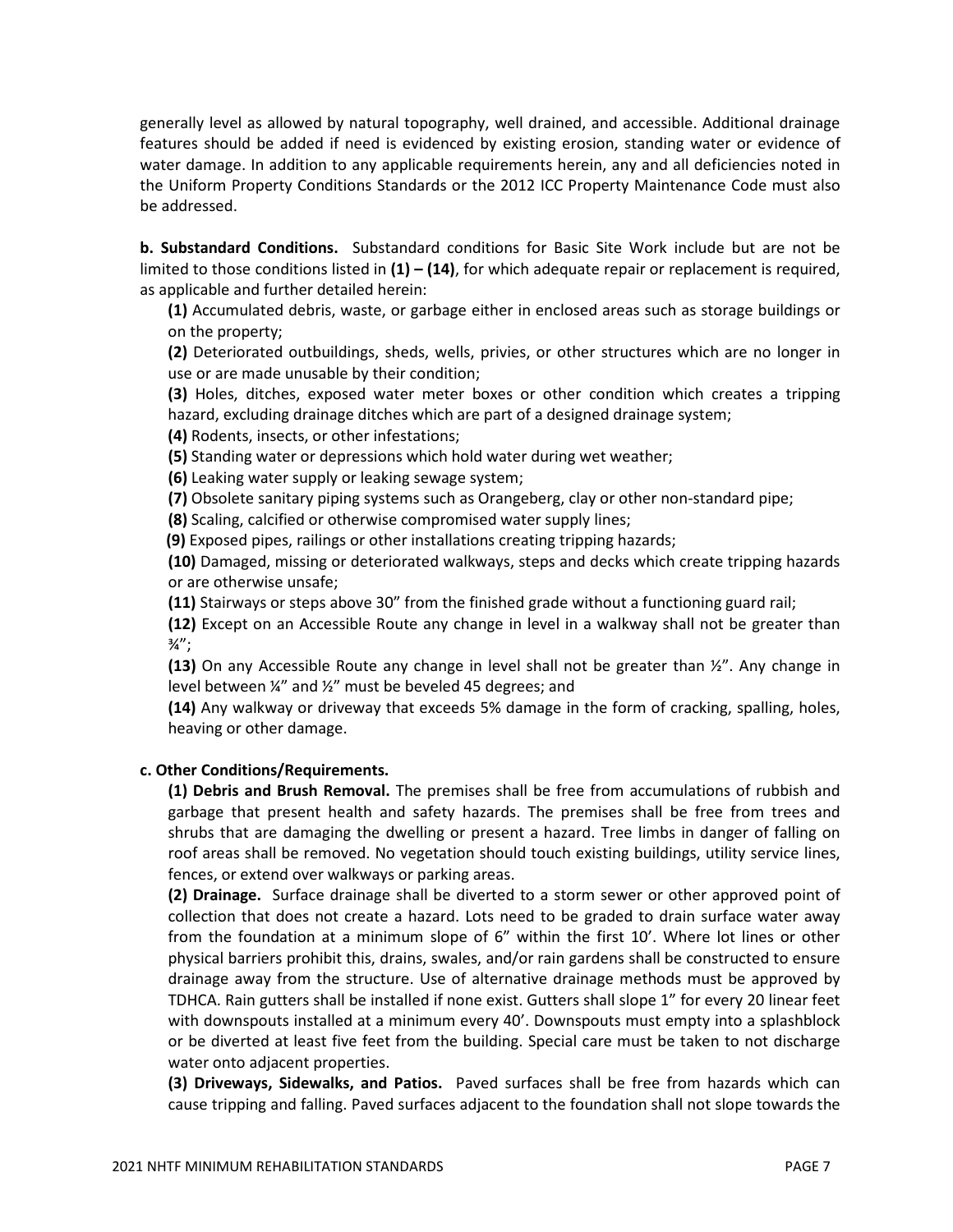generally level as allowed by natural topography, well drained, and accessible. Additional drainage features should be added if need is evidenced by existing erosion, standing water or evidence of water damage. In addition to any applicable requirements herein, any and all deficiencies noted in the Uniform Property Conditions Standards or the 2012 ICC Property Maintenance Code must also be addressed.

**b. Substandard Conditions.** Substandard conditions for Basic Site Work include but are not be limited to those conditions listed in **(1) – (14)**, for which adequate repair or replacement is required, as applicable and further detailed herein:

**(1)** Accumulated debris, waste, or garbage either in enclosed areas such as storage buildings or on the property;

**(2)** Deteriorated outbuildings, sheds, wells, privies, or other structures which are no longer in use or are made unusable by their condition;

**(3)** Holes, ditches, exposed water meter boxes or other condition which creates a tripping hazard, excluding drainage ditches which are part of a designed drainage system;

**(4)** Rodents, insects, or other infestations;

**(5)** Standing water or depressions which hold water during wet weather;

**(6)** Leaking water supply or leaking sewage system;

**(7)** Obsolete sanitary piping systems such as Orangeberg, clay or other non-standard pipe;

**(8)** Scaling, calcified or otherwise compromised water supply lines;

**(9)** Exposed pipes, railings or other installations creating tripping hazards;

**(10)** Damaged, missing or deteriorated walkways, steps and decks which create tripping hazards or are otherwise unsafe;

**(11)** Stairways or steps above 30" from the finished grade without a functioning guard rail;

**(12)** Except on an Accessible Route any change in level in a walkway shall not be greater than  $\frac{3}{4}$ ":

**(13)** On any Accessible Route any change in level shall not be greater than ½". Any change in level between ¼" and ½" must be beveled 45 degrees; and

**(14)** Any walkway or driveway that exceeds 5% damage in the form of cracking, spalling, holes, heaving or other damage.

# **c. Other Conditions/Requirements.**

**(1) Debris and Brush Removal.** The premises shall be free from accumulations of rubbish and garbage that present health and safety hazards. The premises shall be free from trees and shrubs that are damaging the dwelling or present a hazard. Tree limbs in danger of falling on roof areas shall be removed. No vegetation should touch existing buildings, utility service lines, fences, or extend over walkways or parking areas.

**(2) Drainage.** Surface drainage shall be diverted to a storm sewer or other approved point of collection that does not create a hazard. Lots need to be graded to drain surface water away from the foundation at a minimum slope of 6" within the first 10'. Where lot lines or other physical barriers prohibit this, drains, swales, and/or rain gardens shall be constructed to ensure drainage away from the structure. Use of alternative drainage methods must be approved by TDHCA. Rain gutters shall be installed if none exist. Gutters shall slope 1" for every 20 linear feet with downspouts installed at a minimum every 40'. Downspouts must empty into a splashblock or be diverted at least five feet from the building. Special care must be taken to not discharge water onto adjacent properties.

**(3) Driveways, Sidewalks, and Patios.** Paved surfaces shall be free from hazards which can cause tripping and falling. Paved surfaces adjacent to the foundation shall not slope towards the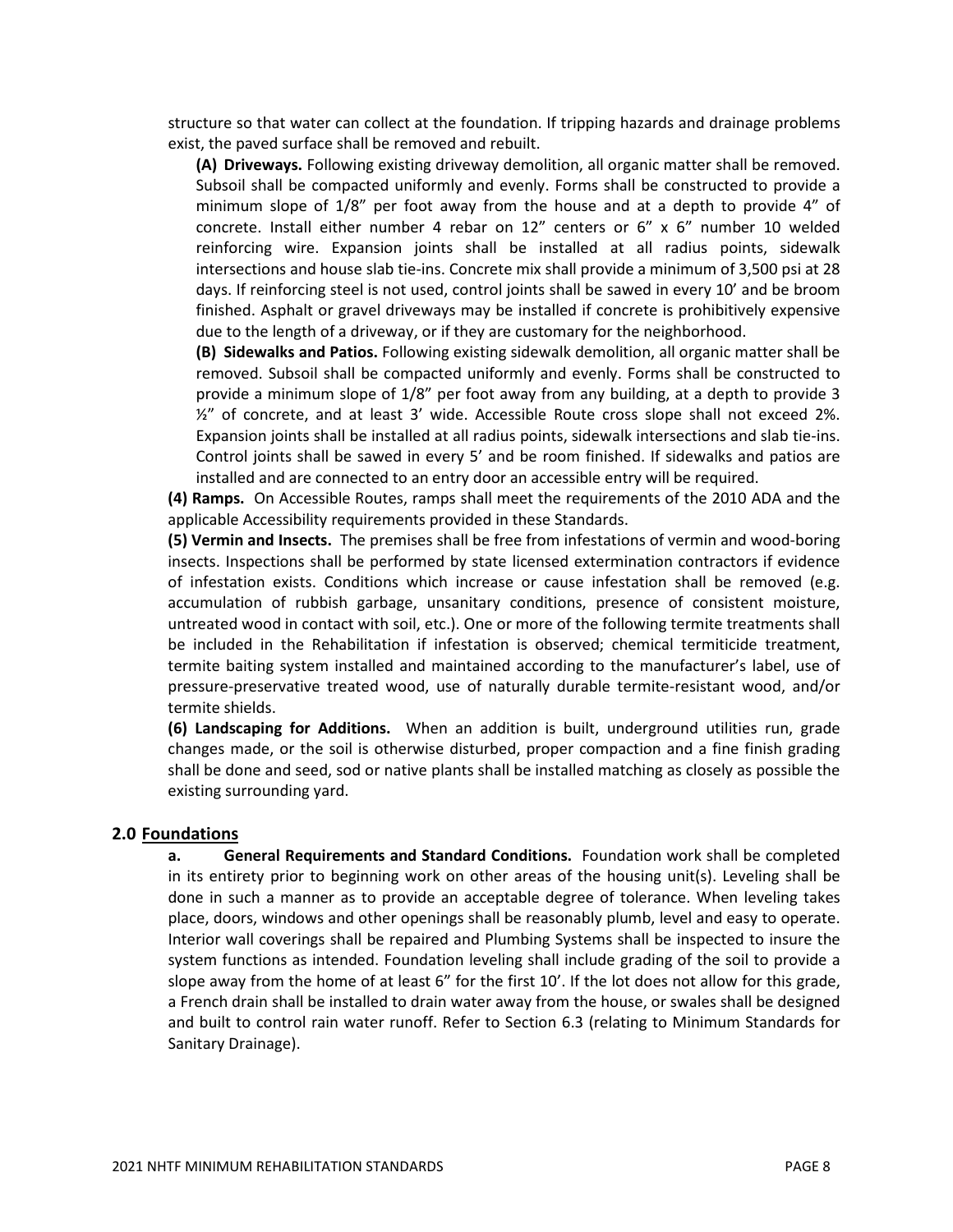structure so that water can collect at the foundation. If tripping hazards and drainage problems exist, the paved surface shall be removed and rebuilt.

**(A) Driveways.** Following existing driveway demolition, all organic matter shall be removed. Subsoil shall be compacted uniformly and evenly. Forms shall be constructed to provide a minimum slope of 1/8" per foot away from the house and at a depth to provide 4" of concrete. Install either number 4 rebar on 12" centers or 6" x 6" number 10 welded reinforcing wire. Expansion joints shall be installed at all radius points, sidewalk intersections and house slab tie-ins. Concrete mix shall provide a minimum of 3,500 psi at 28 days. If reinforcing steel is not used, control joints shall be sawed in every 10' and be broom finished. Asphalt or gravel driveways may be installed if concrete is prohibitively expensive due to the length of a driveway, or if they are customary for the neighborhood.

**(B) Sidewalks and Patios.** Following existing sidewalk demolition, all organic matter shall be removed. Subsoil shall be compacted uniformly and evenly. Forms shall be constructed to provide a minimum slope of 1/8" per foot away from any building, at a depth to provide 3 ½" of concrete, and at least 3' wide. Accessible Route cross slope shall not exceed 2%. Expansion joints shall be installed at all radius points, sidewalk intersections and slab tie-ins. Control joints shall be sawed in every 5' and be room finished. If sidewalks and patios are installed and are connected to an entry door an accessible entry will be required.

**(4) Ramps.** On Accessible Routes, ramps shall meet the requirements of the 2010 ADA and the applicable Accessibility requirements provided in these Standards.

**(5) Vermin and Insects.** The premises shall be free from infestations of vermin and wood-boring insects. Inspections shall be performed by state licensed extermination contractors if evidence of infestation exists. Conditions which increase or cause infestation shall be removed (e.g. accumulation of rubbish garbage, unsanitary conditions, presence of consistent moisture, untreated wood in contact with soil, etc.). One or more of the following termite treatments shall be included in the Rehabilitation if infestation is observed; chemical termiticide treatment, termite baiting system installed and maintained according to the manufacturer's label, use of pressure-preservative treated wood, use of naturally durable termite-resistant wood, and/or termite shields.

**(6) Landscaping for Additions.** When an addition is built, underground utilities run, grade changes made, or the soil is otherwise disturbed, proper compaction and a fine finish grading shall be done and seed, sod or native plants shall be installed matching as closely as possible the existing surrounding yard.

# **2.0 Foundations**

**a. General Requirements and Standard Conditions.** Foundation work shall be completed in its entirety prior to beginning work on other areas of the housing unit(s). Leveling shall be done in such a manner as to provide an acceptable degree of tolerance. When leveling takes place, doors, windows and other openings shall be reasonably plumb, level and easy to operate. Interior wall coverings shall be repaired and Plumbing Systems shall be inspected to insure the system functions as intended. Foundation leveling shall include grading of the soil to provide a slope away from the home of at least 6" for the first 10'. If the lot does not allow for this grade, a French drain shall be installed to drain water away from the house, or swales shall be designed and built to control rain water runoff. Refer to Section 6.3 (relating to Minimum Standards for Sanitary Drainage).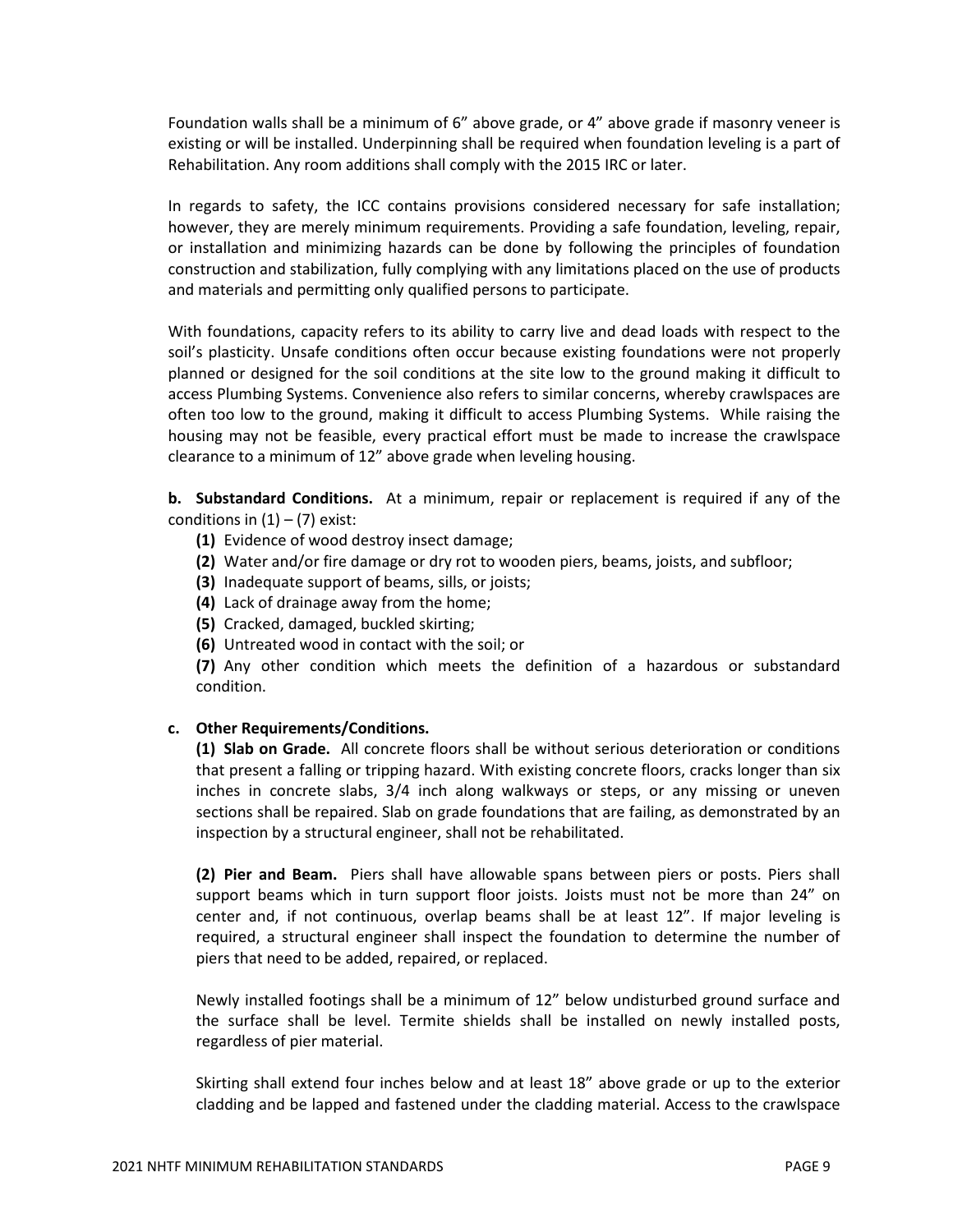Foundation walls shall be a minimum of 6" above grade, or 4" above grade if masonry veneer is existing or will be installed. Underpinning shall be required when foundation leveling is a part of Rehabilitation. Any room additions shall comply with the 2015 IRC or later.

In regards to safety, the ICC contains provisions considered necessary for safe installation; however, they are merely minimum requirements. Providing a safe foundation, leveling, repair, or installation and minimizing hazards can be done by following the principles of foundation construction and stabilization, fully complying with any limitations placed on the use of products and materials and permitting only qualified persons to participate.

With foundations, capacity refers to its ability to carry live and dead loads with respect to the soil's plasticity. Unsafe conditions often occur because existing foundations were not properly planned or designed for the soil conditions at the site low to the ground making it difficult to access Plumbing Systems. Convenience also refers to similar concerns, whereby crawlspaces are often too low to the ground, making it difficult to access Plumbing Systems. While raising the housing may not be feasible, every practical effort must be made to increase the crawlspace clearance to a minimum of 12" above grade when leveling housing.

**b. Substandard Conditions.** At a minimum, repair or replacement is required if any of the conditions in  $(1) - (7)$  exist:

- **(1)** Evidence of wood destroy insect damage;
- **(2)** Water and/or fire damage or dry rot to wooden piers, beams, joists, and subfloor;
- **(3)** Inadequate support of beams, sills, or joists;
- **(4)** Lack of drainage away from the home;
- **(5)** Cracked, damaged, buckled skirting;
- **(6)** Untreated wood in contact with the soil; or

**(7)** Any other condition which meets the definition of a hazardous or substandard condition.

# **c. Other Requirements/Conditions.**

**(1) Slab on Grade.** All concrete floors shall be without serious deterioration or conditions that present a falling or tripping hazard. With existing concrete floors, cracks longer than six inches in concrete slabs, 3/4 inch along walkways or steps, or any missing or uneven sections shall be repaired. Slab on grade foundations that are failing, as demonstrated by an inspection by a structural engineer, shall not be rehabilitated.

**(2) Pier and Beam.** Piers shall have allowable spans between piers or posts. Piers shall support beams which in turn support floor joists. Joists must not be more than 24" on center and, if not continuous, overlap beams shall be at least 12". If major leveling is required, a structural engineer shall inspect the foundation to determine the number of piers that need to be added, repaired, or replaced.

Newly installed footings shall be a minimum of 12" below undisturbed ground surface and the surface shall be level. Termite shields shall be installed on newly installed posts, regardless of pier material.

Skirting shall extend four inches below and at least 18" above grade or up to the exterior cladding and be lapped and fastened under the cladding material. Access to the crawlspace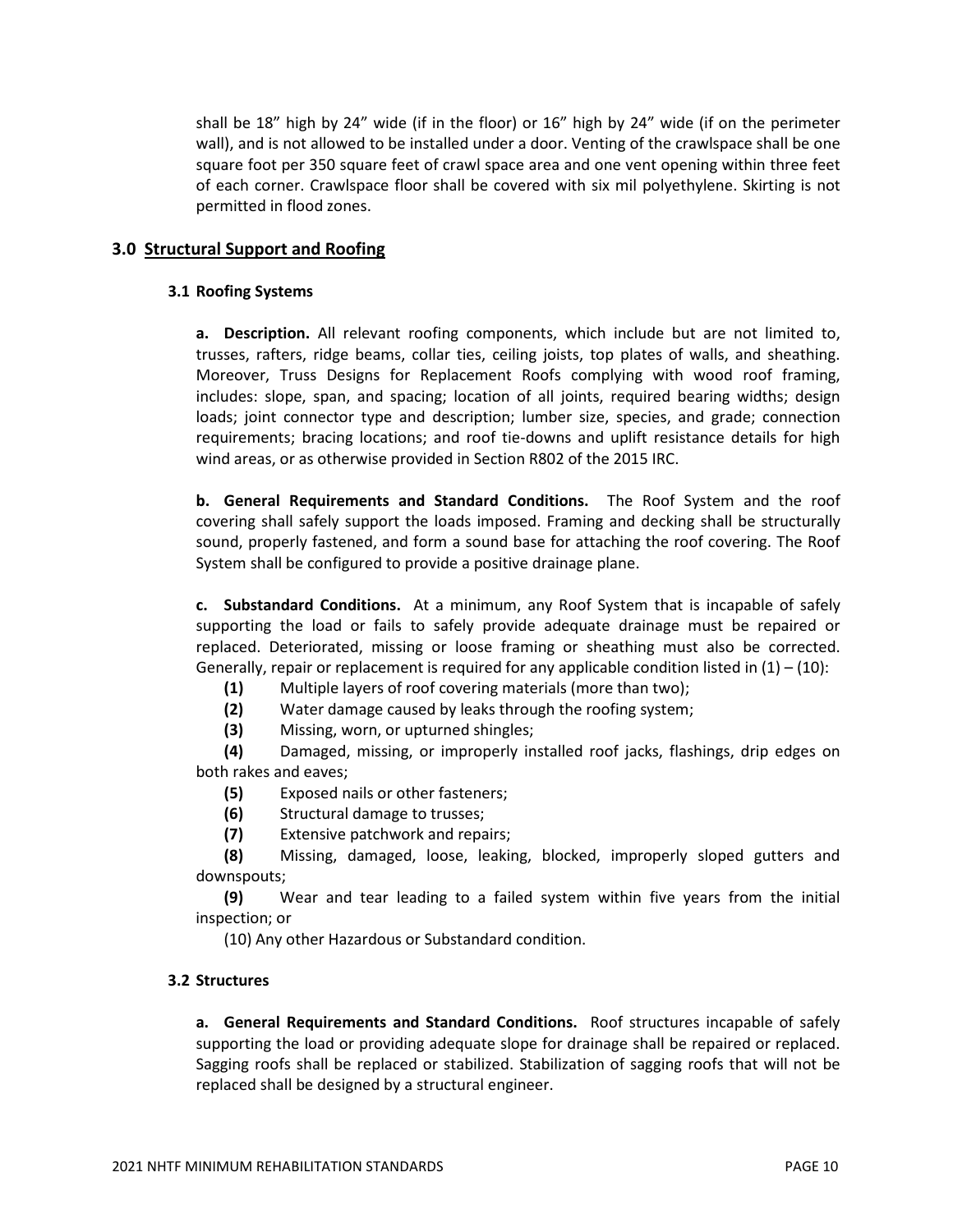shall be 18" high by 24" wide (if in the floor) or 16" high by 24" wide (if on the perimeter wall), and is not allowed to be installed under a door. Venting of the crawlspace shall be one square foot per 350 square feet of crawl space area and one vent opening within three feet of each corner. Crawlspace floor shall be covered with six mil polyethylene. Skirting is not permitted in flood zones.

# **3.0 Structural Support and Roofing**

## **3.1 Roofing Systems**

**a. Description.** All relevant roofing components, which include but are not limited to, trusses, rafters, ridge beams, collar ties, ceiling joists, top plates of walls, and sheathing. Moreover, Truss Designs for Replacement Roofs complying with wood roof framing, includes: slope, span, and spacing; location of all joints, required bearing widths; design loads; joint connector type and description; lumber size, species, and grade; connection requirements; bracing locations; and roof tie-downs and uplift resistance details for high wind areas, or as otherwise provided in Section R802 of the 2015 IRC.

**b. General Requirements and Standard Conditions.** The Roof System and the roof covering shall safely support the loads imposed. Framing and decking shall be structurally sound, properly fastened, and form a sound base for attaching the roof covering. The Roof System shall be configured to provide a positive drainage plane.

**c. Substandard Conditions.** At a minimum, any Roof System that is incapable of safely supporting the load or fails to safely provide adequate drainage must be repaired or replaced. Deteriorated, missing or loose framing or sheathing must also be corrected. Generally, repair or replacement is required for any applicable condition listed in  $(1) - (10)$ :

**(1)** Multiple layers of roof covering materials (more than two);

**(2)** Water damage caused by leaks through the roofing system;

**(3)** Missing, worn, or upturned shingles;

**(4)** Damaged, missing, or improperly installed roof jacks, flashings, drip edges on both rakes and eaves;

**(5)** Exposed nails or other fasteners;

**(6)** Structural damage to trusses;

**(7)** Extensive patchwork and repairs;

**(8)** Missing, damaged, loose, leaking, blocked, improperly sloped gutters and downspouts;

**(9)** Wear and tear leading to a failed system within five years from the initial inspection; or

(10) Any other Hazardous or Substandard condition.

# **3.2 Structures**

**a. General Requirements and Standard Conditions.** Roof structures incapable of safely supporting the load or providing adequate slope for drainage shall be repaired or replaced. Sagging roofs shall be replaced or stabilized. Stabilization of sagging roofs that will not be replaced shall be designed by a structural engineer.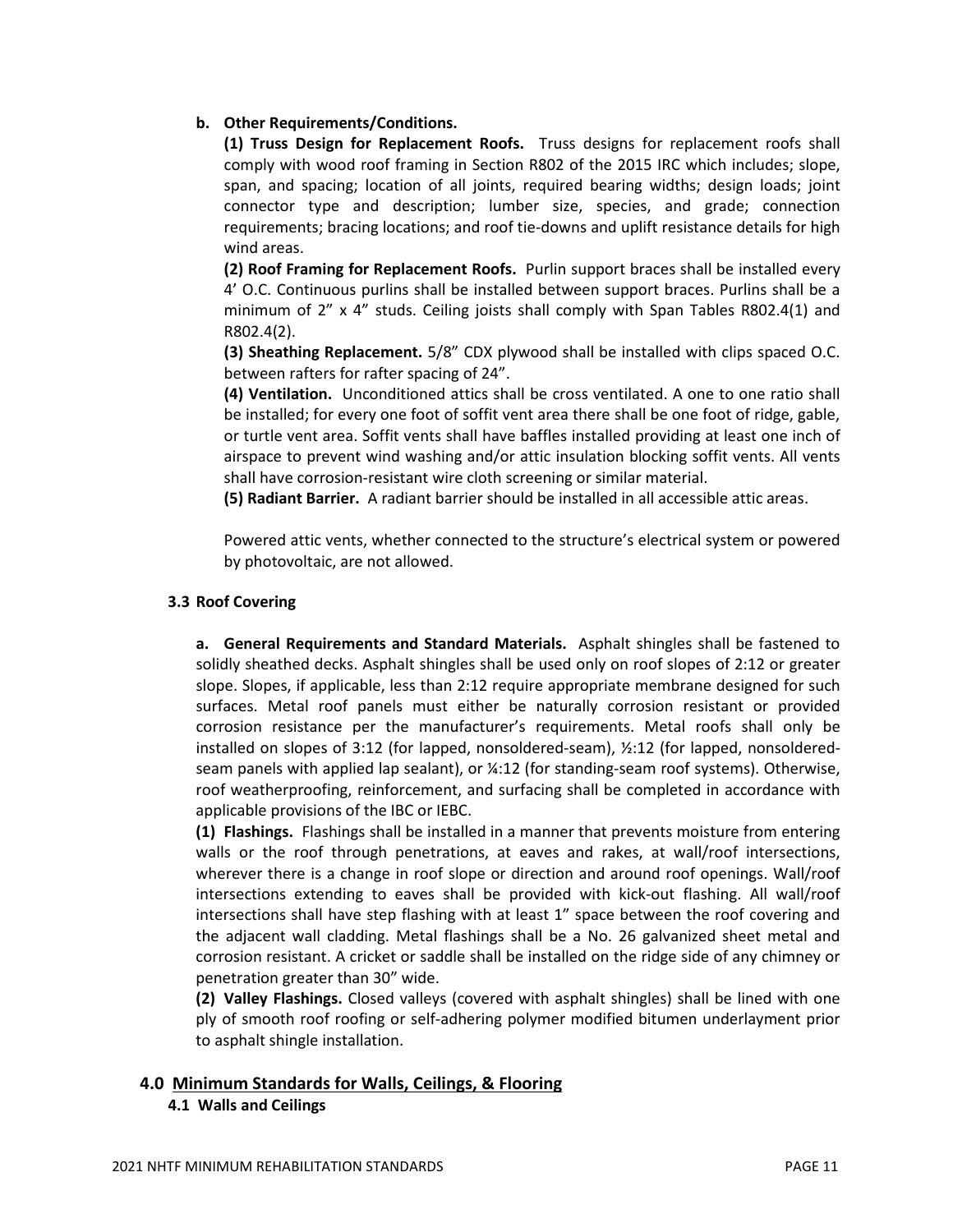# **b. Other Requirements/Conditions.**

**(1) Truss Design for Replacement Roofs.** Truss designs for replacement roofs shall comply with wood roof framing in Section R802 of the 2015 IRC which includes; slope, span, and spacing; location of all joints, required bearing widths; design loads; joint connector type and description; lumber size, species, and grade; connection requirements; bracing locations; and roof tie-downs and uplift resistance details for high wind areas.

**(2) Roof Framing for Replacement Roofs.** Purlin support braces shall be installed every 4' O.C. Continuous purlins shall be installed between support braces. Purlins shall be a minimum of 2" x 4" studs. Ceiling joists shall comply with Span Tables R802.4(1) and R802.4(2).

**(3) Sheathing Replacement.** 5/8" CDX plywood shall be installed with clips spaced O.C. between rafters for rafter spacing of 24".

**(4) Ventilation.** Unconditioned attics shall be cross ventilated. A one to one ratio shall be installed; for every one foot of soffit vent area there shall be one foot of ridge, gable, or turtle vent area. Soffit vents shall have baffles installed providing at least one inch of airspace to prevent wind washing and/or attic insulation blocking soffit vents. All vents shall have corrosion-resistant wire cloth screening or similar material.

**(5) Radiant Barrier.** A radiant barrier should be installed in all accessible attic areas.

Powered attic vents, whether connected to the structure's electrical system or powered by photovoltaic, are not allowed.

# **3.3 Roof Covering**

**a. General Requirements and Standard Materials.** Asphalt shingles shall be fastened to solidly sheathed decks. Asphalt shingles shall be used only on roof slopes of 2:12 or greater slope. Slopes, if applicable, less than 2:12 require appropriate membrane designed for such surfaces. Metal roof panels must either be naturally corrosion resistant or provided corrosion resistance per the manufacturer's requirements. Metal roofs shall only be installed on slopes of 3:12 (for lapped, nonsoldered-seam), ½:12 (for lapped, nonsolderedseam panels with applied lap sealant), or  $\frac{1}{2}$  (for standing-seam roof systems). Otherwise, roof weatherproofing, reinforcement, and surfacing shall be completed in accordance with applicable provisions of the IBC or IEBC.

**(1) Flashings.** Flashings shall be installed in a manner that prevents moisture from entering walls or the roof through penetrations, at eaves and rakes, at wall/roof intersections, wherever there is a change in roof slope or direction and around roof openings. Wall/roof intersections extending to eaves shall be provided with kick-out flashing. All wall/roof intersections shall have step flashing with at least 1" space between the roof covering and the adjacent wall cladding. Metal flashings shall be a No. 26 galvanized sheet metal and corrosion resistant. A cricket or saddle shall be installed on the ridge side of any chimney or penetration greater than 30" wide.

**(2) Valley Flashings.** Closed valleys (covered with asphalt shingles) shall be lined with one ply of smooth roof roofing or self-adhering polymer modified bitumen underlayment prior to asphalt shingle installation.

# **4.0 Minimum Standards for Walls, Ceilings, & Flooring**

**4.1 Walls and Ceilings**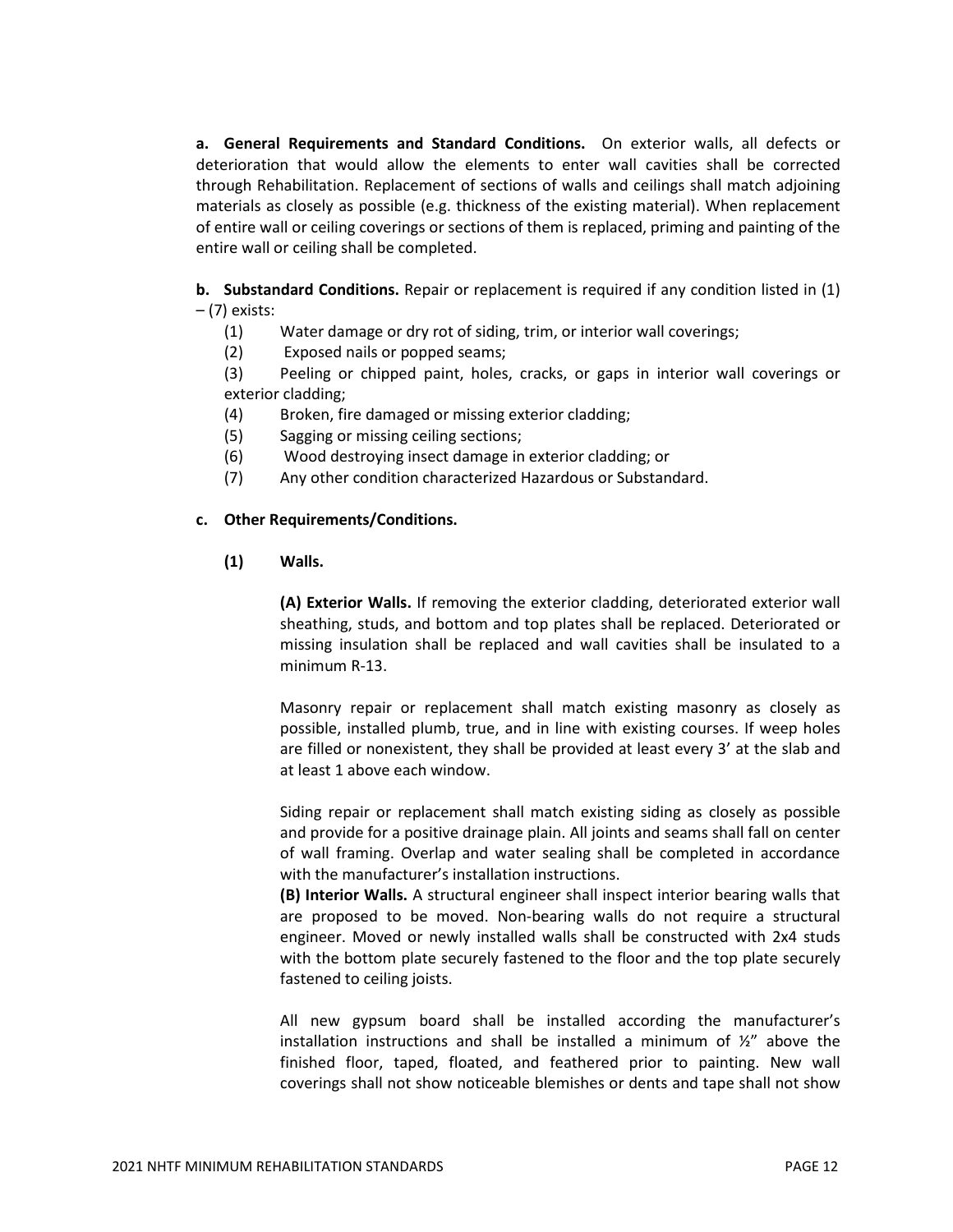**a. General Requirements and Standard Conditions.** On exterior walls, all defects or deterioration that would allow the elements to enter wall cavities shall be corrected through Rehabilitation. Replacement of sections of walls and ceilings shall match adjoining materials as closely as possible (e.g. thickness of the existing material). When replacement of entire wall or ceiling coverings or sections of them is replaced, priming and painting of the entire wall or ceiling shall be completed.

**b. Substandard Conditions.** Repair or replacement is required if any condition listed in (1) – (7) exists:

- (1) Water damage or dry rot of siding, trim, or interior wall coverings;
- (2) Exposed nails or popped seams;

(3) Peeling or chipped paint, holes, cracks, or gaps in interior wall coverings or exterior cladding;

- (4) Broken, fire damaged or missing exterior cladding;
- (5) Sagging or missing ceiling sections;
- (6) Wood destroying insect damage in exterior cladding; or
- (7) Any other condition characterized Hazardous or Substandard.

# **c. Other Requirements/Conditions.**

# **(1) Walls.**

**(A) Exterior Walls.** If removing the exterior cladding, deteriorated exterior wall sheathing, studs, and bottom and top plates shall be replaced. Deteriorated or missing insulation shall be replaced and wall cavities shall be insulated to a minimum R-13.

Masonry repair or replacement shall match existing masonry as closely as possible, installed plumb, true, and in line with existing courses. If weep holes are filled or nonexistent, they shall be provided at least every 3' at the slab and at least 1 above each window.

Siding repair or replacement shall match existing siding as closely as possible and provide for a positive drainage plain. All joints and seams shall fall on center of wall framing. Overlap and water sealing shall be completed in accordance with the manufacturer's installation instructions.

**(B) Interior Walls.** A structural engineer shall inspect interior bearing walls that are proposed to be moved. Non-bearing walls do not require a structural engineer. Moved or newly installed walls shall be constructed with 2x4 studs with the bottom plate securely fastened to the floor and the top plate securely fastened to ceiling joists.

All new gypsum board shall be installed according the manufacturer's installation instructions and shall be installed a minimum of ½" above the finished floor, taped, floated, and feathered prior to painting. New wall coverings shall not show noticeable blemishes or dents and tape shall not show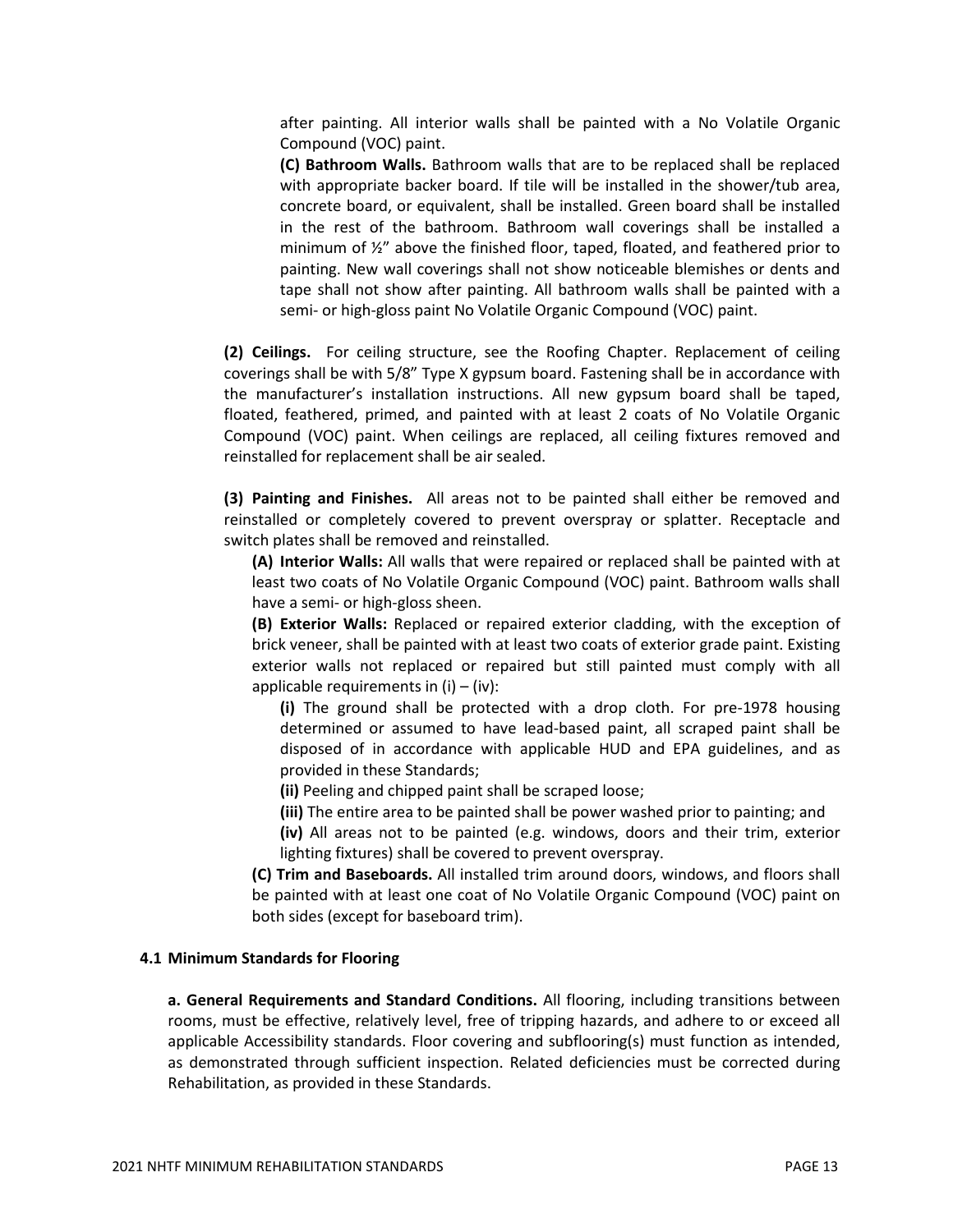after painting. All interior walls shall be painted with a No Volatile Organic Compound (VOC) paint.

**(C) Bathroom Walls.** Bathroom walls that are to be replaced shall be replaced with appropriate backer board. If tile will be installed in the shower/tub area, concrete board, or equivalent, shall be installed. Green board shall be installed in the rest of the bathroom. Bathroom wall coverings shall be installed a minimum of ½" above the finished floor, taped, floated, and feathered prior to painting. New wall coverings shall not show noticeable blemishes or dents and tape shall not show after painting. All bathroom walls shall be painted with a semi- or high-gloss paint No Volatile Organic Compound (VOC) paint.

**(2) Ceilings.** For ceiling structure, see the Roofing Chapter. Replacement of ceiling coverings shall be with 5/8" Type X gypsum board. Fastening shall be in accordance with the manufacturer's installation instructions. All new gypsum board shall be taped, floated, feathered, primed, and painted with at least 2 coats of No Volatile Organic Compound (VOC) paint. When ceilings are replaced, all ceiling fixtures removed and reinstalled for replacement shall be air sealed.

**(3) Painting and Finishes.** All areas not to be painted shall either be removed and reinstalled or completely covered to prevent overspray or splatter. Receptacle and switch plates shall be removed and reinstalled.

**(A) Interior Walls:** All walls that were repaired or replaced shall be painted with at least two coats of No Volatile Organic Compound (VOC) paint. Bathroom walls shall have a semi- or high-gloss sheen.

**(B) Exterior Walls:** Replaced or repaired exterior cladding, with the exception of brick veneer, shall be painted with at least two coats of exterior grade paint. Existing exterior walls not replaced or repaired but still painted must comply with all applicable requirements in  $(i) - (iv)$ :

**(i)** The ground shall be protected with a drop cloth. For pre-1978 housing determined or assumed to have lead-based paint, all scraped paint shall be disposed of in accordance with applicable HUD and EPA guidelines, and as provided in these Standards;

**(ii)** Peeling and chipped paint shall be scraped loose;

**(iii)** The entire area to be painted shall be power washed prior to painting; and

**(iv)** All areas not to be painted (e.g. windows, doors and their trim, exterior lighting fixtures) shall be covered to prevent overspray.

**(C) Trim and Baseboards.** All installed trim around doors, windows, and floors shall be painted with at least one coat of No Volatile Organic Compound (VOC) paint on both sides (except for baseboard trim).

### **4.1 Minimum Standards for Flooring**

**a. General Requirements and Standard Conditions.** All flooring, including transitions between rooms, must be effective, relatively level, free of tripping hazards, and adhere to or exceed all applicable Accessibility standards. Floor covering and subflooring(s) must function as intended, as demonstrated through sufficient inspection. Related deficiencies must be corrected during Rehabilitation, as provided in these Standards.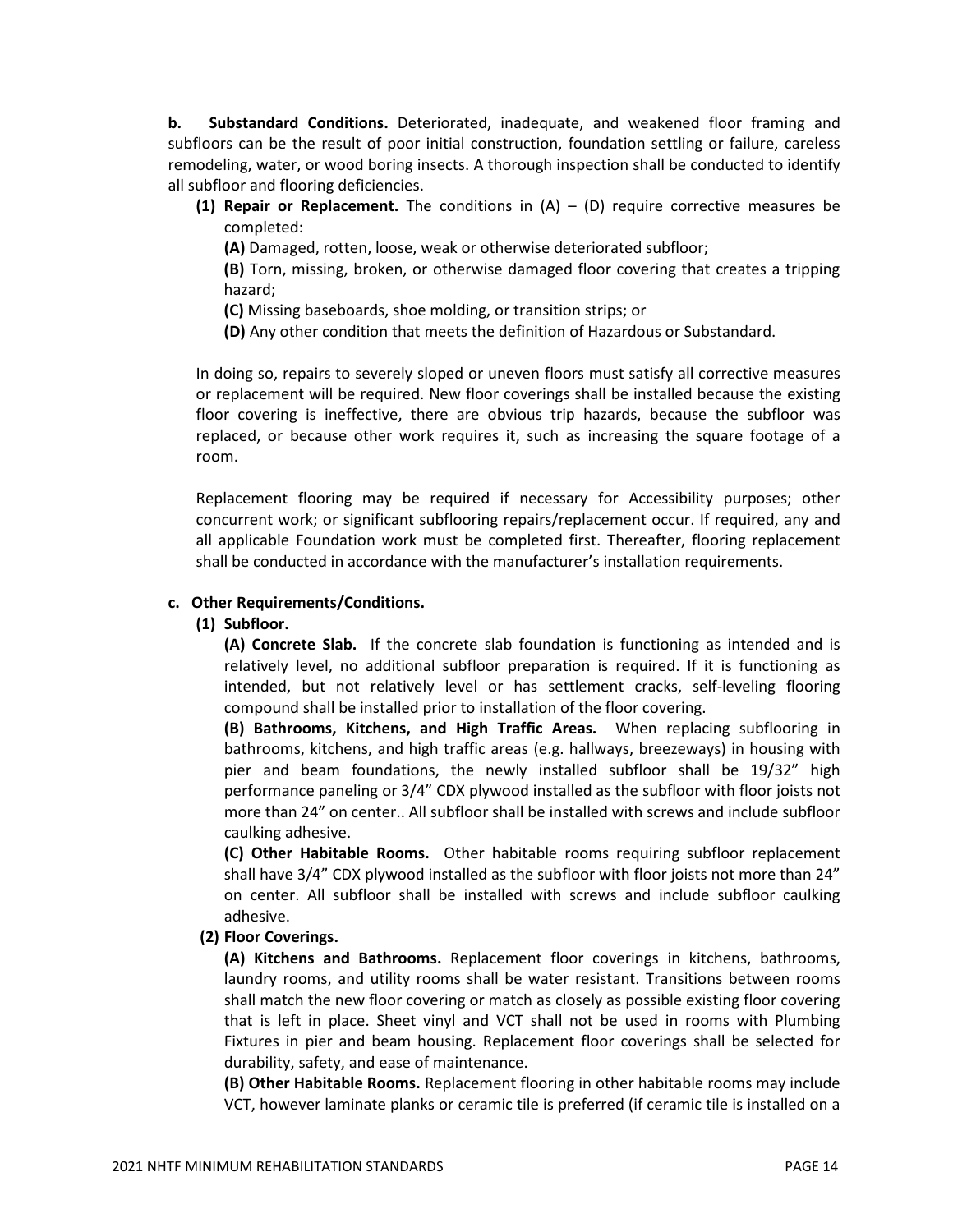**b. Substandard Conditions.** Deteriorated, inadequate, and weakened floor framing and subfloors can be the result of poor initial construction, foundation settling or failure, careless remodeling, water, or wood boring insects. A thorough inspection shall be conducted to identify all subfloor and flooring deficiencies.

- **(1) Repair or Replacement.** The conditions in (A) (D) require corrective measures be completed:
	- **(A)** Damaged, rotten, loose, weak or otherwise deteriorated subfloor;

**(B)** Torn, missing, broken, or otherwise damaged floor covering that creates a tripping hazard;

- **(C)** Missing baseboards, shoe molding, or transition strips; or
- **(D)** Any other condition that meets the definition of Hazardous or Substandard.

In doing so, repairs to severely sloped or uneven floors must satisfy all corrective measures or replacement will be required. New floor coverings shall be installed because the existing floor covering is ineffective, there are obvious trip hazards, because the subfloor was replaced, or because other work requires it, such as increasing the square footage of a room.

Replacement flooring may be required if necessary for Accessibility purposes; other concurrent work; or significant subflooring repairs/replacement occur. If required, any and all applicable Foundation work must be completed first. Thereafter, flooring replacement shall be conducted in accordance with the manufacturer's installation requirements.

# **c. Other Requirements/Conditions.**

**(1) Subfloor.** 

**(A) Concrete Slab.** If the concrete slab foundation is functioning as intended and is relatively level, no additional subfloor preparation is required. If it is functioning as intended, but not relatively level or has settlement cracks, self-leveling flooring compound shall be installed prior to installation of the floor covering.

**(B) Bathrooms, Kitchens, and High Traffic Areas.** When replacing subflooring in bathrooms, kitchens, and high traffic areas (e.g. hallways, breezeways) in housing with pier and beam foundations, the newly installed subfloor shall be 19/32" high performance paneling or 3/4" CDX plywood installed as the subfloor with floor joists not more than 24" on center.. All subfloor shall be installed with screws and include subfloor caulking adhesive.

**(C) Other Habitable Rooms.** Other habitable rooms requiring subfloor replacement shall have 3/4" CDX plywood installed as the subfloor with floor joists not more than 24" on center. All subfloor shall be installed with screws and include subfloor caulking adhesive.

#### **(2) Floor Coverings.**

**(A) Kitchens and Bathrooms.** Replacement floor coverings in kitchens, bathrooms, laundry rooms, and utility rooms shall be water resistant. Transitions between rooms shall match the new floor covering or match as closely as possible existing floor covering that is left in place. Sheet vinyl and VCT shall not be used in rooms with Plumbing Fixtures in pier and beam housing. Replacement floor coverings shall be selected for durability, safety, and ease of maintenance.

**(B) Other Habitable Rooms.** Replacement flooring in other habitable rooms may include VCT, however laminate planks or ceramic tile is preferred (if ceramic tile is installed on a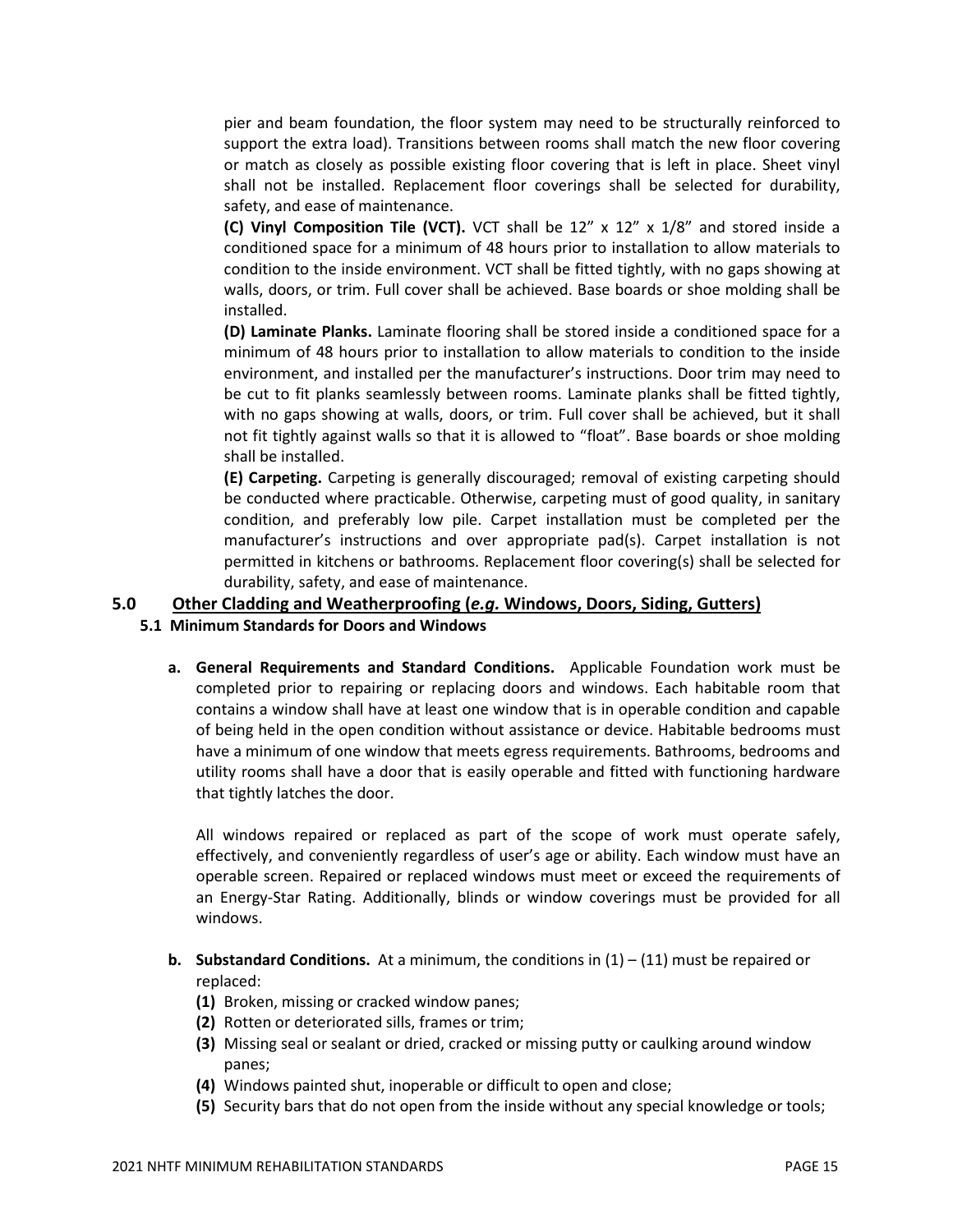pier and beam foundation, the floor system may need to be structurally reinforced to support the extra load). Transitions between rooms shall match the new floor covering or match as closely as possible existing floor covering that is left in place. Sheet vinyl shall not be installed. Replacement floor coverings shall be selected for durability, safety, and ease of maintenance.

**(C) Vinyl Composition Tile (VCT).** VCT shall be 12" x 12" x 1/8" and stored inside a conditioned space for a minimum of 48 hours prior to installation to allow materials to condition to the inside environment. VCT shall be fitted tightly, with no gaps showing at walls, doors, or trim. Full cover shall be achieved. Base boards or shoe molding shall be installed.

**(D) Laminate Planks.** Laminate flooring shall be stored inside a conditioned space for a minimum of 48 hours prior to installation to allow materials to condition to the inside environment, and installed per the manufacturer's instructions. Door trim may need to be cut to fit planks seamlessly between rooms. Laminate planks shall be fitted tightly, with no gaps showing at walls, doors, or trim. Full cover shall be achieved, but it shall not fit tightly against walls so that it is allowed to "float". Base boards or shoe molding shall be installed.

**(E) Carpeting.** Carpeting is generally discouraged; removal of existing carpeting should be conducted where practicable. Otherwise, carpeting must of good quality, in sanitary condition, and preferably low pile. Carpet installation must be completed per the manufacturer's instructions and over appropriate pad(s). Carpet installation is not permitted in kitchens or bathrooms. Replacement floor covering(s) shall be selected for durability, safety, and ease of maintenance.

# **5.0 Other Cladding and Weatherproofing (***e.g.* **Windows, Doors, Siding, Gutters)**

# **5.1 Minimum Standards for Doors and Windows**

**a. General Requirements and Standard Conditions.** Applicable Foundation work must be completed prior to repairing or replacing doors and windows. Each habitable room that contains a window shall have at least one window that is in operable condition and capable of being held in the open condition without assistance or device. Habitable bedrooms must have a minimum of one window that meets egress requirements. Bathrooms, bedrooms and utility rooms shall have a door that is easily operable and fitted with functioning hardware that tightly latches the door.

All windows repaired or replaced as part of the scope of work must operate safely, effectively, and conveniently regardless of user's age or ability. Each window must have an operable screen. Repaired or replaced windows must meet or exceed the requirements of an Energy-Star Rating. Additionally, blinds or window coverings must be provided for all windows.

- **b. Substandard Conditions.** At a minimum, the conditions in (1) (11) must be repaired or replaced:
	- **(1)** Broken, missing or cracked window panes;
	- **(2)** Rotten or deteriorated sills, frames or trim;
	- **(3)** Missing seal or sealant or dried, cracked or missing putty or caulking around window panes;
	- **(4)** Windows painted shut, inoperable or difficult to open and close;
	- **(5)** Security bars that do not open from the inside without any special knowledge or tools;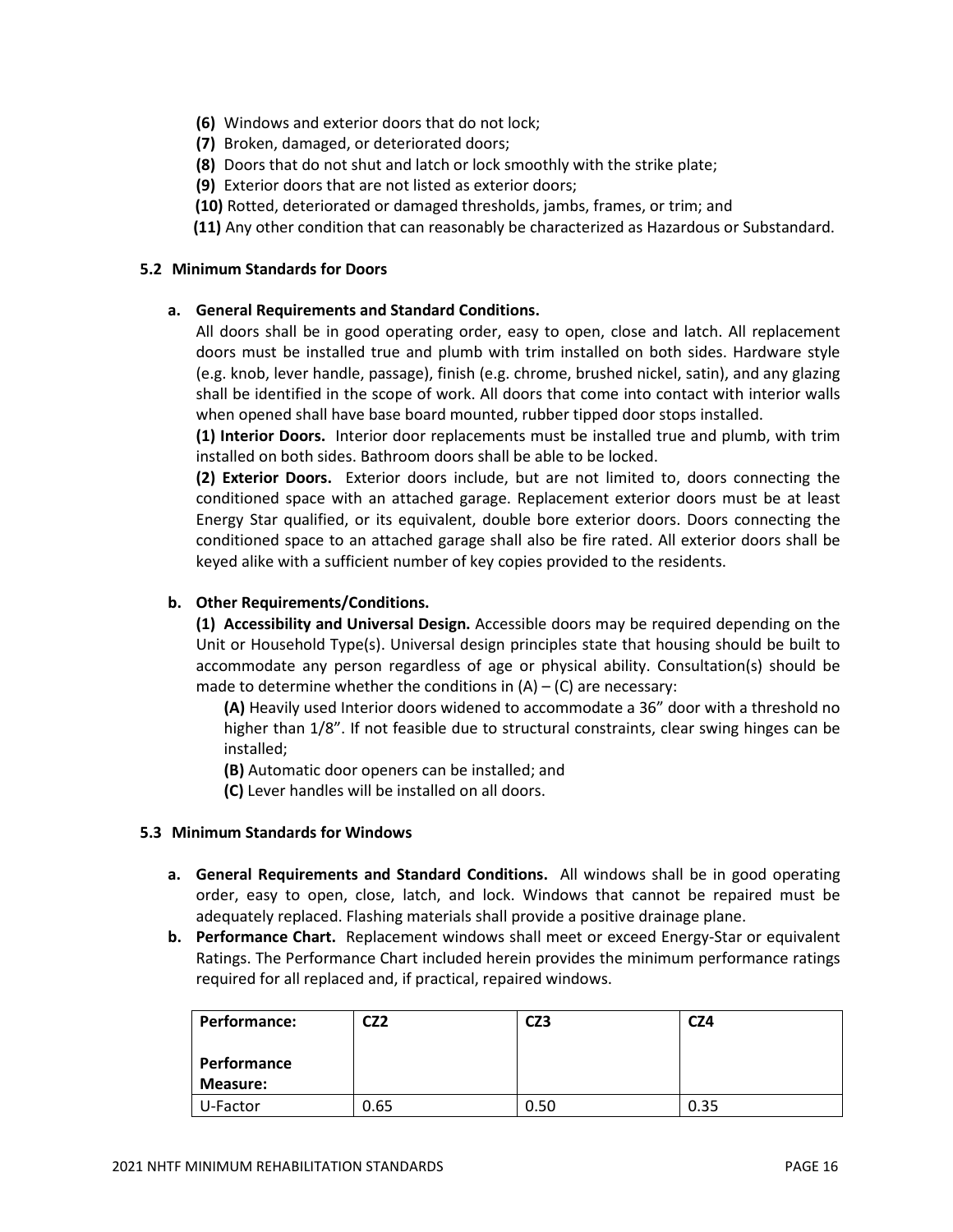- **(6)** Windows and exterior doors that do not lock;
- **(7)** Broken, damaged, or deteriorated doors;
- **(8)** Doors that do not shut and latch or lock smoothly with the strike plate;
- **(9)** Exterior doors that are not listed as exterior doors;
- **(10)** Rotted, deteriorated or damaged thresholds, jambs, frames, or trim; and
- **(11)** Any other condition that can reasonably be characterized as Hazardous or Substandard.

#### **5.2 Minimum Standards for Doors**

#### **a. General Requirements and Standard Conditions.**

All doors shall be in good operating order, easy to open, close and latch. All replacement doors must be installed true and plumb with trim installed on both sides. Hardware style (e.g. knob, lever handle, passage), finish (e.g. chrome, brushed nickel, satin), and any glazing shall be identified in the scope of work. All doors that come into contact with interior walls when opened shall have base board mounted, rubber tipped door stops installed.

**(1) Interior Doors.** Interior door replacements must be installed true and plumb, with trim installed on both sides. Bathroom doors shall be able to be locked.

**(2) Exterior Doors.** Exterior doors include, but are not limited to, doors connecting the conditioned space with an attached garage. Replacement exterior doors must be at least Energy Star qualified, or its equivalent, double bore exterior doors. Doors connecting the conditioned space to an attached garage shall also be fire rated. All exterior doors shall be keyed alike with a sufficient number of key copies provided to the residents.

### **b. Other Requirements/Conditions.**

**(1) Accessibility and Universal Design.** Accessible doors may be required depending on the Unit or Household Type(s). Universal design principles state that housing should be built to accommodate any person regardless of age or physical ability. Consultation(s) should be made to determine whether the conditions in  $(A) - (C)$  are necessary:

**(A)** Heavily used Interior doors widened to accommodate a 36" door with a threshold no higher than 1/8". If not feasible due to structural constraints, clear swing hinges can be installed;

**(B)** Automatic door openers can be installed; and

**(C)** Lever handles will be installed on all doors.

#### **5.3 Minimum Standards for Windows**

- **a. General Requirements and Standard Conditions.** All windows shall be in good operating order, easy to open, close, latch, and lock. Windows that cannot be repaired must be adequately replaced. Flashing materials shall provide a positive drainage plane.
- **b. Performance Chart.** Replacement windows shall meet or exceed Energy-Star or equivalent Ratings. The Performance Chart included herein provides the minimum performance ratings required for all replaced and, if practical, repaired windows.

| <b>Performance:</b> | CZ2  | CZ <sub>3</sub> | CZ4  |
|---------------------|------|-----------------|------|
|                     |      |                 |      |
| Performance         |      |                 |      |
| <b>Measure:</b>     |      |                 |      |
| U-Factor            | 0.65 | 0.50            | 0.35 |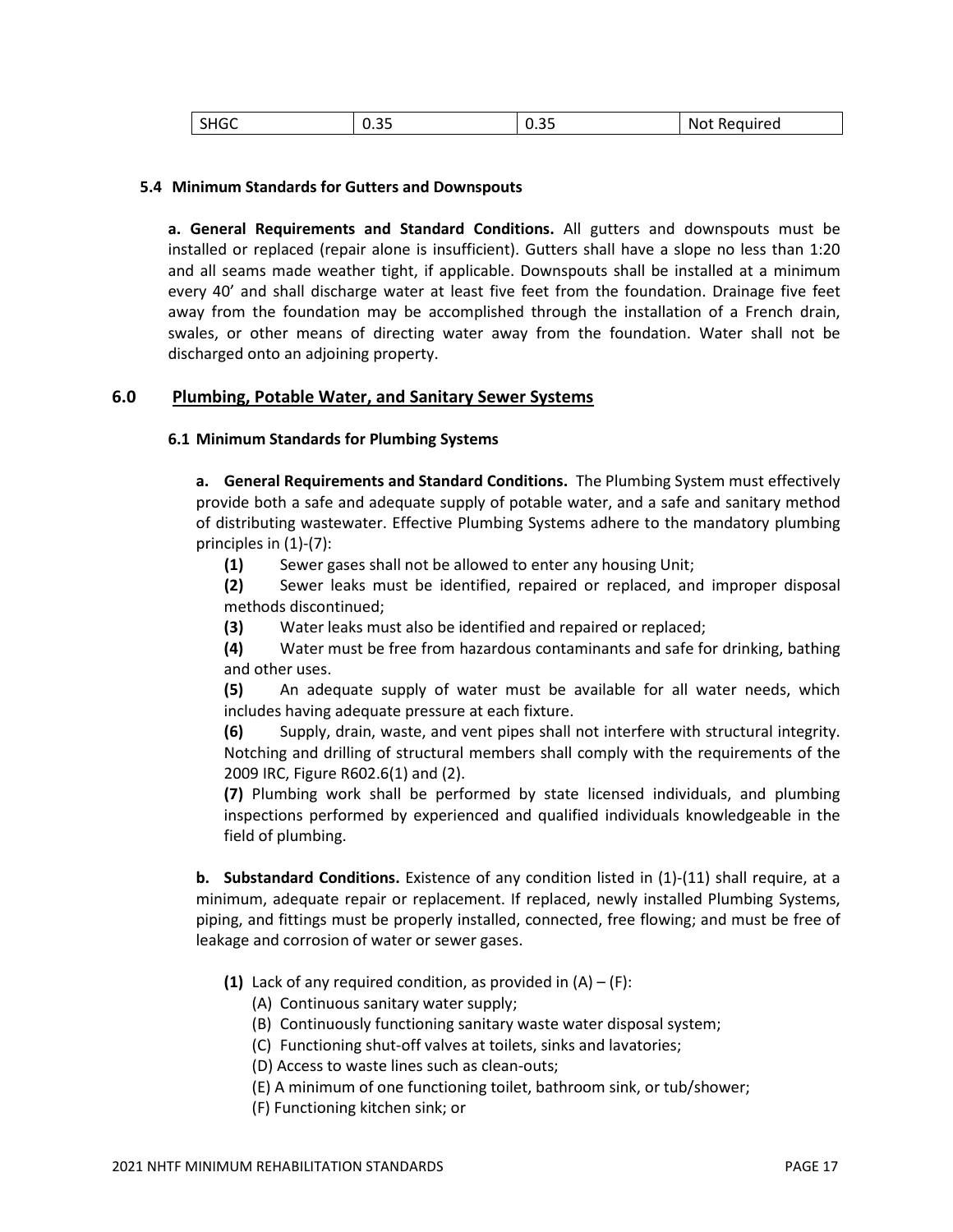| <b>SHGC</b><br>$\sim$ $\sim$<br>$\sim$ $\sim$<br><b></b><br><b></b> . | Reguired<br>Not |
|-----------------------------------------------------------------------|-----------------|
|-----------------------------------------------------------------------|-----------------|

## **5.4 Minimum Standards for Gutters and Downspouts**

**a. General Requirements and Standard Conditions.** All gutters and downspouts must be installed or replaced (repair alone is insufficient). Gutters shall have a slope no less than 1:20 and all seams made weather tight, if applicable. Downspouts shall be installed at a minimum every 40' and shall discharge water at least five feet from the foundation. Drainage five feet away from the foundation may be accomplished through the installation of a French drain, swales, or other means of directing water away from the foundation. Water shall not be discharged onto an adjoining property.

# **6.0 Plumbing, Potable Water, and Sanitary Sewer Systems**

# **6.1 Minimum Standards for Plumbing Systems**

**a. General Requirements and Standard Conditions.** The Plumbing System must effectively provide both a safe and adequate supply of potable water, and a safe and sanitary method of distributing wastewater. Effective Plumbing Systems adhere to the mandatory plumbing principles in (1)-(7):

**(1)** Sewer gases shall not be allowed to enter any housing Unit;

**(2)** Sewer leaks must be identified, repaired or replaced, and improper disposal methods discontinued;

**(3)** Water leaks must also be identified and repaired or replaced;

**(4)** Water must be free from hazardous contaminants and safe for drinking, bathing and other uses.

**(5)** An adequate supply of water must be available for all water needs, which includes having adequate pressure at each fixture.

**(6)** Supply, drain, waste, and vent pipes shall not interfere with structural integrity. Notching and drilling of structural members shall comply with the requirements of the 2009 IRC, Figure R602.6(1) and (2).

**(7)** Plumbing work shall be performed by state licensed individuals, and plumbing inspections performed by experienced and qualified individuals knowledgeable in the field of plumbing.

**b. Substandard Conditions.** Existence of any condition listed in (1)-(11) shall require, at a minimum, adequate repair or replacement. If replaced, newly installed Plumbing Systems, piping, and fittings must be properly installed, connected, free flowing; and must be free of leakage and corrosion of water or sewer gases.

# **(1)** Lack of any required condition, as provided in (A) – (F):

- (A) Continuous sanitary water supply;
- (B) Continuously functioning sanitary waste water disposal system;
- (C) Functioning shut-off valves at toilets, sinks and lavatories;
- (D) Access to waste lines such as clean-outs;
- (E) A minimum of one functioning toilet, bathroom sink, or tub/shower;
- (F) Functioning kitchen sink; or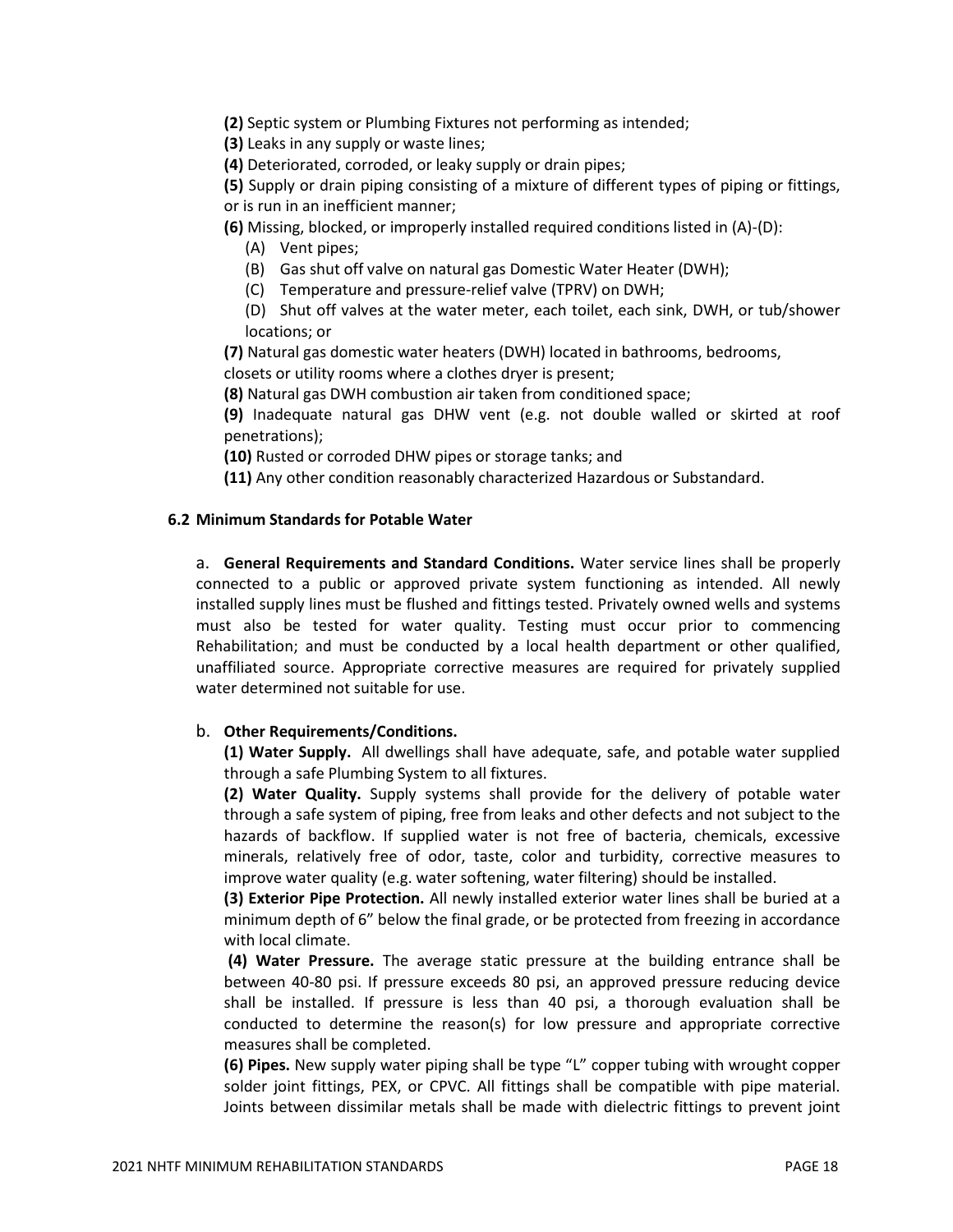**(2)** Septic system or Plumbing Fixtures not performing as intended;

**(3)** Leaks in any supply or waste lines;

**(4)** Deteriorated, corroded, or leaky supply or drain pipes;

**(5)** Supply or drain piping consisting of a mixture of different types of piping or fittings, or is run in an inefficient manner;

- **(6)** Missing, blocked, or improperly installed required conditions listed in (A)-(D):
	- (A) Vent pipes;
	- (B) Gas shut off valve on natural gas Domestic Water Heater (DWH);
	- (C) Temperature and pressure-relief valve (TPRV) on DWH;

(D) Shut off valves at the water meter, each toilet, each sink, DWH, or tub/shower locations; or

**(7)** Natural gas domestic water heaters (DWH) located in bathrooms, bedrooms,

closets or utility rooms where a clothes dryer is present;

**(8)** Natural gas DWH combustion air taken from conditioned space;

**(9)** Inadequate natural gas DHW vent (e.g. not double walled or skirted at roof penetrations);

**(10)** Rusted or corroded DHW pipes or storage tanks; and

**(11)** Any other condition reasonably characterized Hazardous or Substandard.

#### **6.2 Minimum Standards for Potable Water**

a. **General Requirements and Standard Conditions.** Water service lines shall be properly connected to a public or approved private system functioning as intended. All newly installed supply lines must be flushed and fittings tested. Privately owned wells and systems must also be tested for water quality. Testing must occur prior to commencing Rehabilitation; and must be conducted by a local health department or other qualified, unaffiliated source. Appropriate corrective measures are required for privately supplied water determined not suitable for use.

# b. **Other Requirements/Conditions.**

**(1) Water Supply.** All dwellings shall have adequate, safe, and potable water supplied through a safe Plumbing System to all fixtures.

**(2) Water Quality.** Supply systems shall provide for the delivery of potable water through a safe system of piping, free from leaks and other defects and not subject to the hazards of backflow. If supplied water is not free of bacteria, chemicals, excessive minerals, relatively free of odor, taste, color and turbidity, corrective measures to improve water quality (e.g. water softening, water filtering) should be installed.

**(3) Exterior Pipe Protection.** All newly installed exterior water lines shall be buried at a minimum depth of 6" below the final grade, or be protected from freezing in accordance with local climate.

**(4) Water Pressure.** The average static pressure at the building entrance shall be between 40-80 psi. If pressure exceeds 80 psi, an approved pressure reducing device shall be installed. If pressure is less than 40 psi, a thorough evaluation shall be conducted to determine the reason(s) for low pressure and appropriate corrective measures shall be completed.

**(6) Pipes.** New supply water piping shall be type "L" copper tubing with wrought copper solder joint fittings, PEX, or CPVC. All fittings shall be compatible with pipe material. Joints between dissimilar metals shall be made with dielectric fittings to prevent joint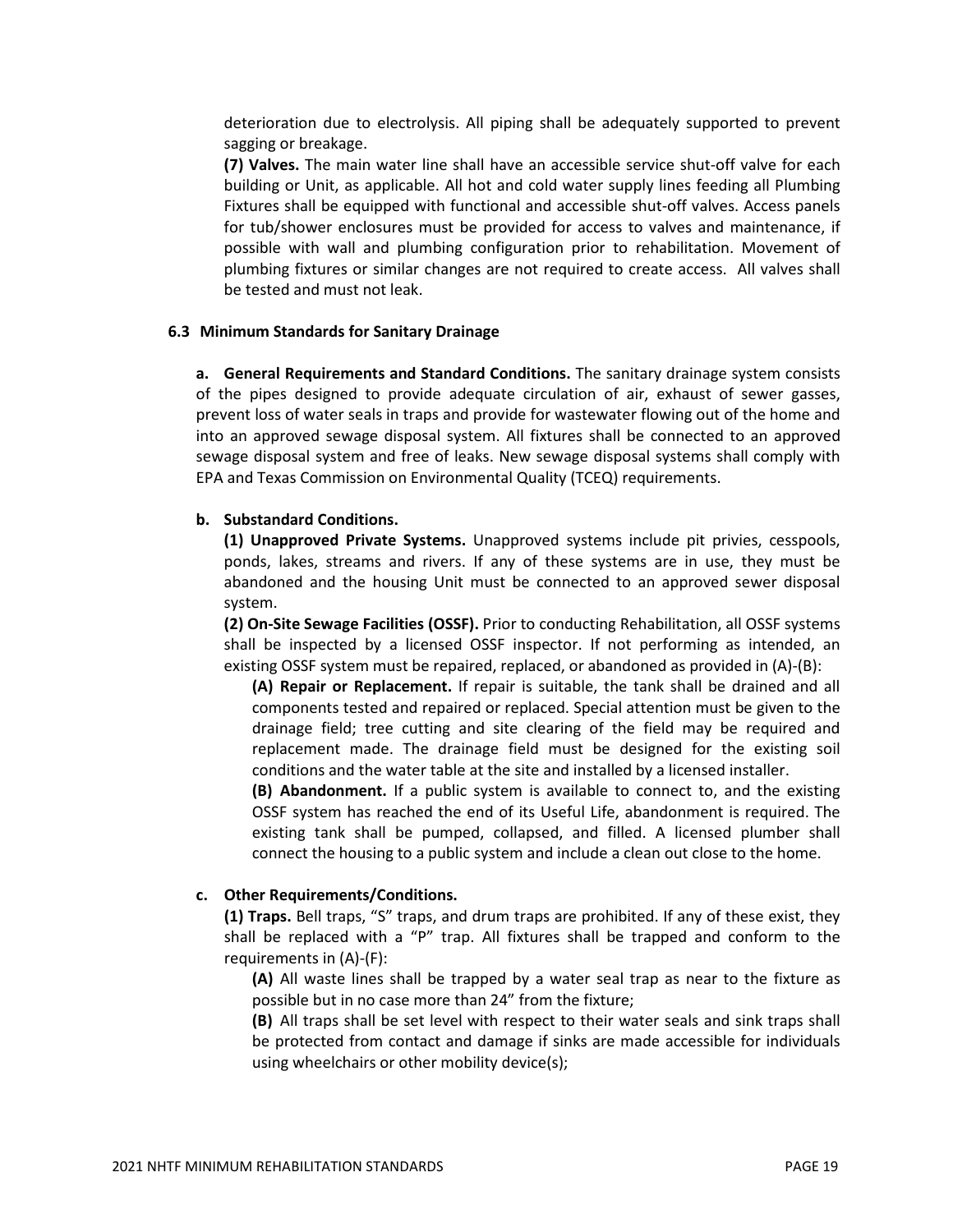deterioration due to electrolysis. All piping shall be adequately supported to prevent sagging or breakage.

**(7) Valves.** The main water line shall have an accessible service shut-off valve for each building or Unit, as applicable. All hot and cold water supply lines feeding all Plumbing Fixtures shall be equipped with functional and accessible shut-off valves. Access panels for tub/shower enclosures must be provided for access to valves and maintenance, if possible with wall and plumbing configuration prior to rehabilitation. Movement of plumbing fixtures or similar changes are not required to create access. All valves shall be tested and must not leak.

#### **6.3 Minimum Standards for Sanitary Drainage**

**a. General Requirements and Standard Conditions.** The sanitary drainage system consists of the pipes designed to provide adequate circulation of air, exhaust of sewer gasses, prevent loss of water seals in traps and provide for wastewater flowing out of the home and into an approved sewage disposal system. All fixtures shall be connected to an approved sewage disposal system and free of leaks. New sewage disposal systems shall comply with EPA and Texas Commission on Environmental Quality (TCEQ) requirements.

#### **b. Substandard Conditions.**

**(1) Unapproved Private Systems.** Unapproved systems include pit privies, cesspools, ponds, lakes, streams and rivers. If any of these systems are in use, they must be abandoned and the housing Unit must be connected to an approved sewer disposal system.

**(2) On-Site Sewage Facilities (OSSF).** Prior to conducting Rehabilitation, all OSSF systems shall be inspected by a licensed OSSF inspector. If not performing as intended, an existing OSSF system must be repaired, replaced, or abandoned as provided in (A)-(B):

**(A) Repair or Replacement.** If repair is suitable, the tank shall be drained and all components tested and repaired or replaced. Special attention must be given to the drainage field; tree cutting and site clearing of the field may be required and replacement made. The drainage field must be designed for the existing soil conditions and the water table at the site and installed by a licensed installer.

**(B) Abandonment.** If a public system is available to connect to, and the existing OSSF system has reached the end of its Useful Life, abandonment is required. The existing tank shall be pumped, collapsed, and filled. A licensed plumber shall connect the housing to a public system and include a clean out close to the home.

#### **c. Other Requirements/Conditions.**

**(1) Traps.** Bell traps, "S" traps, and drum traps are prohibited. If any of these exist, they shall be replaced with a "P" trap. All fixtures shall be trapped and conform to the requirements in (A)-(F):

**(A)** All waste lines shall be trapped by a water seal trap as near to the fixture as possible but in no case more than 24" from the fixture;

**(B)** All traps shall be set level with respect to their water seals and sink traps shall be protected from contact and damage if sinks are made accessible for individuals using wheelchairs or other mobility device(s);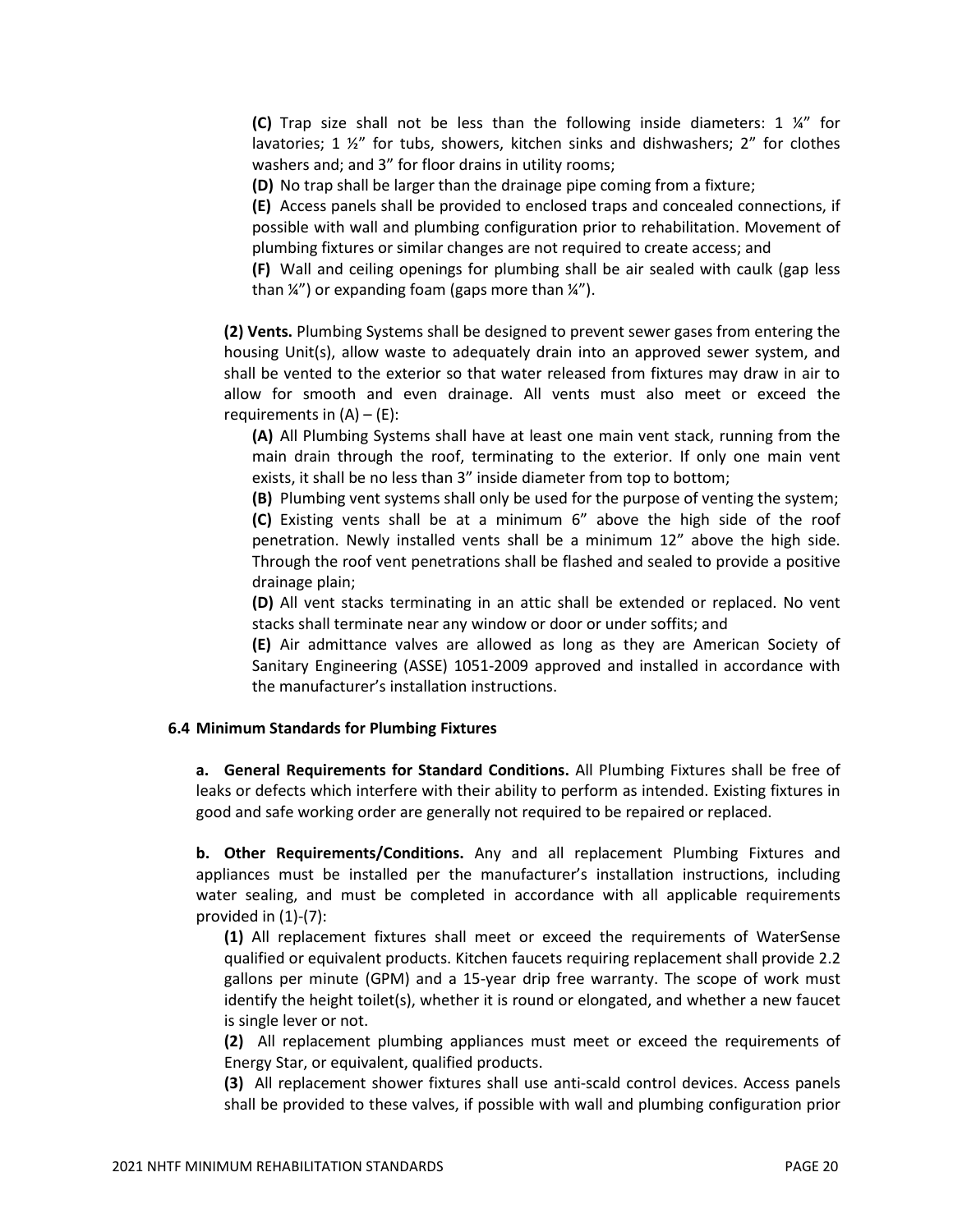**(C)** Trap size shall not be less than the following inside diameters: 1 ¼" for lavatories; 1 ½" for tubs, showers, kitchen sinks and dishwashers; 2" for clothes washers and; and 3" for floor drains in utility rooms;

**(D)** No trap shall be larger than the drainage pipe coming from a fixture;

**(E)** Access panels shall be provided to enclosed traps and concealed connections, if possible with wall and plumbing configuration prior to rehabilitation. Movement of plumbing fixtures or similar changes are not required to create access; and

**(F)** Wall and ceiling openings for plumbing shall be air sealed with caulk (gap less than  $\frac{1}{4}$  or expanding foam (gaps more than  $\frac{1}{4}$ ).

**(2) Vents.** Plumbing Systems shall be designed to prevent sewer gases from entering the housing Unit(s), allow waste to adequately drain into an approved sewer system, and shall be vented to the exterior so that water released from fixtures may draw in air to allow for smooth and even drainage. All vents must also meet or exceed the requirements in  $(A) - (E)$ :

**(A)** All Plumbing Systems shall have at least one main vent stack, running from the main drain through the roof, terminating to the exterior. If only one main vent exists, it shall be no less than 3" inside diameter from top to bottom;

**(B)** Plumbing vent systems shall only be used for the purpose of venting the system; **(C)** Existing vents shall be at a minimum 6" above the high side of the roof penetration. Newly installed vents shall be a minimum 12" above the high side. Through the roof vent penetrations shall be flashed and sealed to provide a positive drainage plain;

**(D)** All vent stacks terminating in an attic shall be extended or replaced. No vent stacks shall terminate near any window or door or under soffits; and

**(E)** Air admittance valves are allowed as long as they are American Society of Sanitary Engineering (ASSE) 1051-2009 approved and installed in accordance with the manufacturer's installation instructions.

#### **6.4 Minimum Standards for Plumbing Fixtures**

**a. General Requirements for Standard Conditions.** All Plumbing Fixtures shall be free of leaks or defects which interfere with their ability to perform as intended. Existing fixtures in good and safe working order are generally not required to be repaired or replaced.

**b. Other Requirements/Conditions.** Any and all replacement Plumbing Fixtures and appliances must be installed per the manufacturer's installation instructions, including water sealing, and must be completed in accordance with all applicable requirements provided in (1)-(7):

**(1)** All replacement fixtures shall meet or exceed the requirements of WaterSense qualified or equivalent products. Kitchen faucets requiring replacement shall provide 2.2 gallons per minute (GPM) and a 15-year drip free warranty. The scope of work must identify the height toilet(s), whether it is round or elongated, and whether a new faucet is single lever or not.

**(2)** All replacement plumbing appliances must meet or exceed the requirements of Energy Star, or equivalent, qualified products.

**(3)** All replacement shower fixtures shall use anti-scald control devices. Access panels shall be provided to these valves, if possible with wall and plumbing configuration prior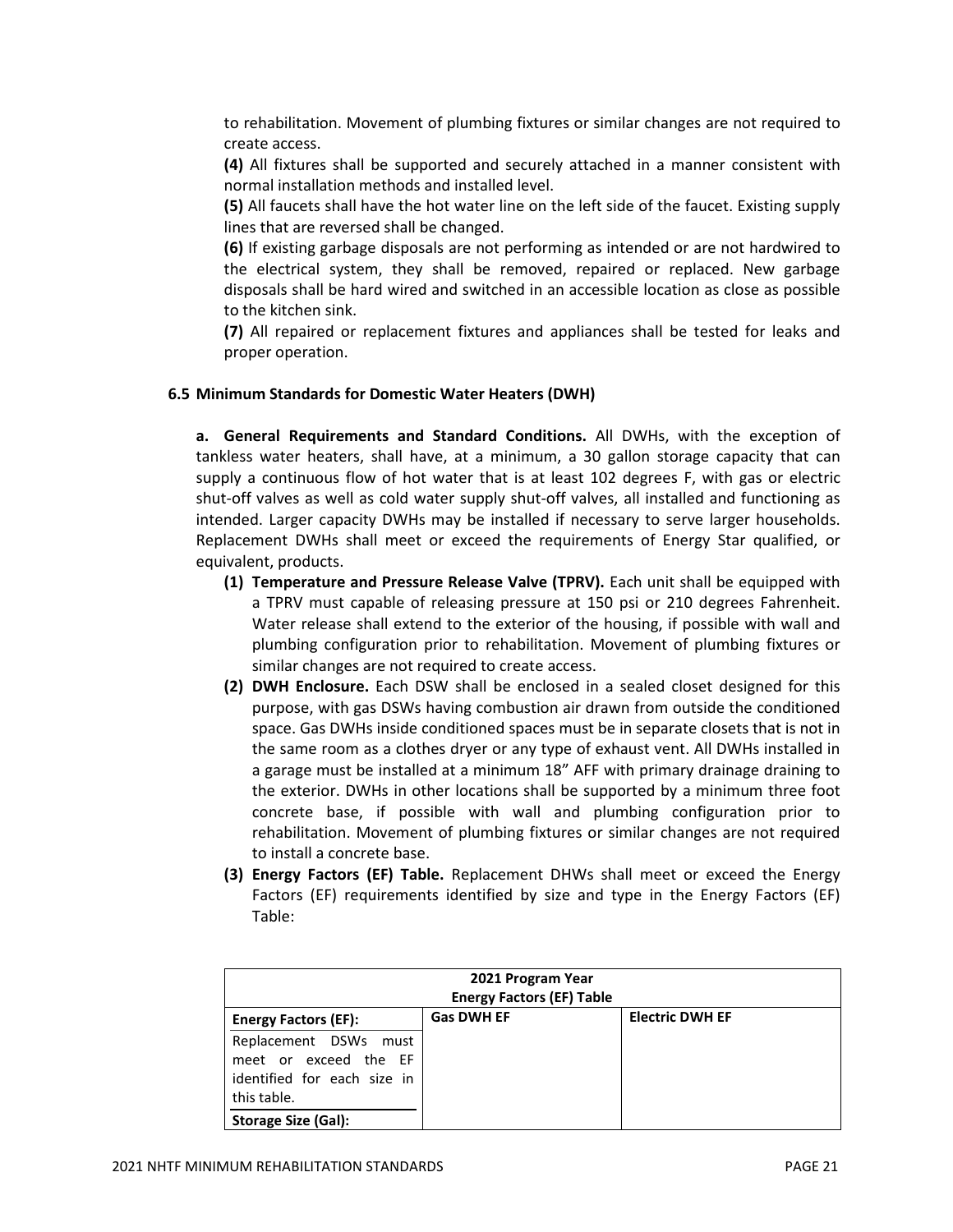to rehabilitation. Movement of plumbing fixtures or similar changes are not required to create access.

**(4)** All fixtures shall be supported and securely attached in a manner consistent with normal installation methods and installed level.

**(5)** All faucets shall have the hot water line on the left side of the faucet. Existing supply lines that are reversed shall be changed.

**(6)** If existing garbage disposals are not performing as intended or are not hardwired to the electrical system, they shall be removed, repaired or replaced. New garbage disposals shall be hard wired and switched in an accessible location as close as possible to the kitchen sink.

**(7)** All repaired or replacement fixtures and appliances shall be tested for leaks and proper operation.

#### **6.5 Minimum Standards for Domestic Water Heaters (DWH)**

**a. General Requirements and Standard Conditions.** All DWHs, with the exception of tankless water heaters, shall have, at a minimum, a 30 gallon storage capacity that can supply a continuous flow of hot water that is at least 102 degrees F, with gas or electric shut-off valves as well as cold water supply shut-off valves, all installed and functioning as intended. Larger capacity DWHs may be installed if necessary to serve larger households. Replacement DWHs shall meet or exceed the requirements of Energy Star qualified, or equivalent, products.

- **(1) Temperature and Pressure Release Valve (TPRV).** Each unit shall be equipped with a TPRV must capable of releasing pressure at 150 psi or 210 degrees Fahrenheit. Water release shall extend to the exterior of the housing, if possible with wall and plumbing configuration prior to rehabilitation. Movement of plumbing fixtures or similar changes are not required to create access.
- **(2) DWH Enclosure.** Each DSW shall be enclosed in a sealed closet designed for this purpose, with gas DSWs having combustion air drawn from outside the conditioned space. Gas DWHs inside conditioned spaces must be in separate closets that is not in the same room as a clothes dryer or any type of exhaust vent. All DWHs installed in a garage must be installed at a minimum 18" AFF with primary drainage draining to the exterior. DWHs in other locations shall be supported by a minimum three foot concrete base, if possible with wall and plumbing configuration prior to rehabilitation. Movement of plumbing fixtures or similar changes are not required to install a concrete base.
- **(3) Energy Factors (EF) Table.** Replacement DHWs shall meet or exceed the Energy Factors (EF) requirements identified by size and type in the Energy Factors (EF) Table:

| 2021 Program Year<br><b>Energy Factors (EF) Table</b>                                        |                   |                        |  |
|----------------------------------------------------------------------------------------------|-------------------|------------------------|--|
| <b>Energy Factors (EF):</b>                                                                  | <b>Gas DWH EF</b> | <b>Electric DWH EF</b> |  |
| Replacement DSWs must<br>meet or exceed the EF<br>identified for each size in<br>this table. |                   |                        |  |
| <b>Storage Size (Gal):</b>                                                                   |                   |                        |  |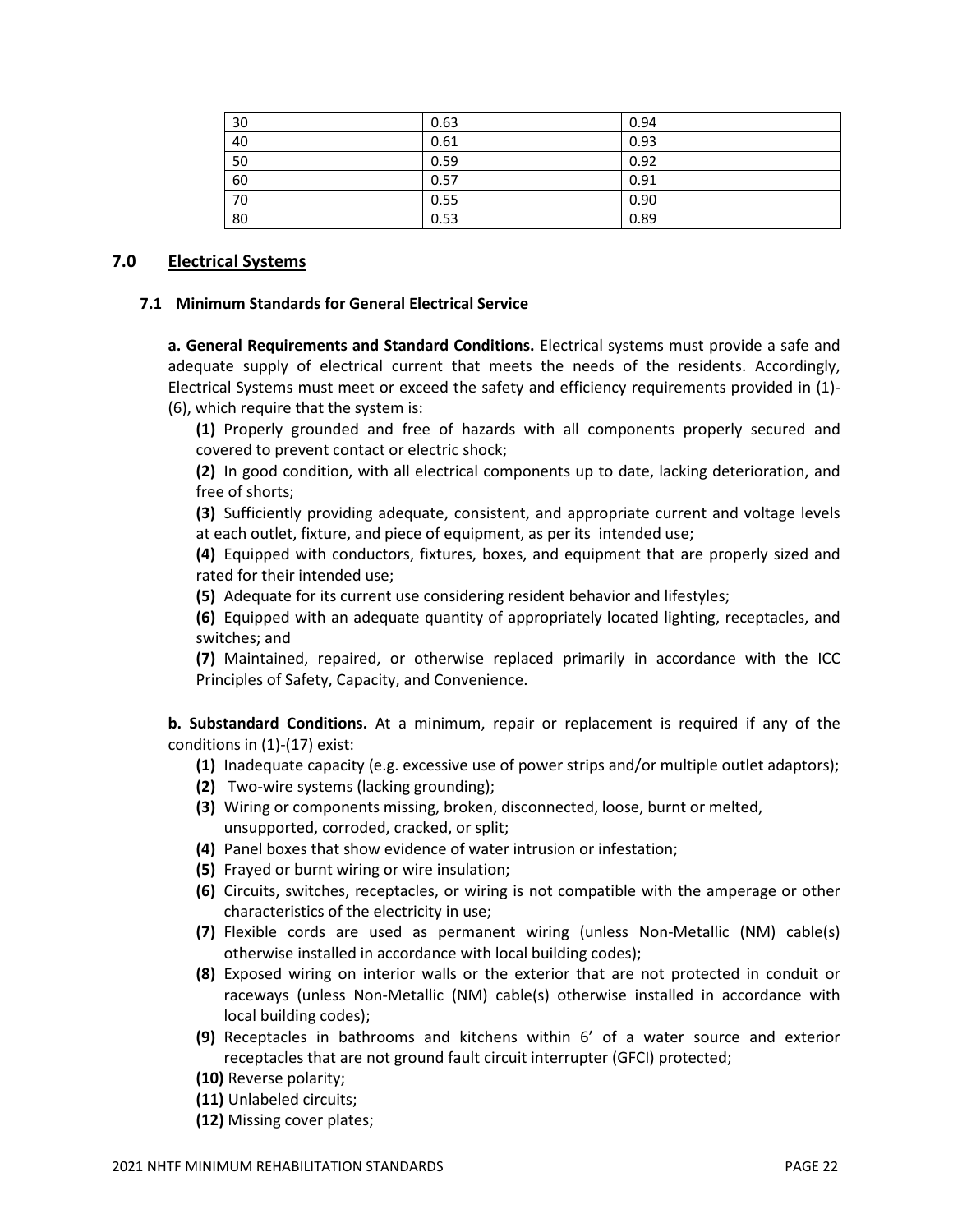| 30 | 0.63 | 0.94 |
|----|------|------|
| 40 | 0.61 | 0.93 |
| 50 | 0.59 | 0.92 |
| 60 | 0.57 | 0.91 |
| 70 | 0.55 | 0.90 |
| 80 | 0.53 | 0.89 |

# **7.0 Electrical Systems**

#### **7.1 Minimum Standards for General Electrical Service**

**a. General Requirements and Standard Conditions.** Electrical systems must provide a safe and adequate supply of electrical current that meets the needs of the residents. Accordingly, Electrical Systems must meet or exceed the safety and efficiency requirements provided in (1)- (6), which require that the system is:

**(1)** Properly grounded and free of hazards with all components properly secured and covered to prevent contact or electric shock;

**(2)** In good condition, with all electrical components up to date, lacking deterioration, and free of shorts;

**(3)** Sufficiently providing adequate, consistent, and appropriate current and voltage levels at each outlet, fixture, and piece of equipment, as per its intended use;

**(4)** Equipped with conductors, fixtures, boxes, and equipment that are properly sized and rated for their intended use;

**(5)** Adequate for its current use considering resident behavior and lifestyles;

**(6)** Equipped with an adequate quantity of appropriately located lighting, receptacles, and switches; and

**(7)** Maintained, repaired, or otherwise replaced primarily in accordance with the ICC Principles of Safety, Capacity, and Convenience.

**b. Substandard Conditions.** At a minimum, repair or replacement is required if any of the conditions in (1)-(17) exist:

- **(1)** Inadequate capacity (e.g. excessive use of power strips and/or multiple outlet adaptors);
- **(2)** Two-wire systems (lacking grounding);
- **(3)** Wiring or components missing, broken, disconnected, loose, burnt or melted, unsupported, corroded, cracked, or split;
- **(4)** Panel boxes that show evidence of water intrusion or infestation;
- **(5)** Frayed or burnt wiring or wire insulation;
- **(6)** Circuits, switches, receptacles, or wiring is not compatible with the amperage or other characteristics of the electricity in use;
- **(7)** Flexible cords are used as permanent wiring (unless Non-Metallic (NM) cable(s) otherwise installed in accordance with local building codes);
- **(8)** Exposed wiring on interior walls or the exterior that are not protected in conduit or raceways (unless Non-Metallic (NM) cable(s) otherwise installed in accordance with local building codes);
- **(9)** Receptacles in bathrooms and kitchens within 6' of a water source and exterior receptacles that are not ground fault circuit interrupter (GFCI) protected;
- **(10)** Reverse polarity;
- **(11)** Unlabeled circuits;
- **(12)** Missing cover plates;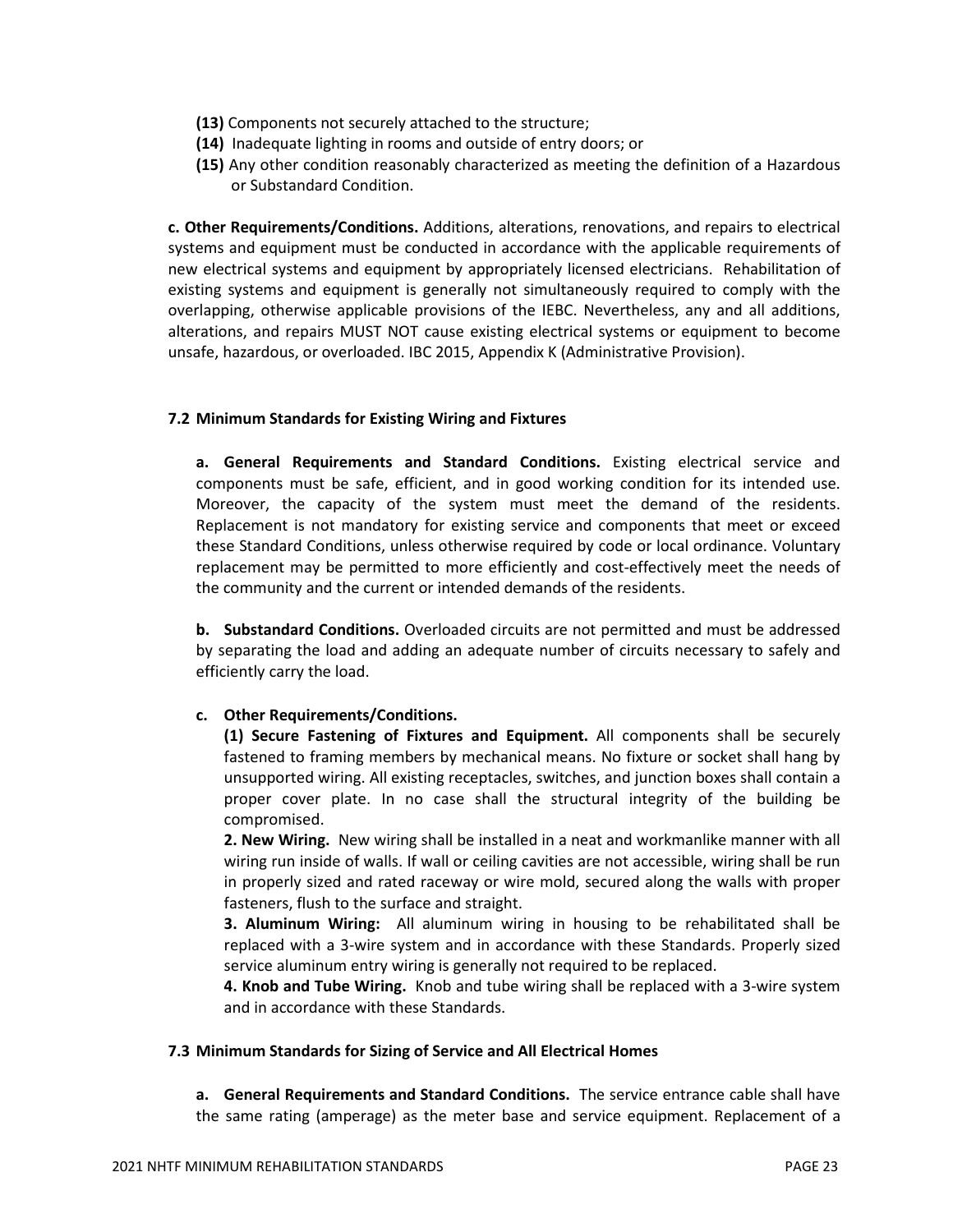- **(13)** Components not securely attached to the structure;
- **(14)** Inadequate lighting in rooms and outside of entry doors; or
- **(15)** Any other condition reasonably characterized as meeting the definition of a Hazardous or Substandard Condition.

**c. Other Requirements/Conditions.** Additions, alterations, renovations, and repairs to electrical systems and equipment must be conducted in accordance with the applicable requirements of new electrical systems and equipment by appropriately licensed electricians. Rehabilitation of existing systems and equipment is generally not simultaneously required to comply with the overlapping, otherwise applicable provisions of the IEBC. Nevertheless, any and all additions, alterations, and repairs MUST NOT cause existing electrical systems or equipment to become unsafe, hazardous, or overloaded. IBC 2015, Appendix K (Administrative Provision).

# **7.2 Minimum Standards for Existing Wiring and Fixtures**

**a. General Requirements and Standard Conditions.** Existing electrical service and components must be safe, efficient, and in good working condition for its intended use. Moreover, the capacity of the system must meet the demand of the residents. Replacement is not mandatory for existing service and components that meet or exceed these Standard Conditions, unless otherwise required by code or local ordinance. Voluntary replacement may be permitted to more efficiently and cost-effectively meet the needs of the community and the current or intended demands of the residents.

**b. Substandard Conditions.** Overloaded circuits are not permitted and must be addressed by separating the load and adding an adequate number of circuits necessary to safely and efficiently carry the load.

# **c. Other Requirements/Conditions.**

**(1) Secure Fastening of Fixtures and Equipment.** All components shall be securely fastened to framing members by mechanical means. No fixture or socket shall hang by unsupported wiring. All existing receptacles, switches, and junction boxes shall contain a proper cover plate. In no case shall the structural integrity of the building be compromised.

**2. New Wiring.** New wiring shall be installed in a neat and workmanlike manner with all wiring run inside of walls. If wall or ceiling cavities are not accessible, wiring shall be run in properly sized and rated raceway or wire mold, secured along the walls with proper fasteners, flush to the surface and straight.

**3. Aluminum Wiring:** All aluminum wiring in housing to be rehabilitated shall be replaced with a 3-wire system and in accordance with these Standards. Properly sized service aluminum entry wiring is generally not required to be replaced.

**4. Knob and Tube Wiring.** Knob and tube wiring shall be replaced with a 3-wire system and in accordance with these Standards.

#### **7.3 Minimum Standards for Sizing of Service and All Electrical Homes**

**a. General Requirements and Standard Conditions.** The service entrance cable shall have the same rating (amperage) as the meter base and service equipment. Replacement of a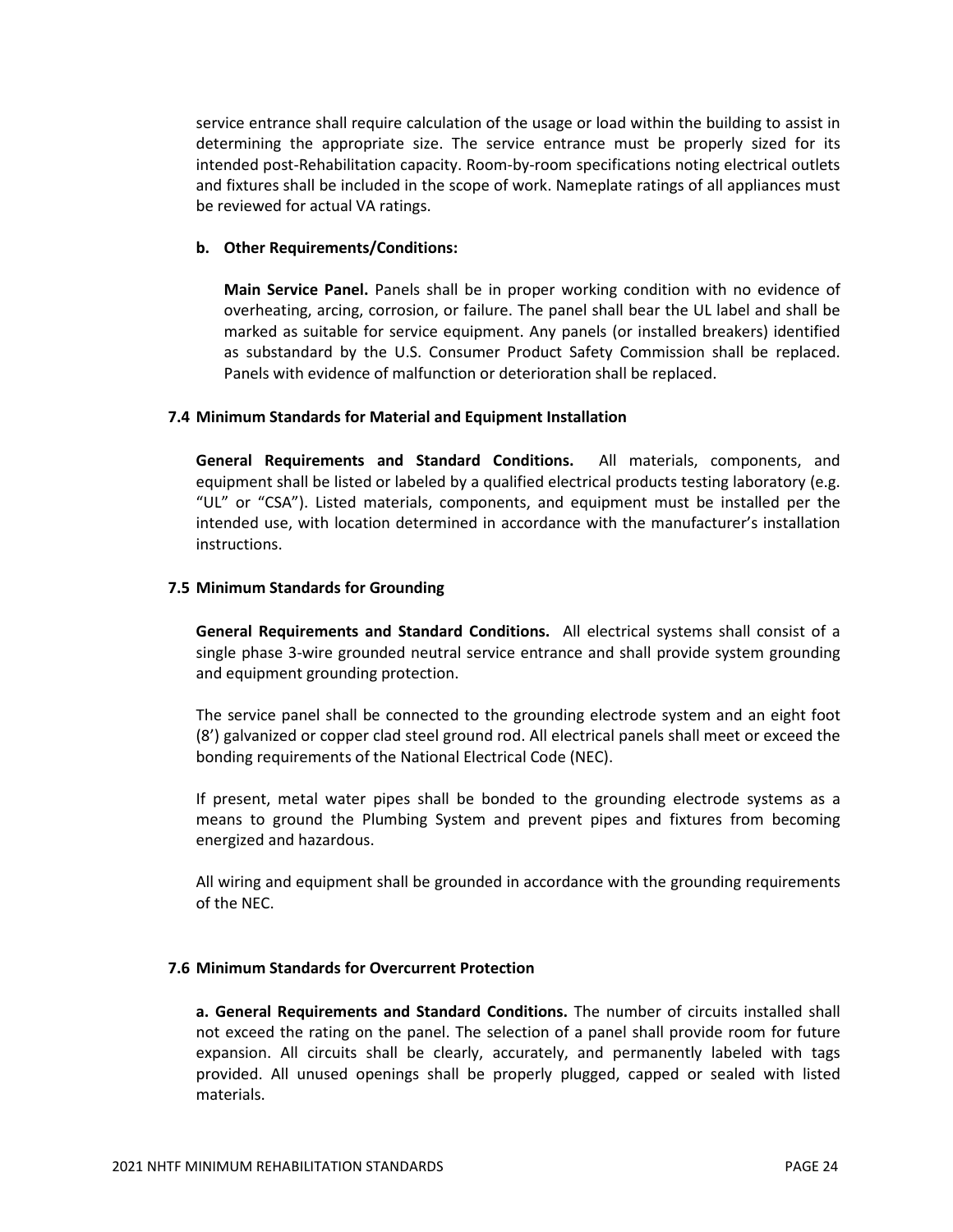service entrance shall require calculation of the usage or load within the building to assist in determining the appropriate size. The service entrance must be properly sized for its intended post-Rehabilitation capacity. Room-by-room specifications noting electrical outlets and fixtures shall be included in the scope of work. Nameplate ratings of all appliances must be reviewed for actual VA ratings.

### **b. Other Requirements/Conditions:**

**Main Service Panel.** Panels shall be in proper working condition with no evidence of overheating, arcing, corrosion, or failure. The panel shall bear the UL label and shall be marked as suitable for service equipment. Any panels (or installed breakers) identified as substandard by the U.S. Consumer Product Safety Commission shall be replaced. Panels with evidence of malfunction or deterioration shall be replaced.

### **7.4 Minimum Standards for Material and Equipment Installation**

**General Requirements and Standard Conditions.** All materials, components, and equipment shall be listed or labeled by a qualified electrical products testing laboratory (e.g. "UL" or "CSA"). Listed materials, components, and equipment must be installed per the intended use, with location determined in accordance with the manufacturer's installation instructions.

### **7.5 Minimum Standards for Grounding**

**General Requirements and Standard Conditions.** All electrical systems shall consist of a single phase 3-wire grounded neutral service entrance and shall provide system grounding and equipment grounding protection.

The service panel shall be connected to the grounding electrode system and an eight foot (8') galvanized or copper clad steel ground rod. All electrical panels shall meet or exceed the bonding requirements of the National Electrical Code (NEC).

If present, metal water pipes shall be bonded to the grounding electrode systems as a means to ground the Plumbing System and prevent pipes and fixtures from becoming energized and hazardous.

All wiring and equipment shall be grounded in accordance with the grounding requirements of the NEC.

# **7.6 Minimum Standards for Overcurrent Protection**

**a. General Requirements and Standard Conditions.** The number of circuits installed shall not exceed the rating on the panel. The selection of a panel shall provide room for future expansion. All circuits shall be clearly, accurately, and permanently labeled with tags provided. All unused openings shall be properly plugged, capped or sealed with listed materials.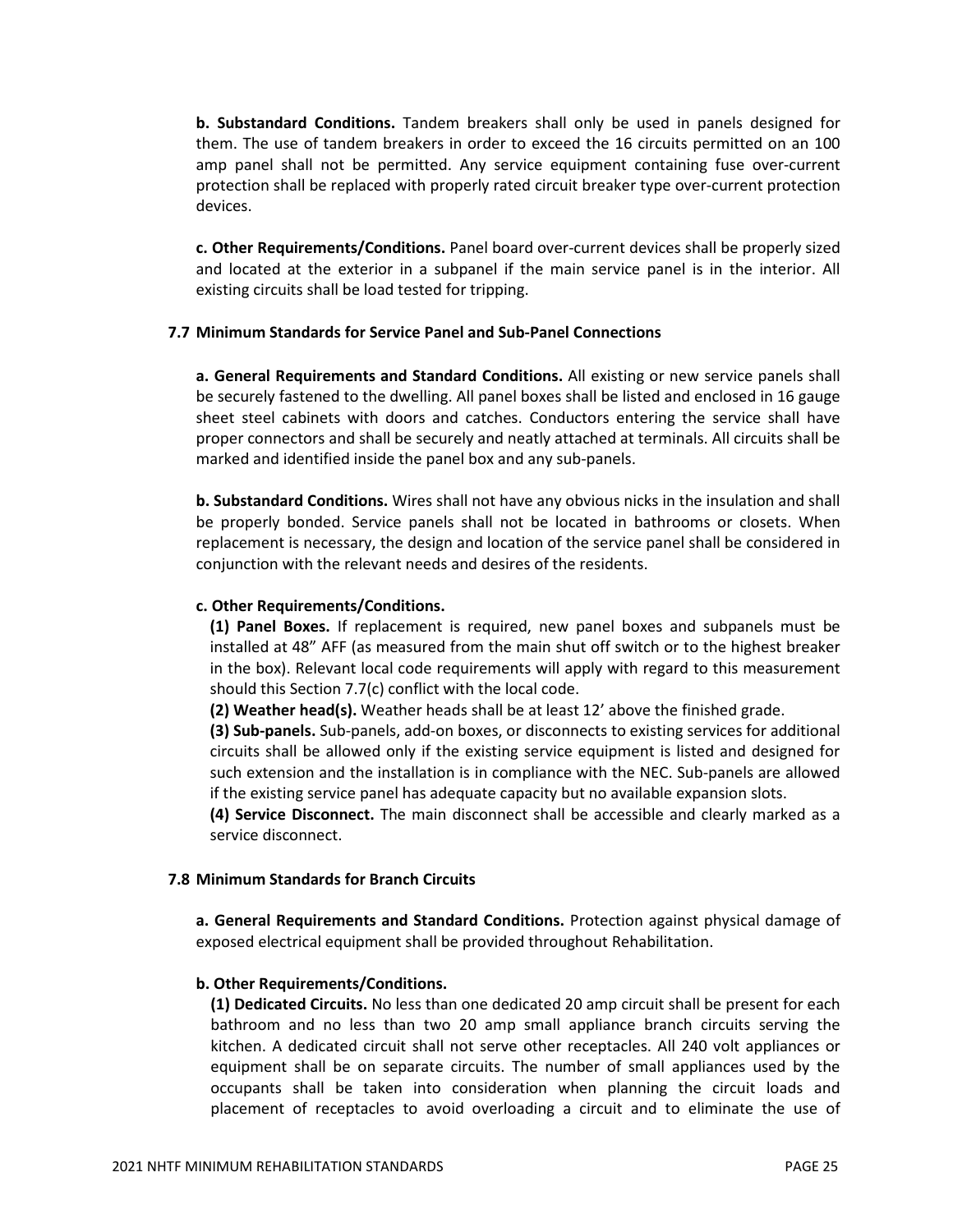**b. Substandard Conditions.** Tandem breakers shall only be used in panels designed for them. The use of tandem breakers in order to exceed the 16 circuits permitted on an 100 amp panel shall not be permitted. Any service equipment containing fuse over-current protection shall be replaced with properly rated circuit breaker type over-current protection devices.

**c. Other Requirements/Conditions.** Panel board over-current devices shall be properly sized and located at the exterior in a subpanel if the main service panel is in the interior. All existing circuits shall be load tested for tripping.

#### **7.7 Minimum Standards for Service Panel and Sub-Panel Connections**

**a. General Requirements and Standard Conditions.** All existing or new service panels shall be securely fastened to the dwelling. All panel boxes shall be listed and enclosed in 16 gauge sheet steel cabinets with doors and catches. Conductors entering the service shall have proper connectors and shall be securely and neatly attached at terminals. All circuits shall be marked and identified inside the panel box and any sub-panels.

**b. Substandard Conditions.** Wires shall not have any obvious nicks in the insulation and shall be properly bonded. Service panels shall not be located in bathrooms or closets. When replacement is necessary, the design and location of the service panel shall be considered in conjunction with the relevant needs and desires of the residents.

### **c. Other Requirements/Conditions.**

**(1) Panel Boxes.** If replacement is required, new panel boxes and subpanels must be installed at 48" AFF (as measured from the main shut off switch or to the highest breaker in the box). Relevant local code requirements will apply with regard to this measurement should this Section 7.7(c) conflict with the local code.

**(2) Weather head(s).** Weather heads shall be at least 12' above the finished grade.

**(3) Sub-panels.** Sub-panels, add-on boxes, or disconnects to existing services for additional circuits shall be allowed only if the existing service equipment is listed and designed for such extension and the installation is in compliance with the NEC. Sub-panels are allowed if the existing service panel has adequate capacity but no available expansion slots.

**(4) Service Disconnect.** The main disconnect shall be accessible and clearly marked as a service disconnect.

#### **7.8 Minimum Standards for Branch Circuits**

**a. General Requirements and Standard Conditions.** Protection against physical damage of exposed electrical equipment shall be provided throughout Rehabilitation.

# **b. Other Requirements/Conditions.**

**(1) Dedicated Circuits.** No less than one dedicated 20 amp circuit shall be present for each bathroom and no less than two 20 amp small appliance branch circuits serving the kitchen. A dedicated circuit shall not serve other receptacles. All 240 volt appliances or equipment shall be on separate circuits. The number of small appliances used by the occupants shall be taken into consideration when planning the circuit loads and placement of receptacles to avoid overloading a circuit and to eliminate the use of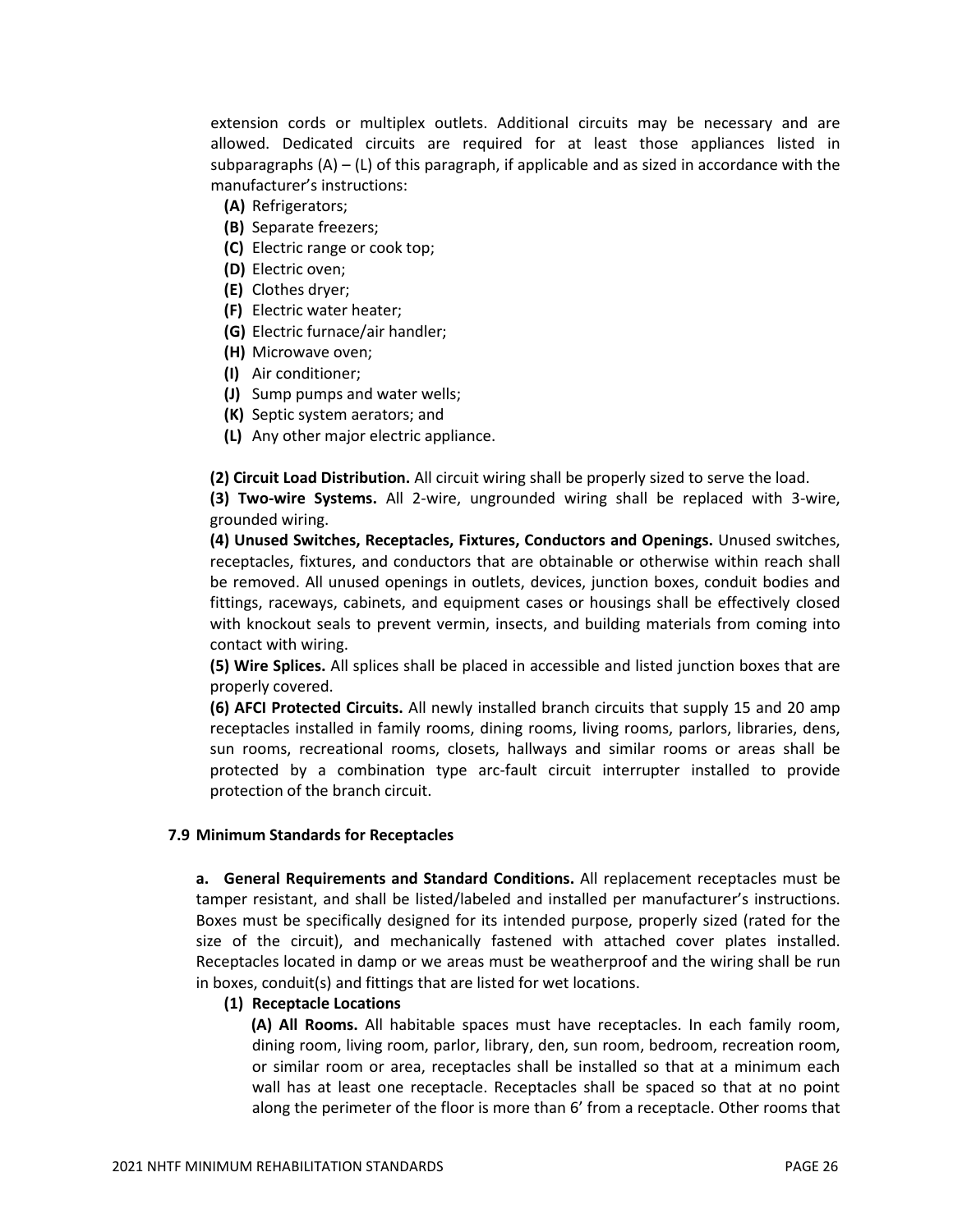extension cords or multiplex outlets. Additional circuits may be necessary and are allowed. Dedicated circuits are required for at least those appliances listed in subparagraphs  $(A) - (L)$  of this paragraph, if applicable and as sized in accordance with the manufacturer's instructions:

- **(A)** Refrigerators;
- **(B)** Separate freezers;
- **(C)** Electric range or cook top;
- **(D)** Electric oven;
- **(E)** Clothes dryer;
- **(F)** Electric water heater;
- **(G)** Electric furnace/air handler;
- **(H)** Microwave oven;
- **(I)** Air conditioner;
- **(J)** Sump pumps and water wells;
- **(K)** Septic system aerators; and
- **(L)** Any other major electric appliance.

**(2) Circuit Load Distribution.** All circuit wiring shall be properly sized to serve the load.

**(3) Two-wire Systems.** All 2-wire, ungrounded wiring shall be replaced with 3-wire, grounded wiring.

**(4) Unused Switches, Receptacles, Fixtures, Conductors and Openings.** Unused switches, receptacles, fixtures, and conductors that are obtainable or otherwise within reach shall be removed. All unused openings in outlets, devices, junction boxes, conduit bodies and fittings, raceways, cabinets, and equipment cases or housings shall be effectively closed with knockout seals to prevent vermin, insects, and building materials from coming into contact with wiring.

**(5) Wire Splices.** All splices shall be placed in accessible and listed junction boxes that are properly covered.

**(6) AFCI Protected Circuits.** All newly installed branch circuits that supply 15 and 20 amp receptacles installed in family rooms, dining rooms, living rooms, parlors, libraries, dens, sun rooms, recreational rooms, closets, hallways and similar rooms or areas shall be protected by a combination type arc-fault circuit interrupter installed to provide protection of the branch circuit.

#### **7.9 Minimum Standards for Receptacles**

**a. General Requirements and Standard Conditions.** All replacement receptacles must be tamper resistant, and shall be listed/labeled and installed per manufacturer's instructions. Boxes must be specifically designed for its intended purpose, properly sized (rated for the size of the circuit), and mechanically fastened with attached cover plates installed. Receptacles located in damp or we areas must be weatherproof and the wiring shall be run in boxes, conduit(s) and fittings that are listed for wet locations.

### **(1) Receptacle Locations**

 **(A) All Rooms.** All habitable spaces must have receptacles. In each family room, dining room, living room, parlor, library, den, sun room, bedroom, recreation room, or similar room or area, receptacles shall be installed so that at a minimum each wall has at least one receptacle. Receptacles shall be spaced so that at no point along the perimeter of the floor is more than 6' from a receptacle. Other rooms that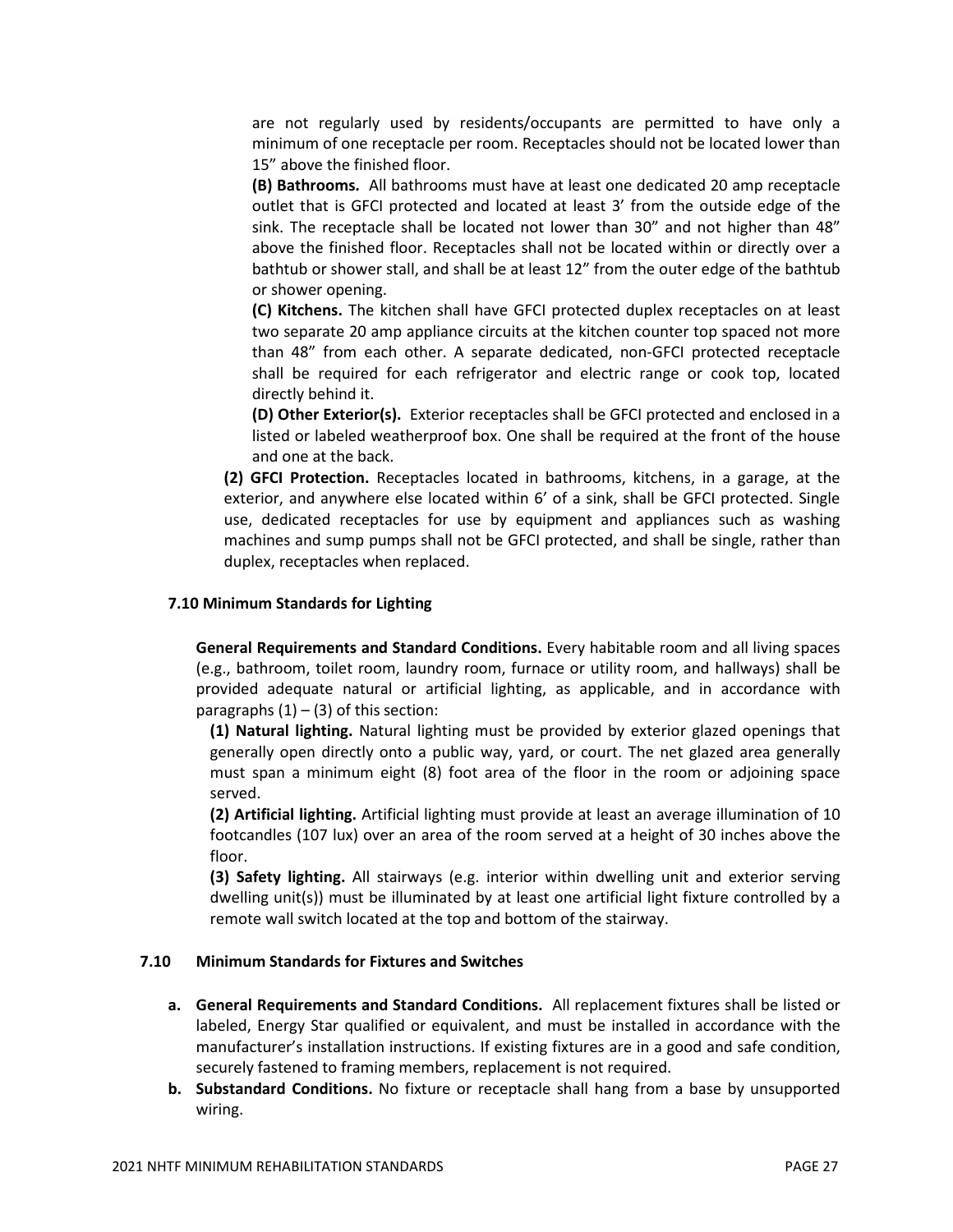are not regularly used by residents/occupants are permitted to have only a minimum of one receptacle per room. Receptacles should not be located lower than 15" above the finished floor.

**(B) Bathrooms.** All bathrooms must have at least one dedicated 20 amp receptacle outlet that is GFCI protected and located at least 3' from the outside edge of the sink. The receptacle shall be located not lower than 30" and not higher than 48" above the finished floor. Receptacles shall not be located within or directly over a bathtub or shower stall, and shall be at least 12" from the outer edge of the bathtub or shower opening.

**(C) Kitchens.** The kitchen shall have GFCI protected duplex receptacles on at least two separate 20 amp appliance circuits at the kitchen counter top spaced not more than 48" from each other. A separate dedicated, non-GFCI protected receptacle shall be required for each refrigerator and electric range or cook top, located directly behind it.

**(D) Other Exterior(s).** Exterior receptacles shall be GFCI protected and enclosed in a listed or labeled weatherproof box. One shall be required at the front of the house and one at the back.

**(2) GFCI Protection.** Receptacles located in bathrooms, kitchens, in a garage, at the exterior, and anywhere else located within 6' of a sink, shall be GFCI protected. Single use, dedicated receptacles for use by equipment and appliances such as washing machines and sump pumps shall not be GFCI protected, and shall be single, rather than duplex, receptacles when replaced.

### **7.10 Minimum Standards for Lighting**

**General Requirements and Standard Conditions.** Every habitable room and all living spaces (e.g., bathroom, toilet room, laundry room, furnace or utility room, and hallways) shall be provided adequate natural or artificial lighting, as applicable, and in accordance with paragraphs  $(1) - (3)$  of this section:

**(1) Natural lighting.** Natural lighting must be provided by exterior glazed openings that generally open directly onto a public way, yard, or court. The net glazed area generally must span a minimum eight (8) foot area of the floor in the room or adjoining space served.

**(2) Artificial lighting.** Artificial lighting must provide at least an average illumination of 10 footcandles (107 lux) over an area of the room served at a height of 30 inches above the floor.

**(3) Safety lighting.** All stairways (e.g. interior within dwelling unit and exterior serving dwelling unit(s)) must be illuminated by at least one artificial light fixture controlled by a remote wall switch located at the top and bottom of the stairway.

# **7.10 Minimum Standards for Fixtures and Switches**

- **a. General Requirements and Standard Conditions.** All replacement fixtures shall be listed or labeled, Energy Star qualified or equivalent, and must be installed in accordance with the manufacturer's installation instructions. If existing fixtures are in a good and safe condition, securely fastened to framing members, replacement is not required.
- **b. Substandard Conditions.** No fixture or receptacle shall hang from a base by unsupported wiring.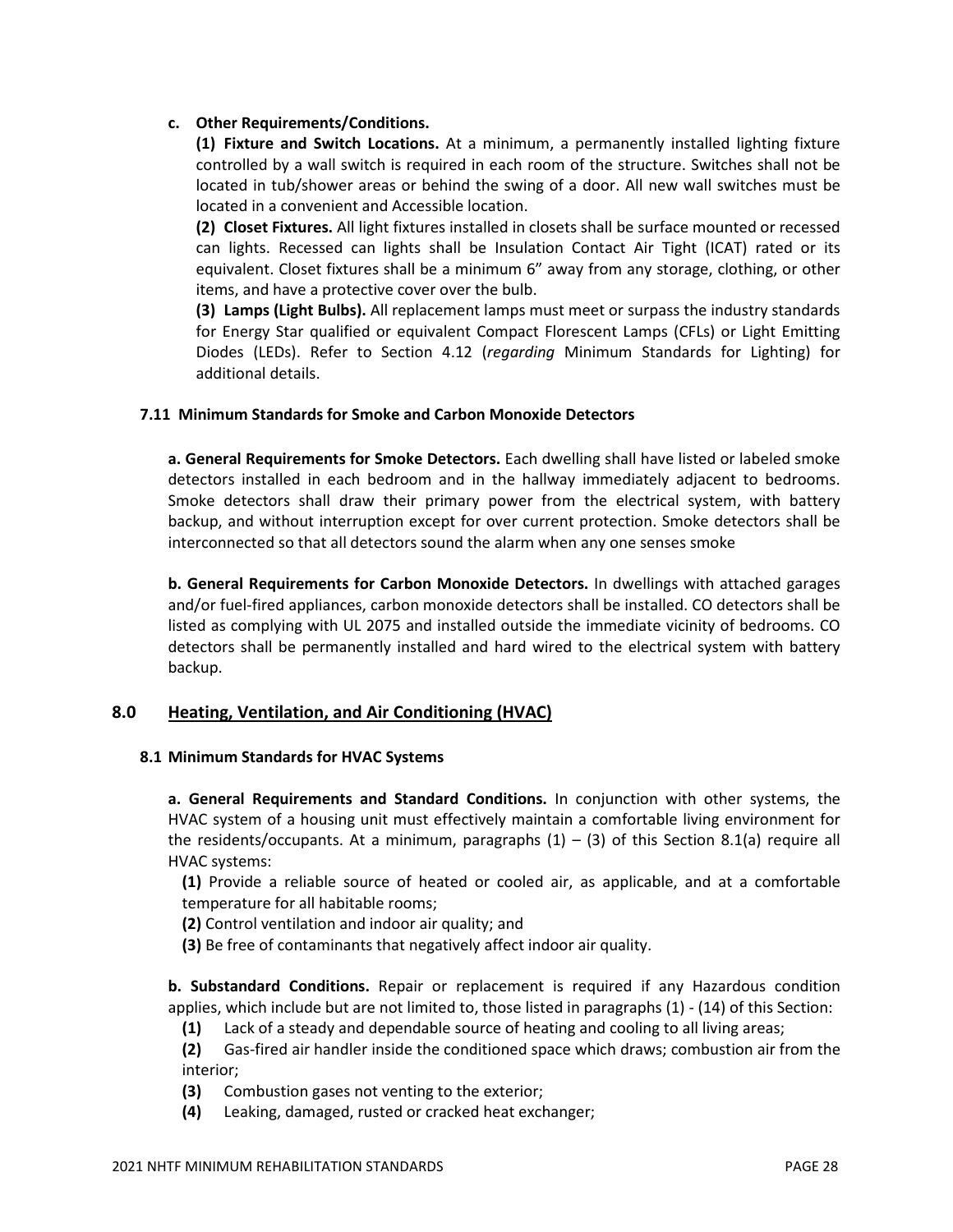# **c. Other Requirements/Conditions.**

**(1) Fixture and Switch Locations.** At a minimum, a permanently installed lighting fixture controlled by a wall switch is required in each room of the structure. Switches shall not be located in tub/shower areas or behind the swing of a door. All new wall switches must be located in a convenient and Accessible location.

**(2) Closet Fixtures.** All light fixtures installed in closets shall be surface mounted or recessed can lights. Recessed can lights shall be Insulation Contact Air Tight (ICAT) rated or its equivalent. Closet fixtures shall be a minimum 6" away from any storage, clothing, or other items, and have a protective cover over the bulb.

**(3) Lamps (Light Bulbs).** All replacement lamps must meet or surpass the industry standards for Energy Star qualified or equivalent Compact Florescent Lamps (CFLs) or Light Emitting Diodes (LEDs). Refer to Section 4.12 (*regarding* Minimum Standards for Lighting) for additional details.

#### **7.11 Minimum Standards for Smoke and Carbon Monoxide Detectors**

**a. General Requirements for Smoke Detectors.** Each dwelling shall have listed or labeled smoke detectors installed in each bedroom and in the hallway immediately adjacent to bedrooms. Smoke detectors shall draw their primary power from the electrical system, with battery backup, and without interruption except for over current protection. Smoke detectors shall be interconnected so that all detectors sound the alarm when any one senses smoke

**b. General Requirements for Carbon Monoxide Detectors.** In dwellings with attached garages and/or fuel-fired appliances, carbon monoxide detectors shall be installed. CO detectors shall be listed as complying with UL 2075 and installed outside the immediate vicinity of bedrooms. CO detectors shall be permanently installed and hard wired to the electrical system with battery backup.

# **8.0 Heating, Ventilation, and Air Conditioning (HVAC)**

#### **8.1 Minimum Standards for HVAC Systems**

**a. General Requirements and Standard Conditions.** In conjunction with other systems, the HVAC system of a housing unit must effectively maintain a comfortable living environment for the residents/occupants. At a minimum, paragraphs  $(1) - (3)$  of this Section 8.1(a) require all HVAC systems:

**(1)** Provide a reliable source of heated or cooled air, as applicable, and at a comfortable temperature for all habitable rooms;

**(2)** Control ventilation and indoor air quality; and

**(3)** Be free of contaminants that negatively affect indoor air quality.

**b. Substandard Conditions.** Repair or replacement is required if any Hazardous condition applies, which include but are not limited to, those listed in paragraphs (1) - (14) of this Section:

**(1)** Lack of a steady and dependable source of heating and cooling to all living areas;

**(2)** Gas-fired air handler inside the conditioned space which draws; combustion air from the interior;

**(3)** Combustion gases not venting to the exterior;

**(4)** Leaking, damaged, rusted or cracked heat exchanger;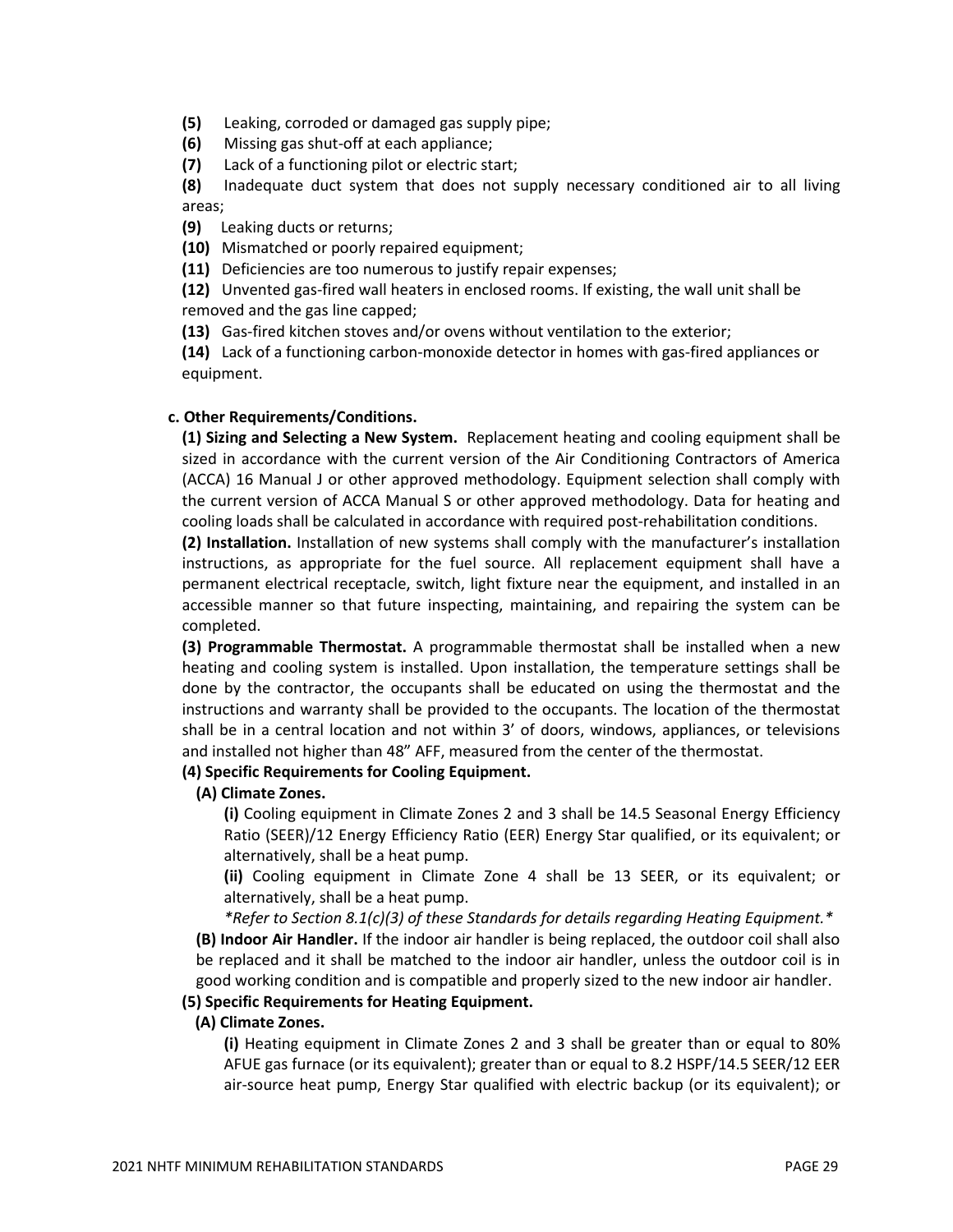**(5)** Leaking, corroded or damaged gas supply pipe;

**(6)** Missing gas shut-off at each appliance;

**(7)** Lack of a functioning pilot or electric start;

**(8)** Inadequate duct system that does not supply necessary conditioned air to all living areas;

**(9)** Leaking ducts or returns;

**(10)** Mismatched or poorly repaired equipment;

**(11)** Deficiencies are too numerous to justify repair expenses;

**(12)** Unvented gas-fired wall heaters in enclosed rooms. If existing, the wall unit shall be removed and the gas line capped;

**(13)** Gas-fired kitchen stoves and/or ovens without ventilation to the exterior;

**(14)** Lack of a functioning carbon-monoxide detector in homes with gas-fired appliances or equipment.

### **c. Other Requirements/Conditions.**

**(1) Sizing and Selecting a New System.** Replacement heating and cooling equipment shall be sized in accordance with the current version of the Air Conditioning Contractors of America (ACCA) 16 Manual J or other approved methodology. Equipment selection shall comply with the current version of ACCA Manual S or other approved methodology. Data for heating and cooling loads shall be calculated in accordance with required post-rehabilitation conditions.

**(2) Installation.** Installation of new systems shall comply with the manufacturer's installation instructions, as appropriate for the fuel source. All replacement equipment shall have a permanent electrical receptacle, switch, light fixture near the equipment, and installed in an accessible manner so that future inspecting, maintaining, and repairing the system can be completed.

**(3) Programmable Thermostat.** A programmable thermostat shall be installed when a new heating and cooling system is installed. Upon installation, the temperature settings shall be done by the contractor, the occupants shall be educated on using the thermostat and the instructions and warranty shall be provided to the occupants. The location of the thermostat shall be in a central location and not within 3' of doors, windows, appliances, or televisions and installed not higher than 48" AFF, measured from the center of the thermostat.

# **(4) Specific Requirements for Cooling Equipment.**

# **(A) Climate Zones.**

**(i)** Cooling equipment in Climate Zones 2 and 3 shall be 14.5 Seasonal Energy Efficiency Ratio (SEER)/12 Energy Efficiency Ratio (EER) Energy Star qualified, or its equivalent; or alternatively, shall be a heat pump.

**(ii)** Cooling equipment in Climate Zone 4 shall be 13 SEER, or its equivalent; or alternatively, shall be a heat pump.

*\*Refer to Section 8.1(c)(3) of these Standards for details regarding Heating Equipment.\**

**(B) Indoor Air Handler.** If the indoor air handler is being replaced, the outdoor coil shall also be replaced and it shall be matched to the indoor air handler, unless the outdoor coil is in good working condition and is compatible and properly sized to the new indoor air handler.

# **(5) Specific Requirements for Heating Equipment.**

#### **(A) Climate Zones.**

**(i)** Heating equipment in Climate Zones 2 and 3 shall be greater than or equal to 80% AFUE gas furnace (or its equivalent); greater than or equal to 8.2 HSPF/14.5 SEER/12 EER air-source heat pump, Energy Star qualified with electric backup (or its equivalent); or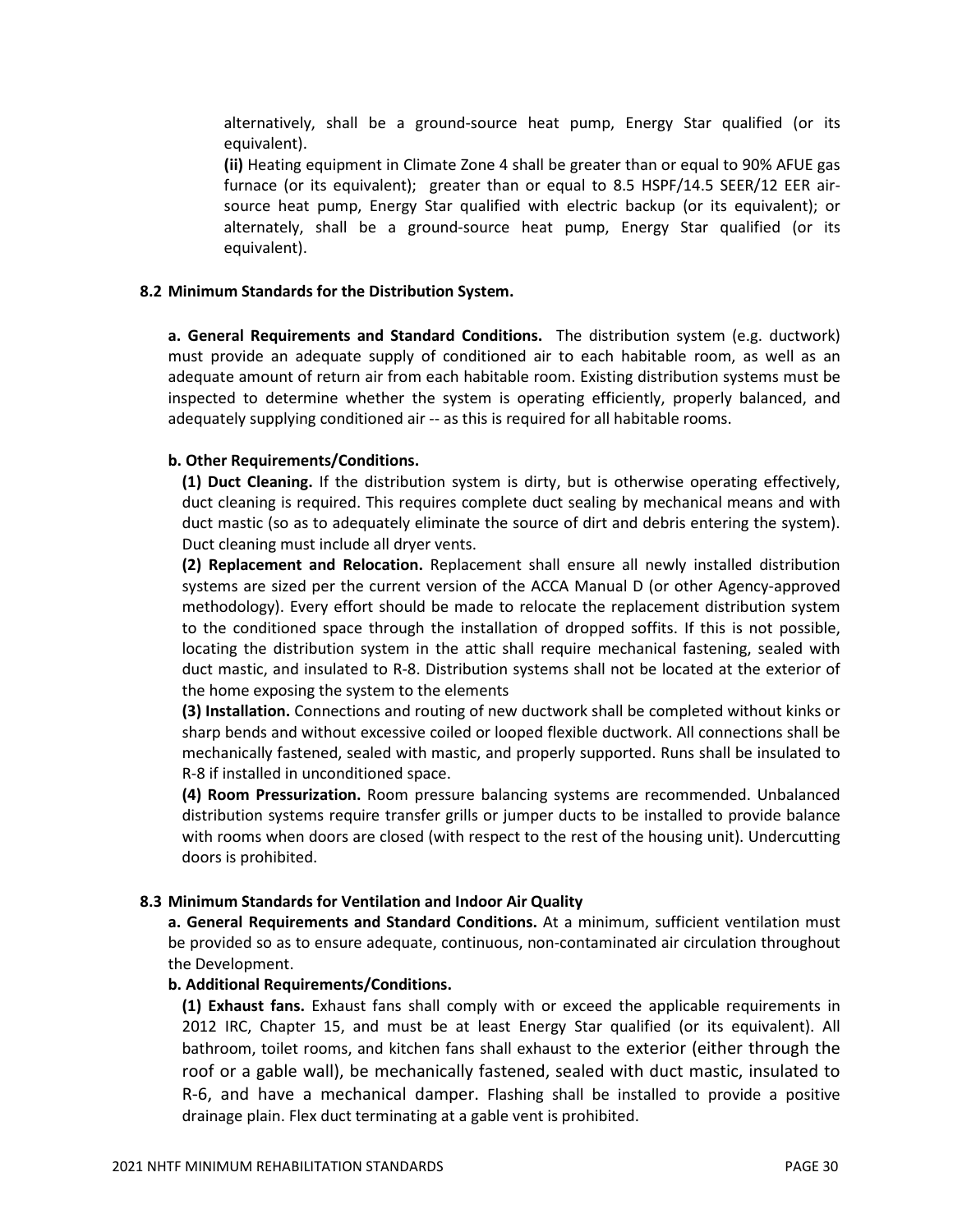alternatively, shall be a ground-source heat pump, Energy Star qualified (or its equivalent).

**(ii)** Heating equipment in Climate Zone 4 shall be greater than or equal to 90% AFUE gas furnace (or its equivalent); greater than or equal to 8.5 HSPF/14.5 SEER/12 EER airsource heat pump, Energy Star qualified with electric backup (or its equivalent); or alternately, shall be a ground-source heat pump, Energy Star qualified (or its equivalent).

### **8.2 Minimum Standards for the Distribution System.**

**a. General Requirements and Standard Conditions.** The distribution system (e.g. ductwork) must provide an adequate supply of conditioned air to each habitable room, as well as an adequate amount of return air from each habitable room. Existing distribution systems must be inspected to determine whether the system is operating efficiently, properly balanced, and adequately supplying conditioned air -- as this is required for all habitable rooms.

### **b. Other Requirements/Conditions.**

**(1) Duct Cleaning.** If the distribution system is dirty, but is otherwise operating effectively, duct cleaning is required. This requires complete duct sealing by mechanical means and with duct mastic (so as to adequately eliminate the source of dirt and debris entering the system). Duct cleaning must include all dryer vents.

**(2) Replacement and Relocation.** Replacement shall ensure all newly installed distribution systems are sized per the current version of the ACCA Manual D (or other Agency-approved methodology). Every effort should be made to relocate the replacement distribution system to the conditioned space through the installation of dropped soffits. If this is not possible, locating the distribution system in the attic shall require mechanical fastening, sealed with duct mastic, and insulated to R-8. Distribution systems shall not be located at the exterior of the home exposing the system to the elements

**(3) Installation.** Connections and routing of new ductwork shall be completed without kinks or sharp bends and without excessive coiled or looped flexible ductwork. All connections shall be mechanically fastened, sealed with mastic, and properly supported. Runs shall be insulated to R-8 if installed in unconditioned space.

**(4) Room Pressurization.** Room pressure balancing systems are recommended. Unbalanced distribution systems require transfer grills or jumper ducts to be installed to provide balance with rooms when doors are closed (with respect to the rest of the housing unit). Undercutting doors is prohibited.

#### **8.3 Minimum Standards for Ventilation and Indoor Air Quality**

**a. General Requirements and Standard Conditions.** At a minimum, sufficient ventilation must be provided so as to ensure adequate, continuous, non-contaminated air circulation throughout the Development.

## **b. Additional Requirements/Conditions.**

**(1) Exhaust fans.** Exhaust fans shall comply with or exceed the applicable requirements in 2012 IRC, Chapter 15, and must be at least Energy Star qualified (or its equivalent). All bathroom, toilet rooms, and kitchen fans shall exhaust to the exterior (either through the roof or a gable wall), be mechanically fastened, sealed with duct mastic, insulated to R-6, and have a mechanical damper. Flashing shall be installed to provide a positive drainage plain. Flex duct terminating at a gable vent is prohibited.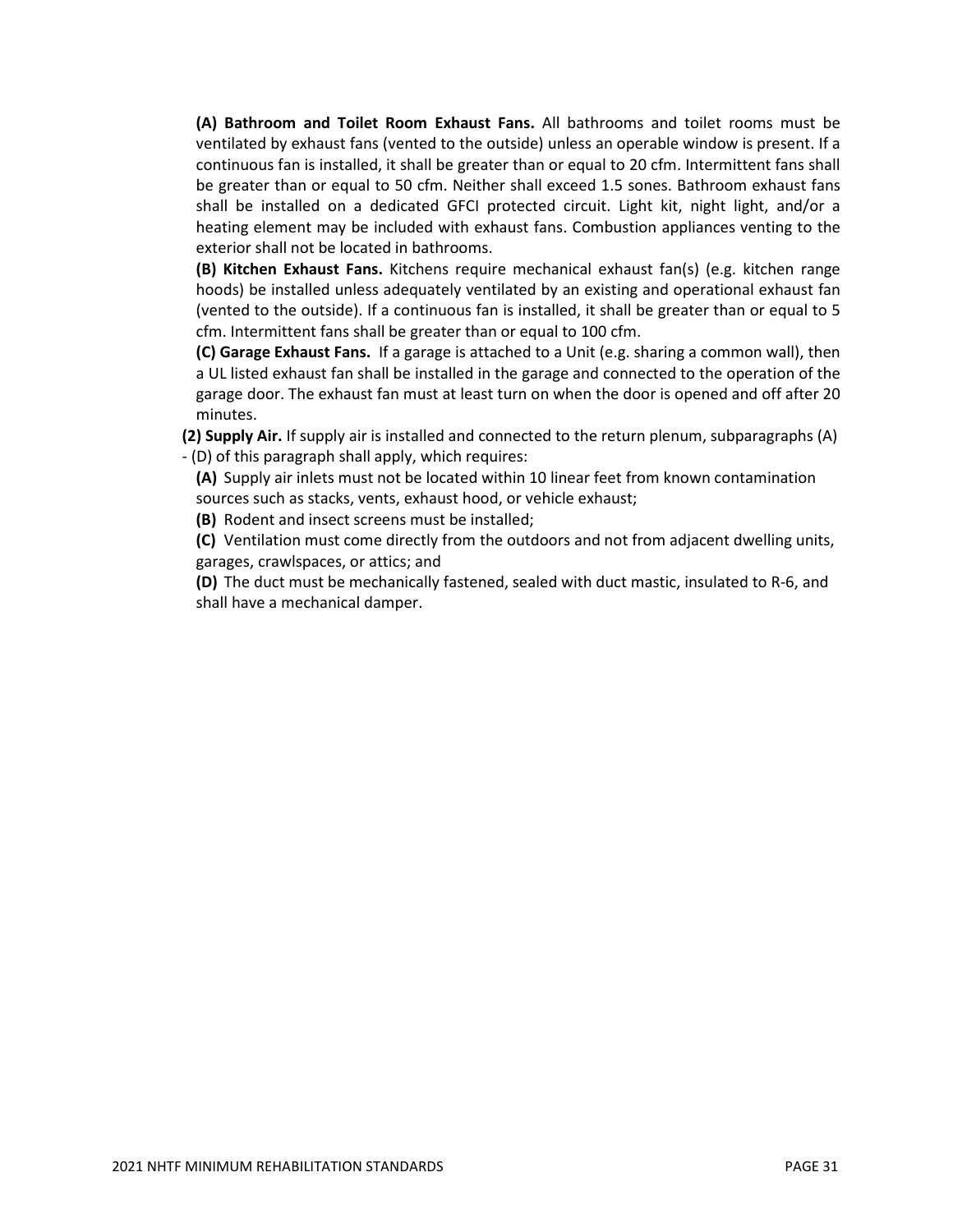**(A) Bathroom and Toilet Room Exhaust Fans.** All bathrooms and toilet rooms must be ventilated by exhaust fans (vented to the outside) unless an operable window is present. If a continuous fan is installed, it shall be greater than or equal to 20 cfm. Intermittent fans shall be greater than or equal to 50 cfm. Neither shall exceed 1.5 sones. Bathroom exhaust fans shall be installed on a dedicated GFCI protected circuit. Light kit, night light, and/or a heating element may be included with exhaust fans. Combustion appliances venting to the exterior shall not be located in bathrooms.

**(B) Kitchen Exhaust Fans.** Kitchens require mechanical exhaust fan(s) (e.g. kitchen range hoods) be installed unless adequately ventilated by an existing and operational exhaust fan (vented to the outside). If a continuous fan is installed, it shall be greater than or equal to 5 cfm. Intermittent fans shall be greater than or equal to 100 cfm.

**(C) Garage Exhaust Fans.** If a garage is attached to a Unit (e.g. sharing a common wall), then a UL listed exhaust fan shall be installed in the garage and connected to the operation of the garage door. The exhaust fan must at least turn on when the door is opened and off after 20 minutes.

**(2) Supply Air.** If supply air is installed and connected to the return plenum, subparagraphs (A) - (D) of this paragraph shall apply, which requires:

**(A)** Supply air inlets must not be located within 10 linear feet from known contamination sources such as stacks, vents, exhaust hood, or vehicle exhaust;

**(B)** Rodent and insect screens must be installed;

**(C)** Ventilation must come directly from the outdoors and not from adjacent dwelling units, garages, crawlspaces, or attics; and

**(D)** The duct must be mechanically fastened, sealed with duct mastic, insulated to R-6, and shall have a mechanical damper.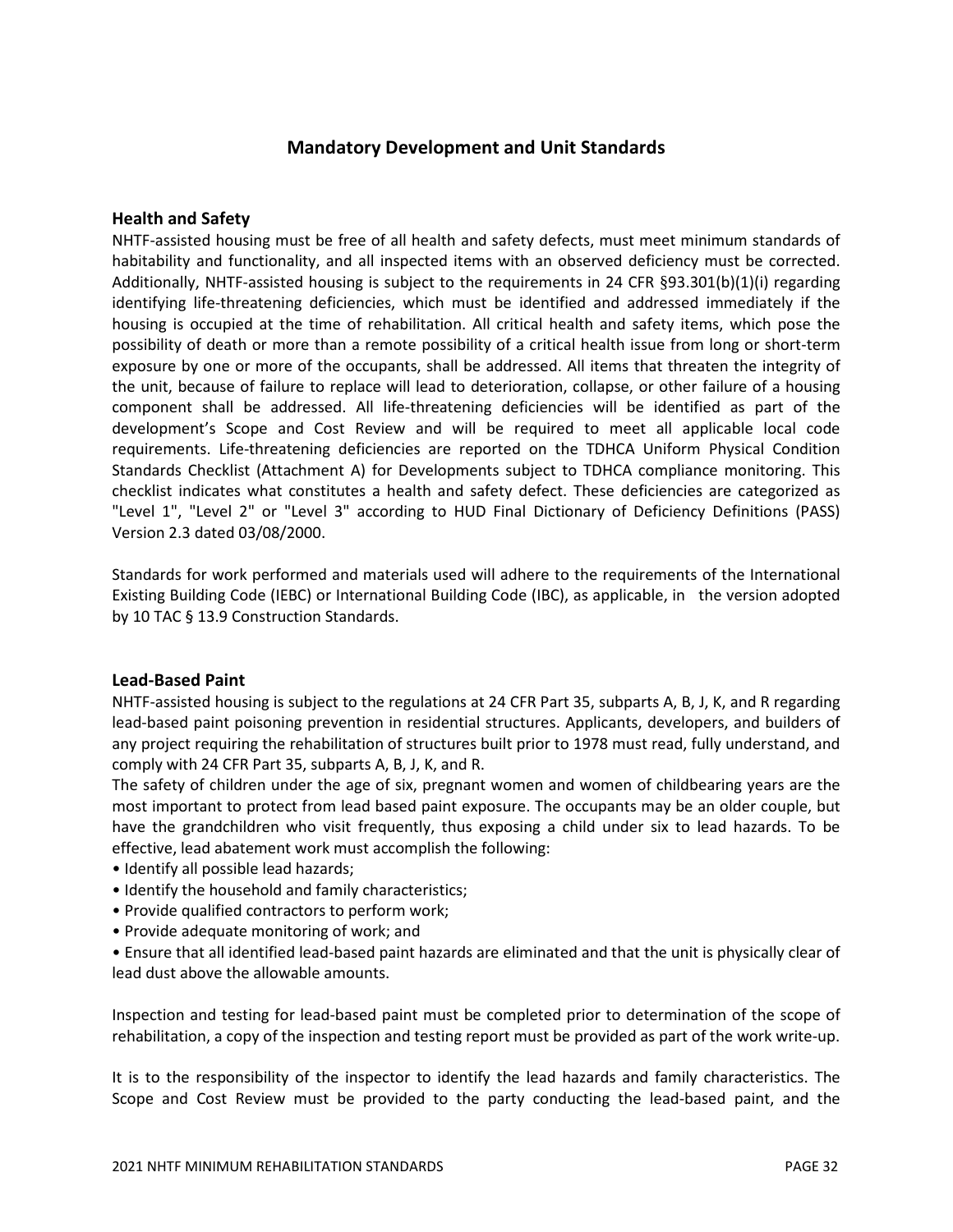# **Mandatory Development and Unit Standards**

# <span id="page-34-0"></span>**Health and Safety**

NHTF-assisted housing must be free of all health and safety defects, must meet minimum standards of habitability and functionality, and all inspected items with an observed deficiency must be corrected. Additionally, NHTF-assisted housing is subject to the requirements in 24 CFR §93.301(b)(1)(i) regarding identifying life-threatening deficiencies, which must be identified and addressed immediately if the housing is occupied at the time of rehabilitation. All critical health and safety items, which pose the possibility of death or more than a remote possibility of a critical health issue from long or short-term exposure by one or more of the occupants, shall be addressed. All items that threaten the integrity of the unit, because of failure to replace will lead to deterioration, collapse, or other failure of a housing component shall be addressed. All life-threatening deficiencies will be identified as part of the development's Scope and Cost Review and will be required to meet all applicable local code requirements. Life-threatening deficiencies are reported on the TDHCA Uniform Physical Condition Standards Checklist (Attachment A) for Developments subject to TDHCA compliance monitoring. This checklist indicates what constitutes a health and safety defect. These deficiencies are categorized as "Level 1", "Level 2" or "Level 3" according to HUD Final Dictionary of Deficiency Definitions (PASS) Version 2.3 dated 03/08/2000.

Standards for work performed and materials used will adhere to the requirements of the International Existing Building Code (IEBC) or International Building Code (IBC), as applicable, in the version adopted by 10 TAC § 13.9 Construction Standards.

#### **Lead-Based Paint**

NHTF-assisted housing is subject to the regulations at 24 CFR Part 35, subparts A, B, J, K, and R regarding lead-based paint poisoning prevention in residential structures. Applicants, developers, and builders of any project requiring the rehabilitation of structures built prior to 1978 must read, fully understand, and comply with 24 CFR Part 35, subparts A, B, J, K, and R.

The safety of children under the age of six, pregnant women and women of childbearing years are the most important to protect from lead based paint exposure. The occupants may be an older couple, but have the grandchildren who visit frequently, thus exposing a child under six to lead hazards. To be effective, lead abatement work must accomplish the following:

- Identify all possible lead hazards;
- Identify the household and family characteristics;
- Provide qualified contractors to perform work;
- Provide adequate monitoring of work; and

• Ensure that all identified lead-based paint hazards are eliminated and that the unit is physically clear of lead dust above the allowable amounts.

Inspection and testing for lead-based paint must be completed prior to determination of the scope of rehabilitation, a copy of the inspection and testing report must be provided as part of the work write-up.

It is to the responsibility of the inspector to identify the lead hazards and family characteristics. The Scope and Cost Review must be provided to the party conducting the lead-based paint, and the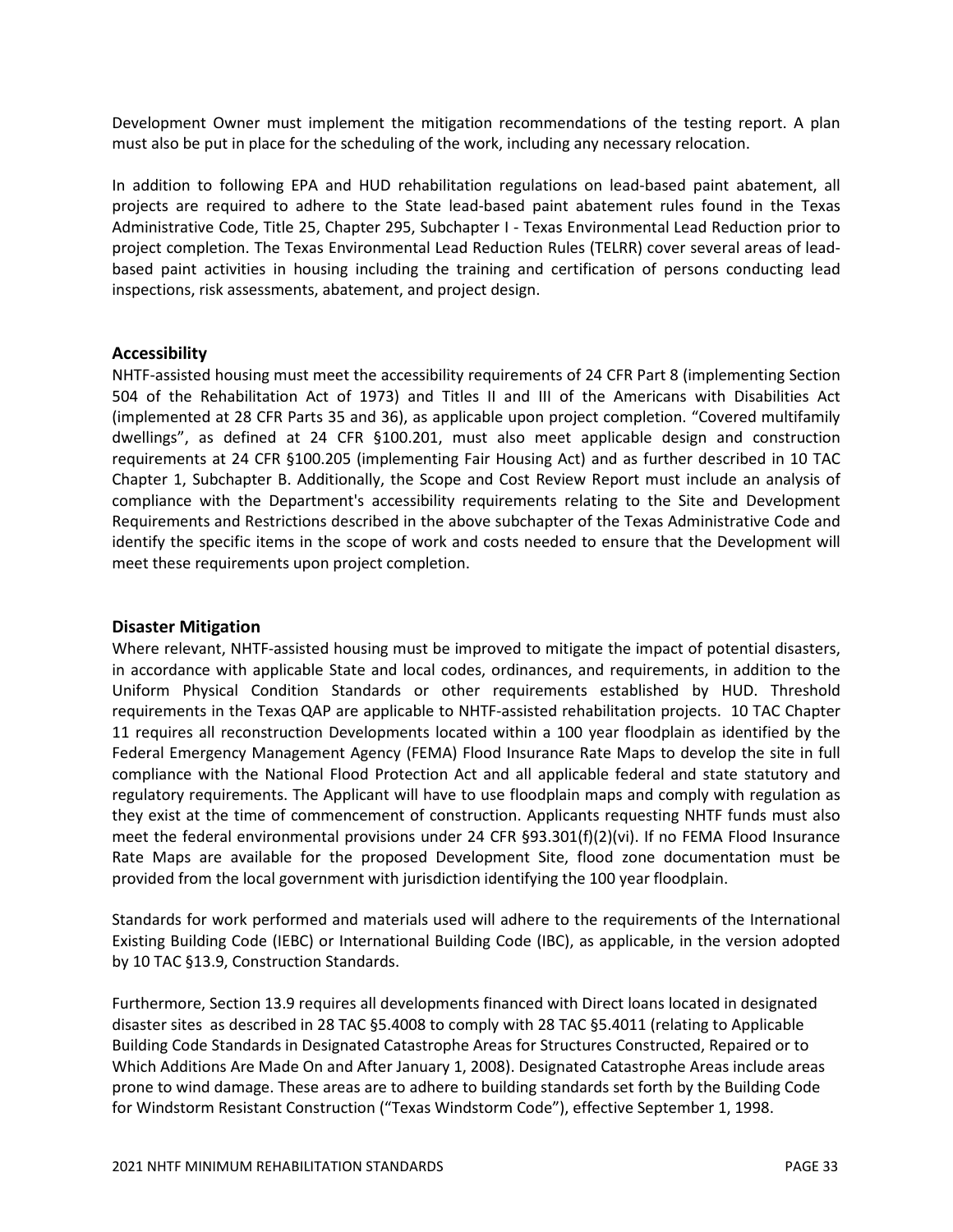Development Owner must implement the mitigation recommendations of the testing report. A plan must also be put in place for the scheduling of the work, including any necessary relocation.

In addition to following EPA and HUD rehabilitation regulations on lead-based paint abatement, all projects are required to adhere to the State lead-based paint abatement rules found in the Texas Administrative Code, Title 25, Chapter 295, Subchapter I - Texas Environmental Lead Reduction prior to project completion. The Texas Environmental Lead Reduction Rules (TELRR) cover several areas of leadbased paint activities in housing including the training and certification of persons conducting lead inspections, risk assessments, abatement, and project design.

# **Accessibility**

NHTF-assisted housing must meet the accessibility requirements of 24 CFR Part 8 (implementing Section 504 of the Rehabilitation Act of 1973) and Titles II and III of the Americans with Disabilities Act (implemented at 28 CFR Parts 35 and 36), as applicable upon project completion. "Covered multifamily dwellings", as defined at 24 CFR §100.201, must also meet applicable design and construction requirements at 24 CFR §100.205 (implementing Fair Housing Act) and as further described in 10 TAC Chapter 1, Subchapter B. Additionally, the Scope and Cost Review Report must include an analysis of compliance with the Department's accessibility requirements relating to the Site and Development Requirements and Restrictions described in the above subchapter of the Texas Administrative Code and identify the specific items in the scope of work and costs needed to ensure that the Development will meet these requirements upon project completion.

# **Disaster Mitigation**

Where relevant, NHTF-assisted housing must be improved to mitigate the impact of potential disasters, in accordance with applicable State and local codes, ordinances, and requirements, in addition to the Uniform Physical Condition Standards or other requirements established by HUD. Threshold requirements in the Texas QAP are applicable to NHTF-assisted rehabilitation projects. 10 TAC Chapter 11 requires all reconstruction Developments located within a 100 year floodplain as identified by the Federal Emergency Management Agency (FEMA) Flood Insurance Rate Maps to develop the site in full compliance with the National Flood Protection Act and all applicable federal and state statutory and regulatory requirements. The Applicant will have to use floodplain maps and comply with regulation as they exist at the time of commencement of construction. Applicants requesting NHTF funds must also meet the federal environmental provisions under 24 CFR §93.301(f)(2)(vi). If no FEMA Flood Insurance Rate Maps are available for the proposed Development Site, flood zone documentation must be provided from the local government with jurisdiction identifying the 100 year floodplain.

Standards for work performed and materials used will adhere to the requirements of the International Existing Building Code (IEBC) or International Building Code (IBC), as applicable, in the version adopted by 10 TAC §13.9, Construction Standards.

Furthermore, Section 13.9 requires all developments financed with Direct loans located in designated disaster sites as described in 28 TAC §5.4008 to comply with 28 TAC §5.4011 (relating to Applicable Building Code Standards in Designated Catastrophe Areas for Structures Constructed, Repaired or to Which Additions Are Made On and After January 1, 2008). Designated Catastrophe Areas include areas prone to wind damage. These areas are to adhere to building standards set forth by the Building Code for Windstorm Resistant Construction ("Texas Windstorm Code"), effective September 1, 1998.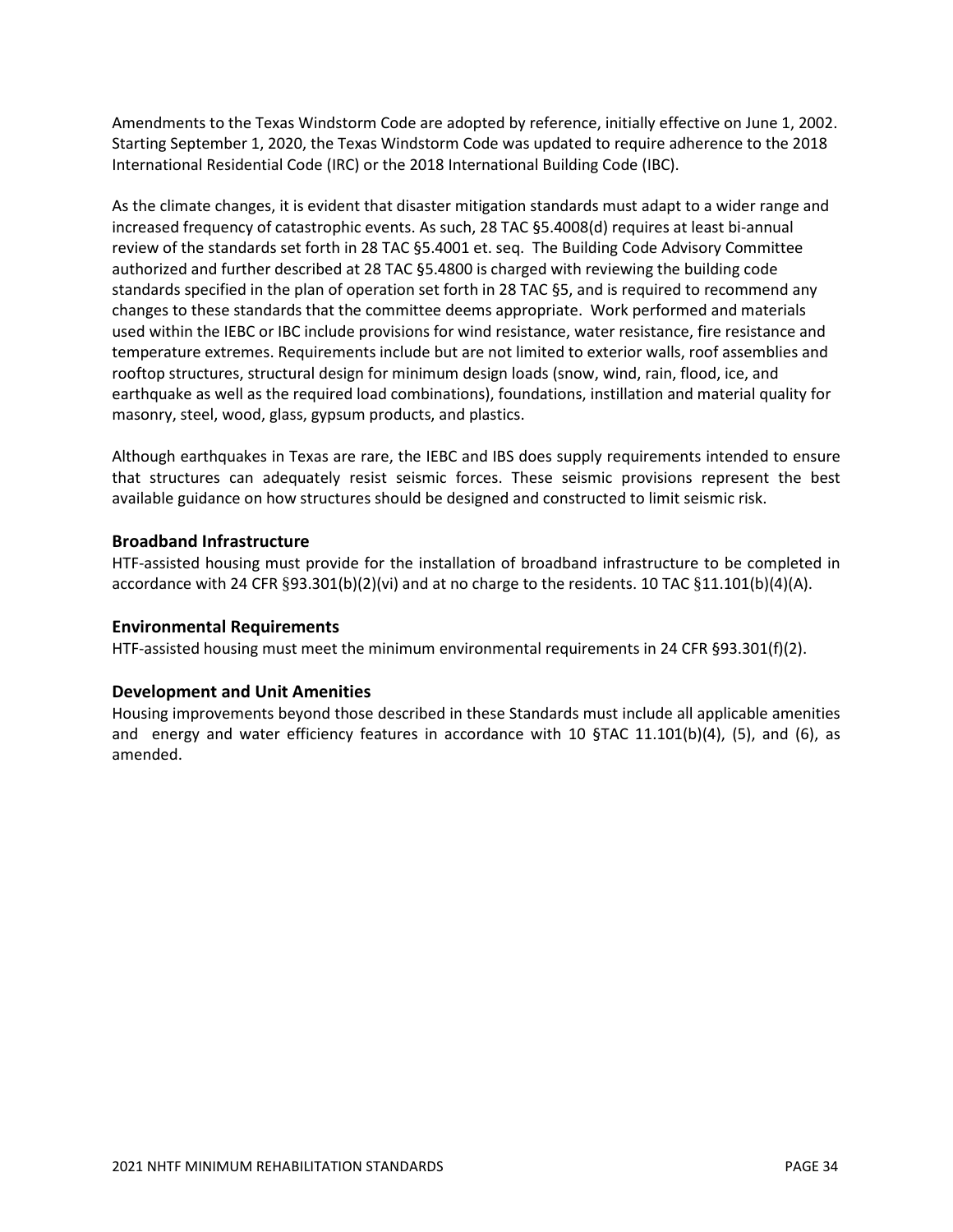Amendments to the Texas Windstorm Code are adopted by reference, initially effective on June 1, 2002. Starting September 1, 2020, the Texas Windstorm Code was updated to require adherence to the 2018 International Residential Code (IRC) or the 2018 International Building Code (IBC).

As the climate changes, it is evident that disaster mitigation standards must adapt to a wider range and increased frequency of catastrophic events. As such, 28 TAC §5.4008(d) requires at least bi-annual review of the standards set forth in 28 TAC §5.4001 et. seq. The Building Code Advisory Committee authorized and further described at 28 TAC §5.4800 is charged with reviewing the building code standards specified in the plan of operation set forth in 28 TAC §5, and is required to recommend any changes to these standards that the committee deems appropriate. Work performed and materials used within the IEBC or IBC include provisions for wind resistance, water resistance, fire resistance and temperature extremes. Requirements include but are not limited to exterior walls, roof assemblies and rooftop structures, structural design for minimum design loads (snow, wind, rain, flood, ice, and earthquake as well as the required load combinations), foundations, instillation and material quality for masonry, steel, wood, glass, gypsum products, and plastics.

Although earthquakes in Texas are rare, the IEBC and IBS does supply requirements intended to ensure that structures can adequately resist seismic forces. These seismic provisions represent the best available guidance on how structures should be designed and constructed to limit seismic risk.

# **Broadband Infrastructure**

HTF-assisted housing must provide for the installation of broadband infrastructure to be completed in accordance with 24 CFR §93.301(b)(2)(vi) and at no charge to the residents. 10 TAC §11.101(b)(4)(A).

# **Environmental Requirements**

HTF-assisted housing must meet the minimum environmental requirements in 24 CFR §93.301(f)(2).

# **Development and Unit Amenities**

Housing improvements beyond those described in these Standards must include all applicable amenities and energy and water efficiency features in accordance with 10 §TAC 11.101(b)(4), (5), and (6), as amended.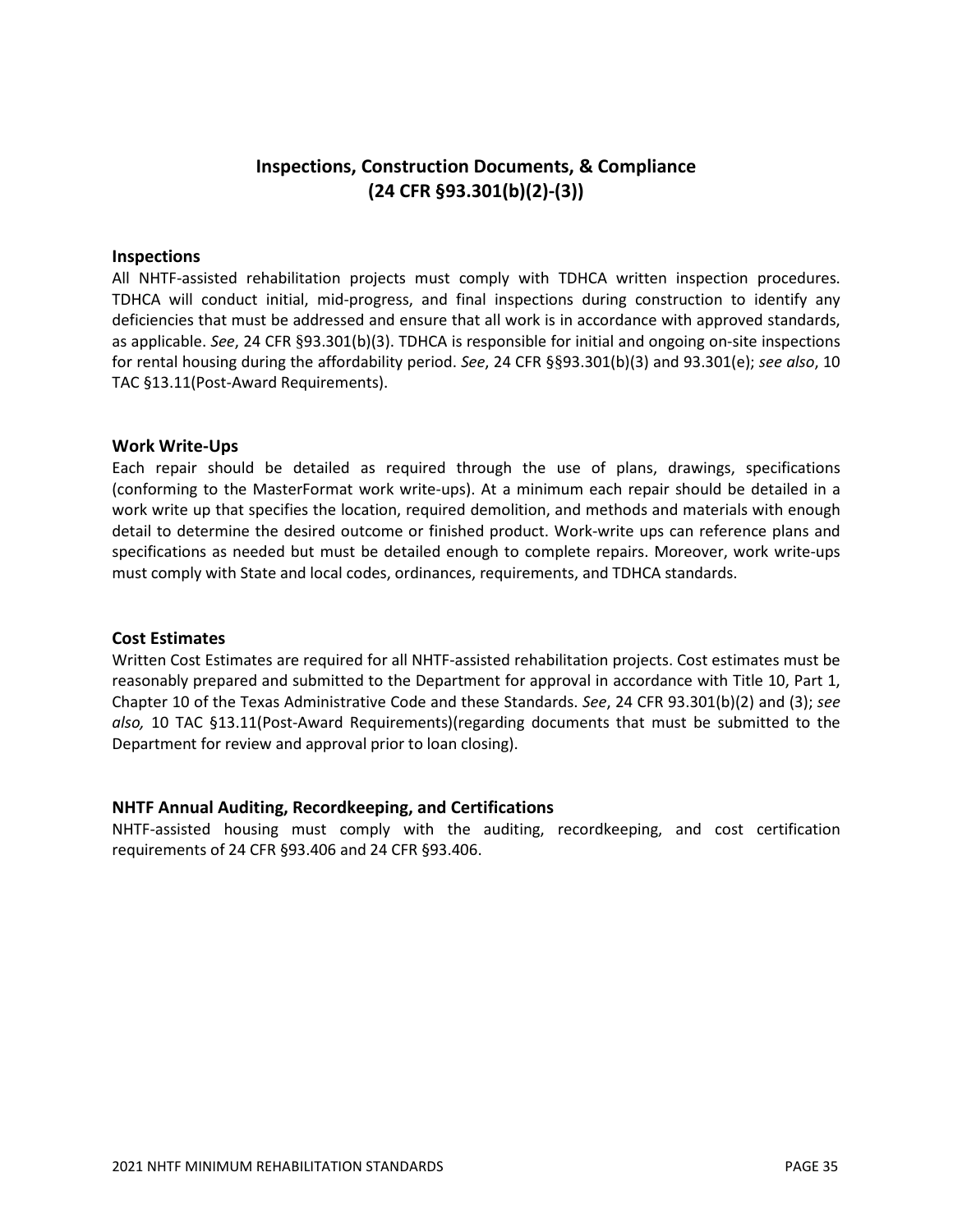# **Inspections, Construction Documents, & Compliance (24 CFR §93.301(b)(2)-(3))**

#### **Inspections**

All NHTF-assisted rehabilitation projects must comply with TDHCA written inspection procedures. TDHCA will conduct initial, mid-progress, and final inspections during construction to identify any deficiencies that must be addressed and ensure that all work is in accordance with approved standards, as applicable. *See*, 24 CFR §93.301(b)(3). TDHCA is responsible for initial and ongoing on-site inspections for rental housing during the affordability period. *See*, 24 CFR §§93.301(b)(3) and 93.301(e); *see also*, 10 TAC §13.11(Post-Award Requirements).

#### **Work Write-Ups**

Each repair should be detailed as required through the use of plans, drawings, specifications (conforming to the MasterFormat work write-ups). At a minimum each repair should be detailed in a work write up that specifies the location, required demolition, and methods and materials with enough detail to determine the desired outcome or finished product. Work-write ups can reference plans and specifications as needed but must be detailed enough to complete repairs. Moreover, work write-ups must comply with State and local codes, ordinances, requirements, and TDHCA standards.

# **Cost Estimates**

Written Cost Estimates are required for all NHTF-assisted rehabilitation projects. Cost estimates must be reasonably prepared and submitted to the Department for approval in accordance with Title 10, Part 1, Chapter 10 of the Texas Administrative Code and these Standards. *See*, 24 CFR 93.301(b)(2) and (3); *see also,* 10 TAC §13.11(Post-Award Requirements)(regarding documents that must be submitted to the Department for review and approval prior to loan closing).

# **NHTF Annual Auditing, Recordkeeping, and Certifications**

NHTF-assisted housing must comply with the auditing, recordkeeping, and cost certification requirements of 24 CFR §93.406 and 24 CFR §93.406.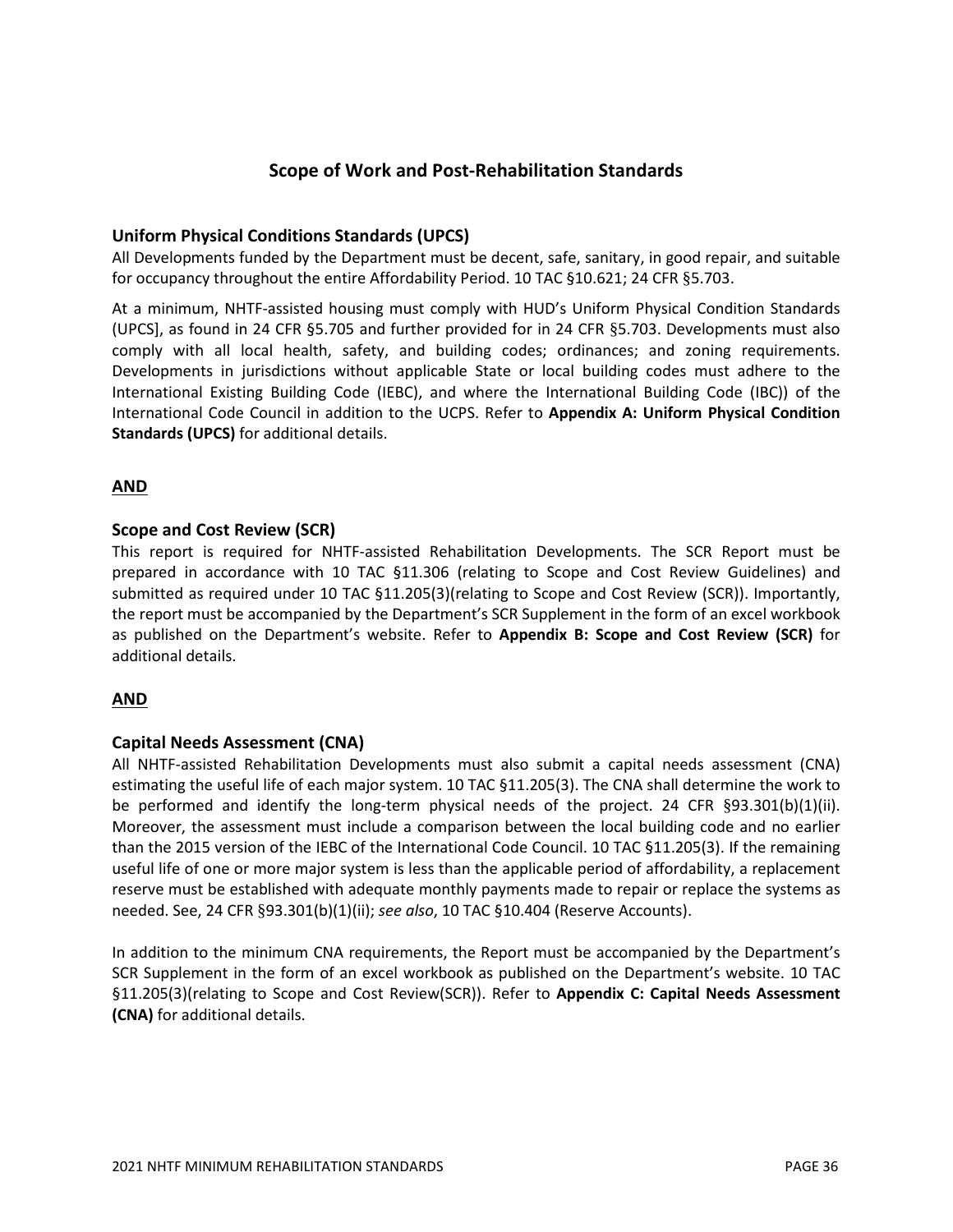# **Scope of Work and Post-Rehabilitation Standards**

# **Uniform Physical Conditions Standards (UPCS)**

All Developments funded by the Department must be decent, safe, sanitary, in good repair, and suitable for occupancy throughout the entire Affordability Period. 10 TAC §10.621; 24 CFR §5.703.

At a minimum, NHTF-assisted housing must comply with HUD's Uniform Physical Condition Standards (UPCS], as found in 24 CFR §5.705 and further provided for in 24 CFR §5.703. Developments must also comply with all local health, safety, and building codes; ordinances; and zoning requirements. Developments in jurisdictions without applicable State or local building codes must adhere to the International Existing Building Code (IEBC), and where the International Building Code (IBC)) of the International Code Council in addition to the UCPS. Refer to **Appendix A: Uniform Physical Condition Standards (UPCS)** for additional details.

# **AND**

# **Scope and Cost Review (SCR)**

This report is required for NHTF-assisted Rehabilitation Developments. The SCR Report must be prepared in accordance with 10 TAC §11.306 (relating to Scope and Cost Review Guidelines) and submitted as required under 10 TAC §11.205(3)(relating to Scope and Cost Review (SCR)). Importantly, the report must be accompanied by the Department's SCR Supplement in the form of an excel workbook as published on the Department's website. Refer to **Appendix B: Scope and Cost Review (SCR)** for additional details.

# **AND**

# **Capital Needs Assessment (CNA)**

All NHTF-assisted Rehabilitation Developments must also submit a capital needs assessment (CNA) estimating the useful life of each major system. 10 TAC §11.205(3). The CNA shall determine the work to be performed and identify the long-term physical needs of the project. 24 CFR §93.301(b)(1)(ii). Moreover, the assessment must include a comparison between the local building code and no earlier than the 2015 version of the IEBC of the International Code Council. 10 TAC §11.205(3). If the remaining useful life of one or more major system is less than the applicable period of affordability, a replacement reserve must be established with adequate monthly payments made to repair or replace the systems as needed. See, 24 CFR §93.301(b)(1)(ii); *see also*, 10 TAC §10.404 (Reserve Accounts).

In addition to the minimum CNA requirements, the Report must be accompanied by the Department's SCR Supplement in the form of an excel workbook as published on the Department's website. 10 TAC §11.205(3)(relating to Scope and Cost Review(SCR)). Refer to **Appendix C: Capital Needs Assessment (CNA)** for additional details.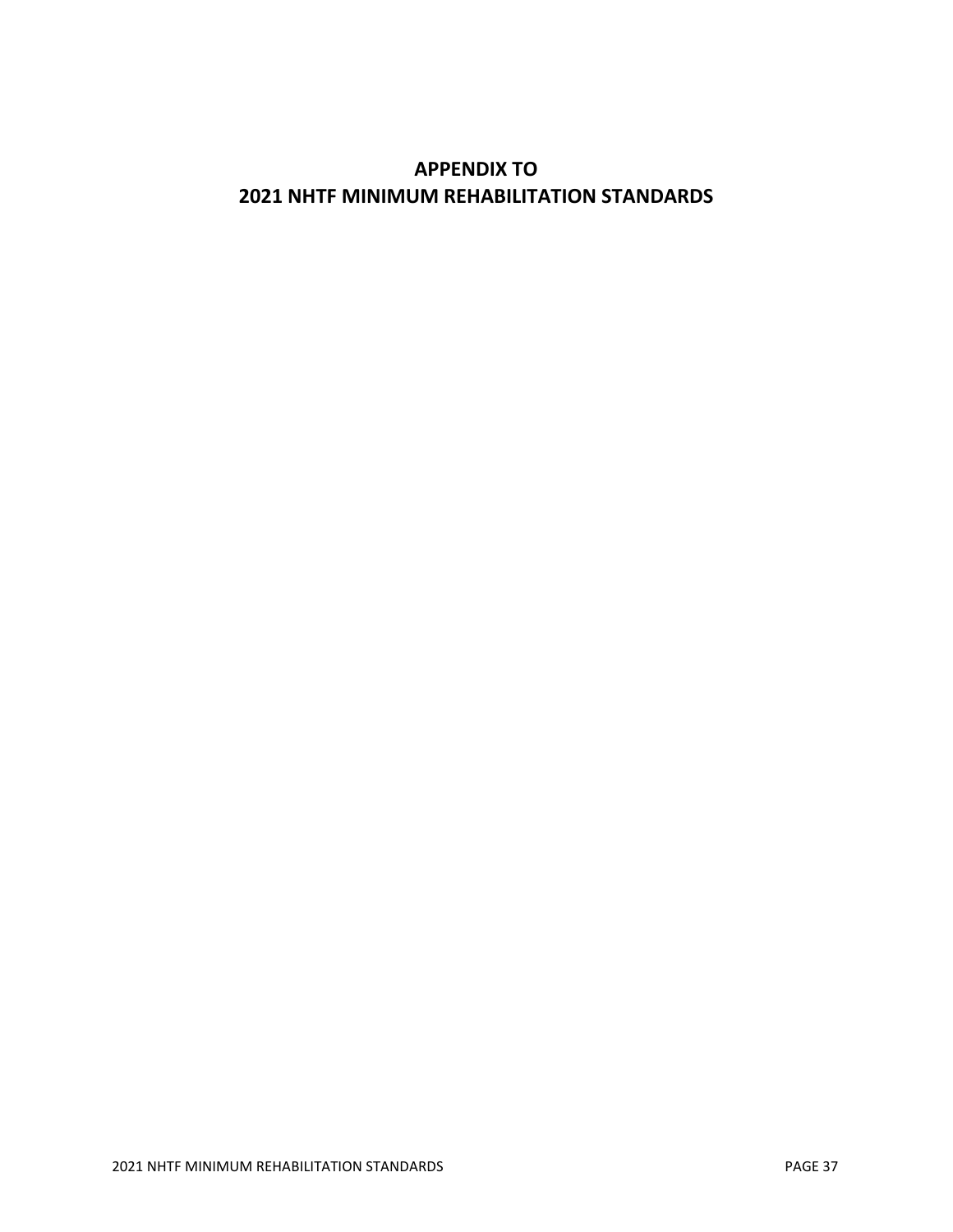# **APPENDIX TO NHTF MINIMUM REHABILITATION STANDARDS**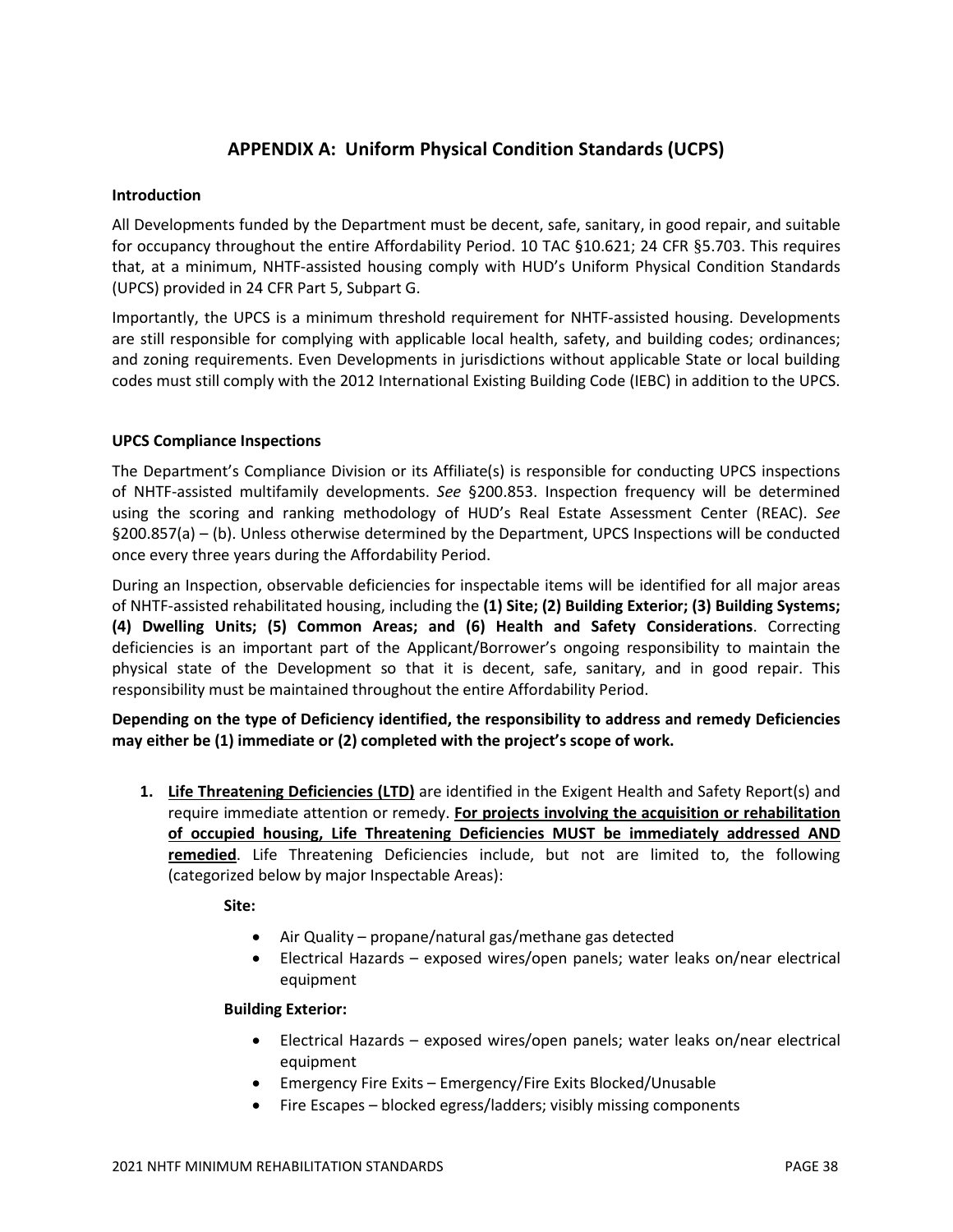# **APPENDIX A: Uniform Physical Condition Standards (UCPS)**

# **Introduction**

All Developments funded by the Department must be decent, safe, sanitary, in good repair, and suitable for occupancy throughout the entire Affordability Period. 10 TAC §10.621; 24 CFR §5.703. This requires that, at a minimum, NHTF-assisted housing comply with HUD's Uniform Physical Condition Standards (UPCS) provided in 24 CFR Part 5, Subpart G.

Importantly, the UPCS is a minimum threshold requirement for NHTF-assisted housing. Developments are still responsible for complying with applicable local health, safety, and building codes; ordinances; and zoning requirements. Even Developments in jurisdictions without applicable State or local building codes must still comply with the 2012 International Existing Building Code (IEBC) in addition to the UPCS.

### **UPCS Compliance Inspections**

The Department's Compliance Division or its Affiliate(s) is responsible for conducting UPCS inspections of NHTF-assisted multifamily developments. *See* §200.853. Inspection frequency will be determined using the scoring and ranking methodology of HUD's Real Estate Assessment Center (REAC). *See* §200.857(a) – (b). Unless otherwise determined by the Department, UPCS Inspections will be conducted once every three years during the Affordability Period.

During an Inspection, observable deficiencies for inspectable items will be identified for all major areas of NHTF-assisted rehabilitated housing, including the **(1) Site; (2) Building Exterior; (3) Building Systems; (4) Dwelling Units; (5) Common Areas; and (6) Health and Safety Considerations**. Correcting deficiencies is an important part of the Applicant/Borrower's ongoing responsibility to maintain the physical state of the Development so that it is decent, safe, sanitary, and in good repair. This responsibility must be maintained throughout the entire Affordability Period.

**Depending on the type of Deficiency identified, the responsibility to address and remedy Deficiencies may either be (1) immediate or (2) completed with the project's scope of work.** 

**1. Life Threatening Deficiencies (LTD)** are identified in the Exigent Health and Safety Report(s) and require immediate attention or remedy. **For projects involving the acquisition or rehabilitation of occupied housing, Life Threatening Deficiencies MUST be immediately addressed AND remedied**. Life Threatening Deficiencies include, but not are limited to, the following (categorized below by major Inspectable Areas):

**Site:**

- Air Quality propane/natural gas/methane gas detected
- Electrical Hazards exposed wires/open panels; water leaks on/near electrical equipment

# **Building Exterior:**

- Electrical Hazards exposed wires/open panels; water leaks on/near electrical equipment
- Emergency Fire Exits Emergency/Fire Exits Blocked/Unusable
- Fire Escapes blocked egress/ladders; visibly missing components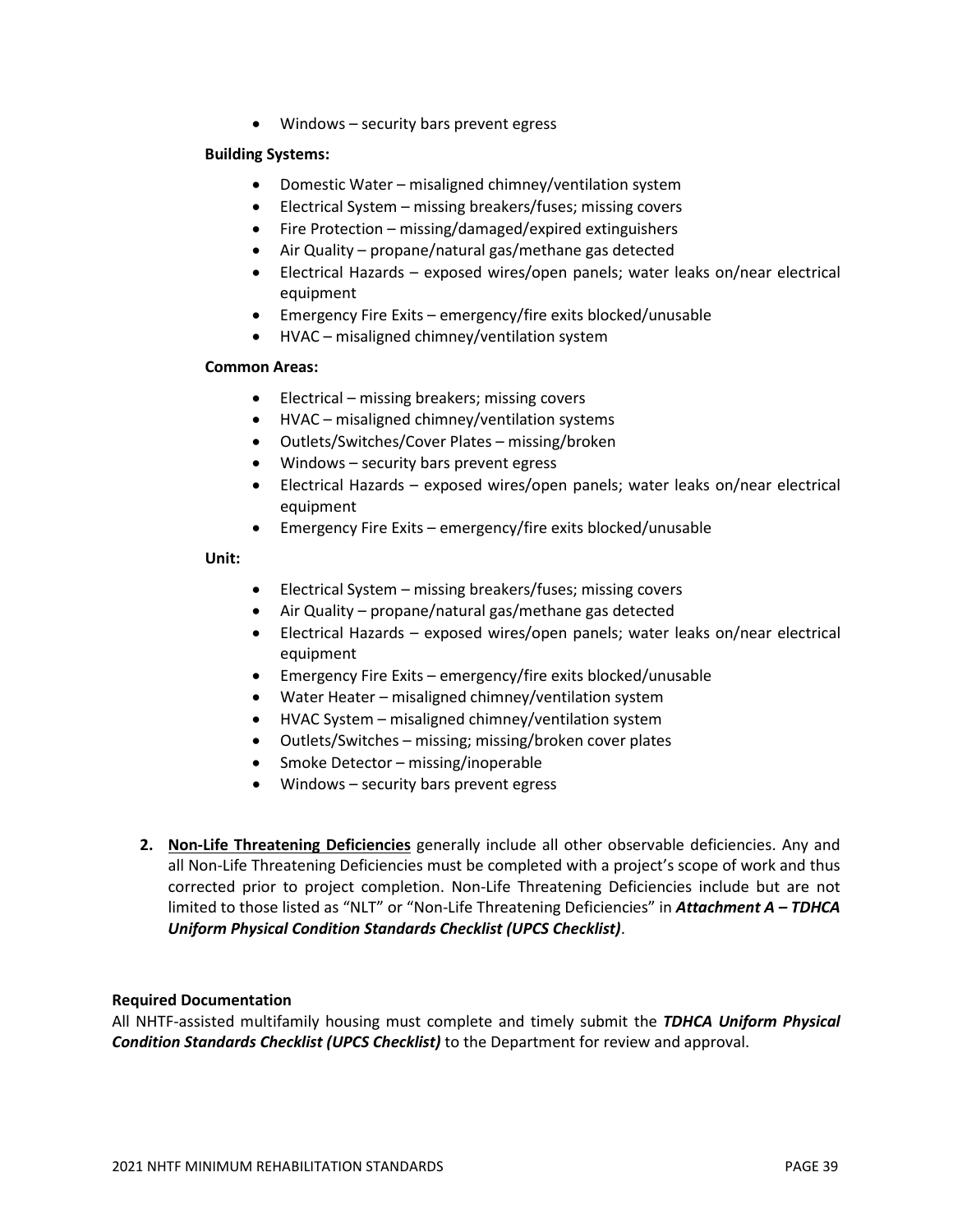• Windows – security bars prevent egress

## **Building Systems:**

- Domestic Water misaligned chimney/ventilation system
- Electrical System missing breakers/fuses; missing covers
- Fire Protection missing/damaged/expired extinguishers
- Air Quality propane/natural gas/methane gas detected
- Electrical Hazards exposed wires/open panels; water leaks on/near electrical equipment
- Emergency Fire Exits emergency/fire exits blocked/unusable
- HVAC misaligned chimney/ventilation system

#### **Common Areas:**

- Electrical missing breakers; missing covers
- HVAC misaligned chimney/ventilation systems
- Outlets/Switches/Cover Plates missing/broken
- Windows security bars prevent egress
- Electrical Hazards exposed wires/open panels; water leaks on/near electrical equipment
- Emergency Fire Exits emergency/fire exits blocked/unusable

#### **Unit:**

- Electrical System missing breakers/fuses; missing covers
- Air Quality propane/natural gas/methane gas detected
- Electrical Hazards exposed wires/open panels; water leaks on/near electrical equipment
- Emergency Fire Exits emergency/fire exits blocked/unusable
- Water Heater misaligned chimney/ventilation system
- HVAC System misaligned chimney/ventilation system
- Outlets/Switches missing; missing/broken cover plates
- Smoke Detector missing/inoperable
- Windows security bars prevent egress
- **2. Non-Life Threatening Deficiencies** generally include all other observable deficiencies. Any and all Non-Life Threatening Deficiencies must be completed with a project's scope of work and thus corrected prior to project completion. Non-Life Threatening Deficiencies include but are not limited to those listed as "NLT" or "Non-Life Threatening Deficiencies" in *Attachment A – TDHCA Uniform Physical Condition Standards Checklist (UPCS Checklist)*.

#### **Required Documentation**

All NHTF-assisted multifamily housing must complete and timely submit the *TDHCA Uniform Physical Condition Standards Checklist (UPCS Checklist)* to the Department for review and approval.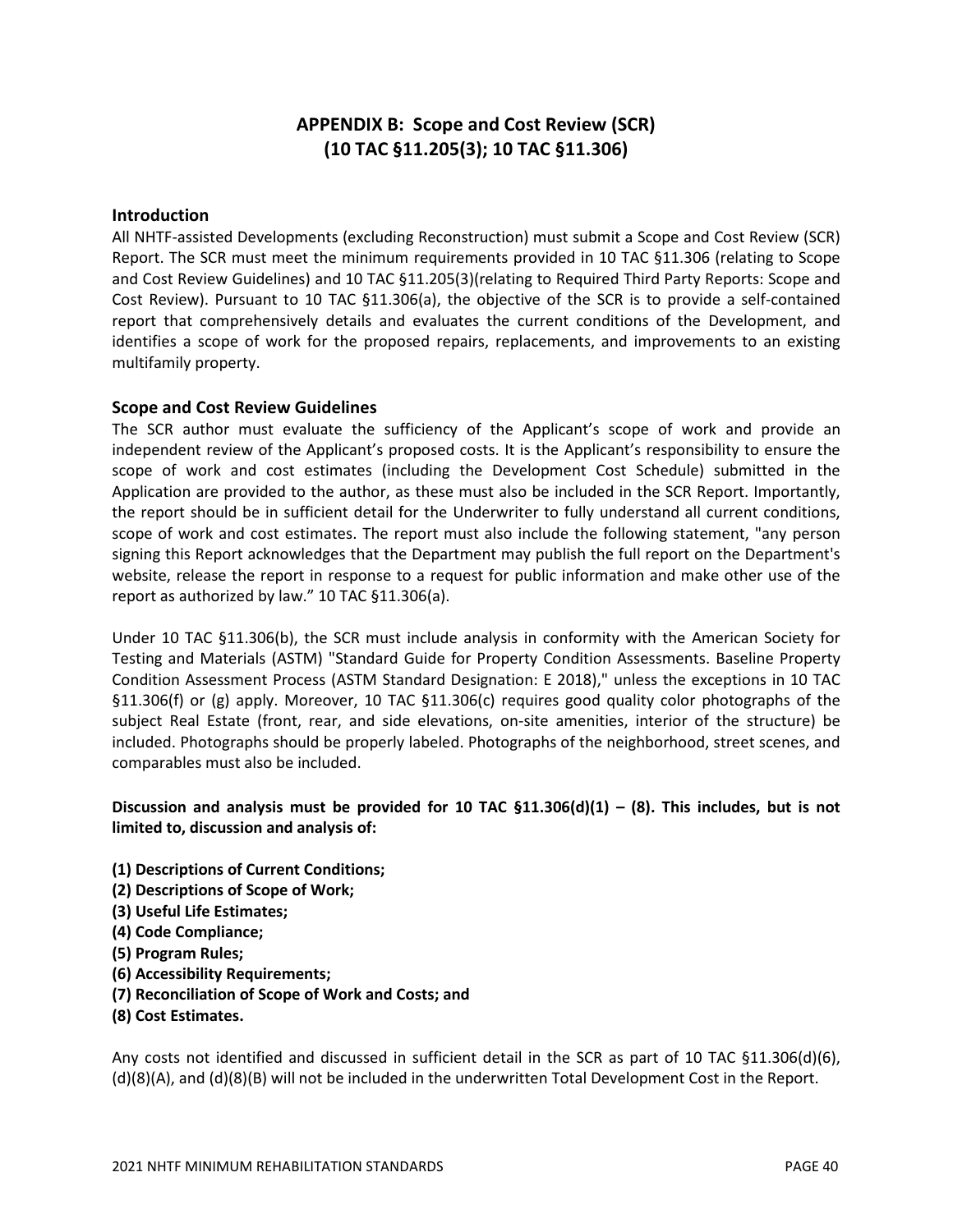# **APPENDIX B: Scope and Cost Review (SCR) (10 TAC §11.205(3); 10 TAC §11.306)**

# <span id="page-42-0"></span>**Introduction**

All NHTF-assisted Developments (excluding Reconstruction) must submit a Scope and Cost Review (SCR) Report. The SCR must meet the minimum requirements provided in 10 TAC §11.306 (relating to Scope and Cost Review Guidelines) and 10 TAC §11.205(3)(relating to Required Third Party Reports: Scope and Cost Review). Pursuant to 10 TAC §11.306(a), the objective of the SCR is to provide a self-contained report that comprehensively details and evaluates the current conditions of the Development, and identifies a scope of work for the proposed repairs, replacements, and improvements to an existing multifamily property.

# **Scope and Cost Review Guidelines**

The SCR author must evaluate the sufficiency of the Applicant's scope of work and provide an independent review of the Applicant's proposed costs. It is the Applicant's responsibility to ensure the scope of work and cost estimates (including the Development Cost Schedule) submitted in the Application are provided to the author, as these must also be included in the SCR Report. Importantly, the report should be in sufficient detail for the Underwriter to fully understand all current conditions, scope of work and cost estimates. The report must also include the following statement, "any person signing this Report acknowledges that the Department may publish the full report on the Department's website, release the report in response to a request for public information and make other use of the report as authorized by law." 10 TAC §11.306(a).

Under 10 TAC §11.306(b), the SCR must include analysis in conformity with the American Society for Testing and Materials (ASTM) "Standard Guide for Property Condition Assessments. Baseline Property Condition Assessment Process (ASTM Standard Designation: E 2018)," unless the exceptions in 10 TAC §11.306(f) or (g) apply. Moreover, 10 TAC §11.306(c) requires good quality color photographs of the subject Real Estate (front, rear, and side elevations, on-site amenities, interior of the structure) be included. Photographs should be properly labeled. Photographs of the neighborhood, street scenes, and comparables must also be included.

# **Discussion and analysis must be provided for 10 TAC §11.306(d)(1) – (8). This includes, but is not limited to, discussion and analysis of:**

- **(1) Descriptions of Current Conditions;**
- **(2) Descriptions of Scope of Work;**
- **(3) Useful Life Estimates;**
- **(4) Code Compliance;**
- **(5) Program Rules;**
- **(6) Accessibility Requirements;**
- **(7) Reconciliation of Scope of Work and Costs; and**
- **(8) Cost Estimates.**

Any costs not identified and discussed in sufficient detail in the SCR as part of 10 TAC §11.306(d)(6), (d)(8)(A), and (d)(8)(B) will not be included in the underwritten Total Development Cost in the Report.